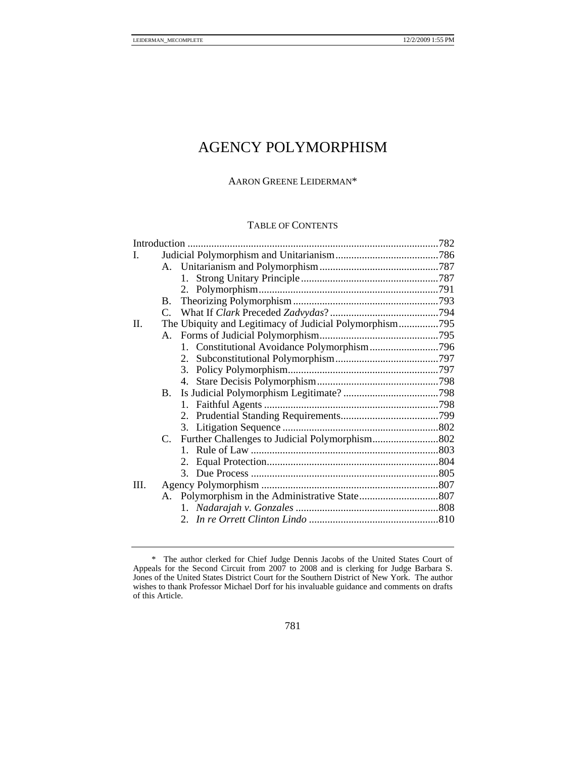# AGENCY POLYMORPHISM

### AARON GREENE LEIDERMAN\*

#### TABLE OF CONTENTS

| L    |                                                         |  |  |
|------|---------------------------------------------------------|--|--|
|      |                                                         |  |  |
|      |                                                         |  |  |
|      |                                                         |  |  |
|      | B.                                                      |  |  |
|      |                                                         |  |  |
| П.   | The Ubiquity and Legitimacy of Judicial Polymorphism795 |  |  |
|      |                                                         |  |  |
|      | 1. Constitutional Avoidance Polymorphism796             |  |  |
|      |                                                         |  |  |
|      |                                                         |  |  |
|      |                                                         |  |  |
|      |                                                         |  |  |
|      |                                                         |  |  |
|      |                                                         |  |  |
|      |                                                         |  |  |
|      |                                                         |  |  |
|      |                                                         |  |  |
|      |                                                         |  |  |
|      |                                                         |  |  |
| III. |                                                         |  |  |
|      |                                                         |  |  |
|      |                                                         |  |  |
|      |                                                         |  |  |
|      |                                                         |  |  |

 <sup>\*</sup> The author clerked for Chief Judge Dennis Jacobs of the United States Court of Appeals for the Second Circuit from 2007 to 2008 and is clerking for Judge Barbara S. Jones of the United States District Court for the Southern District of New York. The author wishes to thank Professor Michael Dorf for his invaluable guidance and comments on drafts of this Article.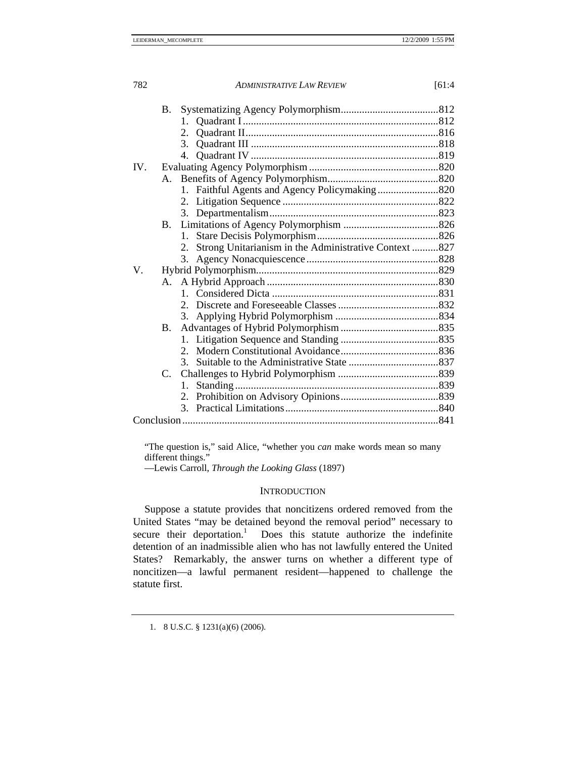|     | <b>B.</b>      |                |                                                          |  |  |
|-----|----------------|----------------|----------------------------------------------------------|--|--|
|     |                | $1_{-}$        |                                                          |  |  |
|     |                |                |                                                          |  |  |
|     |                | 3 <sub>1</sub> |                                                          |  |  |
|     |                |                |                                                          |  |  |
| IV. |                |                |                                                          |  |  |
|     | A.             |                |                                                          |  |  |
|     |                |                |                                                          |  |  |
|     |                |                |                                                          |  |  |
|     |                |                |                                                          |  |  |
|     | <b>B.</b>      |                |                                                          |  |  |
|     |                | $1_{-}$        |                                                          |  |  |
|     |                |                | 2. Strong Unitarianism in the Administrative Context 827 |  |  |
|     |                |                |                                                          |  |  |
| V.  |                |                |                                                          |  |  |
|     | A.             |                |                                                          |  |  |
|     |                |                |                                                          |  |  |
|     |                |                |                                                          |  |  |
|     |                |                |                                                          |  |  |
|     | $\mathbf{B}$ . |                |                                                          |  |  |
|     |                |                |                                                          |  |  |
|     |                |                |                                                          |  |  |
|     |                | 3.             |                                                          |  |  |
|     |                |                |                                                          |  |  |
|     |                | 1.             |                                                          |  |  |
|     |                |                |                                                          |  |  |
|     |                |                |                                                          |  |  |
|     |                |                |                                                          |  |  |
|     |                |                |                                                          |  |  |

"The question is," said Alice, "whether you *can* make words mean so many different things."

—Lewis Carroll, *Through the Looking Glass* (1897)

# **INTRODUCTION**

Suppose a statute provides that noncitizens ordered removed from the United States "may be detained beyond the removal period" necessary to secure their deportation.<sup>1</sup> Does this statute authorize the indefinite detention of an inadmissible alien who has not lawfully entered the United States? Remarkably, the answer turns on whether a different type of noncitizen—a lawful permanent resident—happened to challenge the statute first.

 <sup>1. 8</sup> U.S.C. § 1231(a)(6) (2006).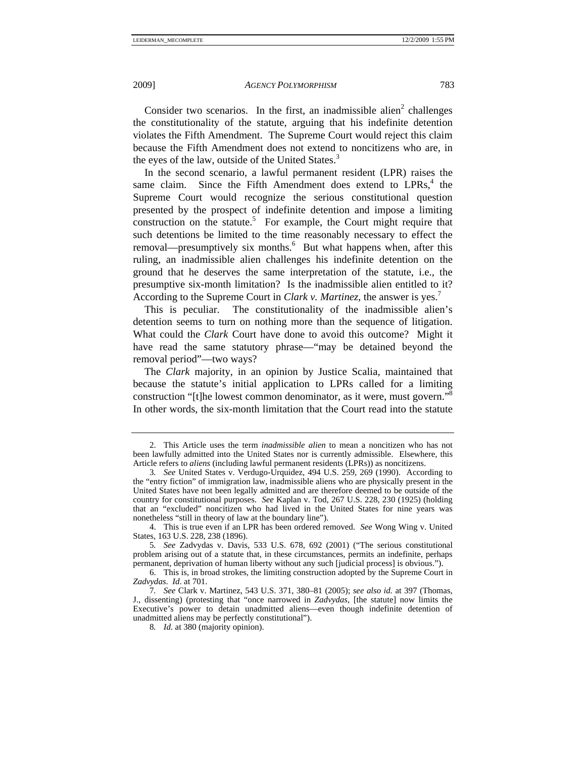Consider two scenarios. In the first, an inadmissible alien<sup>2</sup> challenges the constitutionality of the statute, arguing that his indefinite detention violates the Fifth Amendment. The Supreme Court would reject this claim because the Fifth Amendment does not extend to noncitizens who are, in the eyes of the law, outside of the United States.<sup>3</sup>

In the second scenario, a lawful permanent resident (LPR) raises the same claim. Since the Fifth Amendment does extend to  $LPRs<sub>1</sub><sup>4</sup>$  the Supreme Court would recognize the serious constitutional question presented by the prospect of indefinite detention and impose a limiting construction on the statute.<sup>5</sup> For example, the Court might require that such detentions be limited to the time reasonably necessary to effect the removal—presumptively six months.<sup>6</sup> But what happens when, after this ruling, an inadmissible alien challenges his indefinite detention on the ground that he deserves the same interpretation of the statute, i.e., the presumptive six-month limitation? Is the inadmissible alien entitled to it? According to the Supreme Court in *Clark v. Martinez*, the answer is yes.<sup>7</sup>

This is peculiar. The constitutionality of the inadmissible alien's detention seems to turn on nothing more than the sequence of litigation. What could the *Clark* Court have done to avoid this outcome? Might it have read the same statutory phrase—"may be detained beyond the removal period"—two ways?

The *Clark* majority, in an opinion by Justice Scalia, maintained that because the statute's initial application to LPRs called for a limiting construction "[t]he lowest common denominator, as it were, must govern."<sup>8</sup> In other words, the six-month limitation that the Court read into the statute

5*. See* Zadvydas v. Davis, 533 U.S. 678, 692 (2001) ("The serious constitutional problem arising out of a statute that, in these circumstances, permits an indefinite, perhaps permanent, deprivation of human liberty without any such [judicial process] is obvious.").

 <sup>2.</sup> This Article uses the term *inadmissible alien* to mean a noncitizen who has not been lawfully admitted into the United States nor is currently admissible. Elsewhere, this Article refers to *aliens* (including lawful permanent residents (LPRs)) as noncitizens.

<sup>3</sup>*. See* United States v. Verdugo-Urquidez, 494 U.S. 259, 269 (1990). According to the "entry fiction" of immigration law, inadmissible aliens who are physically present in the United States have not been legally admitted and are therefore deemed to be outside of the country for constitutional purposes. *See* Kaplan v. Tod, 267 U.S. 228, 230 (1925) (holding that an "excluded" noncitizen who had lived in the United States for nine years was nonetheless "still in theory of law at the boundary line").

 <sup>4.</sup> This is true even if an LPR has been ordered removed. *See* Wong Wing v. United States, 163 U.S. 228, 238 (1896).

 <sup>6.</sup> This is, in broad strokes, the limiting construction adopted by the Supreme Court in *Zadvydas*. *Id*. at 701.

<sup>7</sup>*. See* Clark v. Martinez, 543 U.S. 371, 380–81 (2005); *see also id.* at 397 (Thomas, J., dissenting) (protesting that "once narrowed in *Zadvydas*, [the statute] now limits the Executive's power to detain unadmitted aliens—even though indefinite detention of unadmitted aliens may be perfectly constitutional").

<sup>8</sup>*. Id.* at 380 (majority opinion).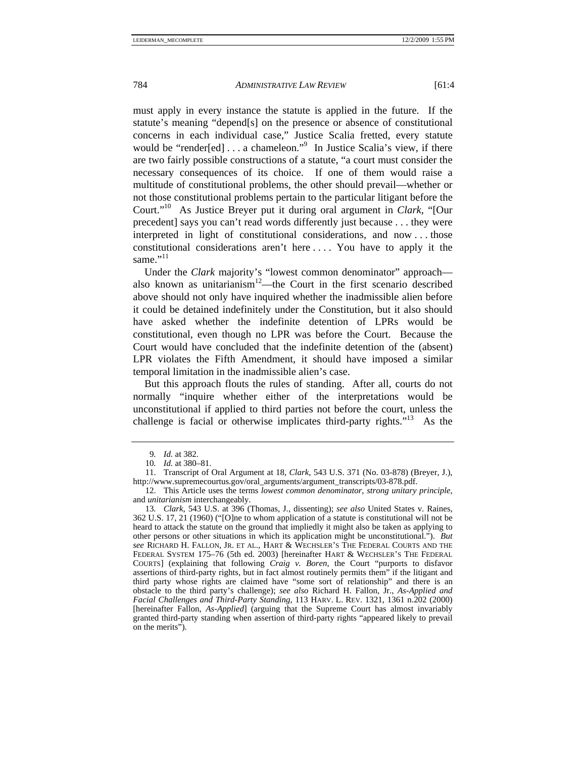must apply in every instance the statute is applied in the future. If the statute's meaning "depend[s] on the presence or absence of constitutional concerns in each individual case," Justice Scalia fretted, every statute would be "render[ed] . . . a chameleon."<sup>9</sup> In Justice Scalia's view, if there are two fairly possible constructions of a statute, "a court must consider the necessary consequences of its choice. If one of them would raise a multitude of constitutional problems, the other should prevail—whether or not those constitutional problems pertain to the particular litigant before the Court."10 As Justice Breyer put it during oral argument in *Clark*, "[Our precedent] says you can't read words differently just because . . . they were interpreted in light of constitutional considerations, and now . . . those constitutional considerations aren't here . . . . You have to apply it the same $"$ <sup>11</sup>

Under the *Clark* majority's "lowest common denominator" approach also known as unitarianism<sup>12</sup>—the Court in the first scenario described above should not only have inquired whether the inadmissible alien before it could be detained indefinitely under the Constitution, but it also should have asked whether the indefinite detention of LPRs would be constitutional, even though no LPR was before the Court. Because the Court would have concluded that the indefinite detention of the (absent) LPR violates the Fifth Amendment, it should have imposed a similar temporal limitation in the inadmissible alien's case.

But this approach flouts the rules of standing. After all, courts do not normally "inquire whether either of the interpretations would be unconstitutional if applied to third parties not before the court, unless the challenge is facial or otherwise implicates third-party rights."13 As the

<sup>9</sup>*. Id.* at 382.

<sup>10</sup>*. Id.* at 380–81.

 <sup>11.</sup> Transcript of Oral Argument at 18, *Clark*, 543 U.S. 371 (No. 03-878) (Breyer, J.), http://www.supremecourtus.gov/oral\_arguments/argument\_transcripts/03-878.pdf.

 <sup>12.</sup> This Article uses the terms *lowest common denominator*, *strong unitary principle*, and *unitarianism* interchangeably.

<sup>13</sup>*. Clark*, 543 U.S. at 396 (Thomas, J., dissenting); *see also* United States v. Raines, 362 U.S. 17, 21 (1960) ("[O]ne to whom application of a statute is constitutional will not be heard to attack the statute on the ground that impliedly it might also be taken as applying to other persons or other situations in which its application might be unconstitutional."). *But see* RICHARD H. FALLON, JR. ET AL., HART & WECHSLER'S THE FEDERAL COURTS AND THE FEDERAL SYSTEM 175–76 (5th ed. 2003) [hereinafter HART & WECHSLER'S THE FEDERAL COURTS] (explaining that following *Craig v. Boren*, the Court "purports to disfavor assertions of third-party rights, but in fact almost routinely permits them" if the litigant and third party whose rights are claimed have "some sort of relationship" and there is an obstacle to the third party's challenge); *see also* Richard H. Fallon, Jr., *As-Applied and Facial Challenges and Third-Party Standing*, 113 HARV. L. REV. 1321, 1361 n.202 (2000) [hereinafter Fallon, *As-Applied*] (arguing that the Supreme Court has almost invariably granted third-party standing when assertion of third-party rights "appeared likely to prevail on the merits").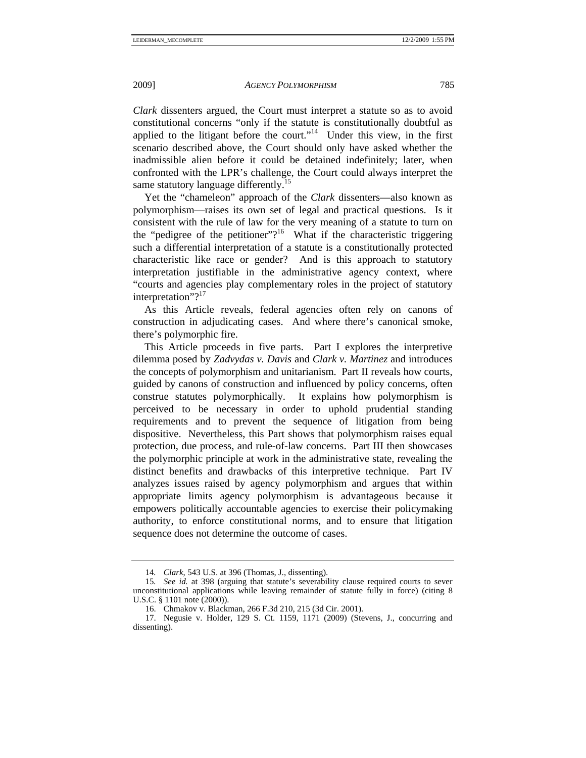*Clark* dissenters argued, the Court must interpret a statute so as to avoid constitutional concerns "only if the statute is constitutionally doubtful as applied to the litigant before the court."<sup>14</sup> Under this view, in the first scenario described above, the Court should only have asked whether the inadmissible alien before it could be detained indefinitely; later, when confronted with the LPR's challenge, the Court could always interpret the same statutory language differently.<sup>15</sup>

Yet the "chameleon" approach of the *Clark* dissenters—also known as polymorphism—raises its own set of legal and practical questions. Is it consistent with the rule of law for the very meaning of a statute to turn on the "pedigree of the petitioner"?<sup>16</sup> What if the characteristic triggering such a differential interpretation of a statute is a constitutionally protected characteristic like race or gender? And is this approach to statutory interpretation justifiable in the administrative agency context, where "courts and agencies play complementary roles in the project of statutory interpretation"?<sup>17</sup>

As this Article reveals, federal agencies often rely on canons of construction in adjudicating cases. And where there's canonical smoke, there's polymorphic fire.

This Article proceeds in five parts. Part I explores the interpretive dilemma posed by *Zadvydas v. Davis* and *Clark v. Martinez* and introduces the concepts of polymorphism and unitarianism.Part II reveals how courts, guided by canons of construction and influenced by policy concerns, often construe statutes polymorphically. It explains how polymorphism is perceived to be necessary in order to uphold prudential standing requirements and to prevent the sequence of litigation from being dispositive. Nevertheless, this Part shows that polymorphism raises equal protection, due process, and rule-of-law concerns. Part III then showcases the polymorphic principle at work in the administrative state, revealing the distinct benefits and drawbacks of this interpretive technique. Part IV analyzes issues raised by agency polymorphism and argues that within appropriate limits agency polymorphism is advantageous because it empowers politically accountable agencies to exercise their policymaking authority, to enforce constitutional norms, and to ensure that litigation sequence does not determine the outcome of cases.

<sup>14</sup>*. Clark*, 543 U.S. at 396 (Thomas, J., dissenting).

<sup>15</sup>*. See id.* at 398 (arguing that statute's severability clause required courts to sever unconstitutional applications while leaving remainder of statute fully in force) (citing 8 U.S.C. § 1101 note (2000)).

 <sup>16.</sup> Chmakov v. Blackman, 266 F.3d 210, 215 (3d Cir. 2001).

 <sup>17.</sup> Negusie v. Holder, 129 S. Ct. 1159, 1171 (2009) (Stevens, J., concurring and dissenting).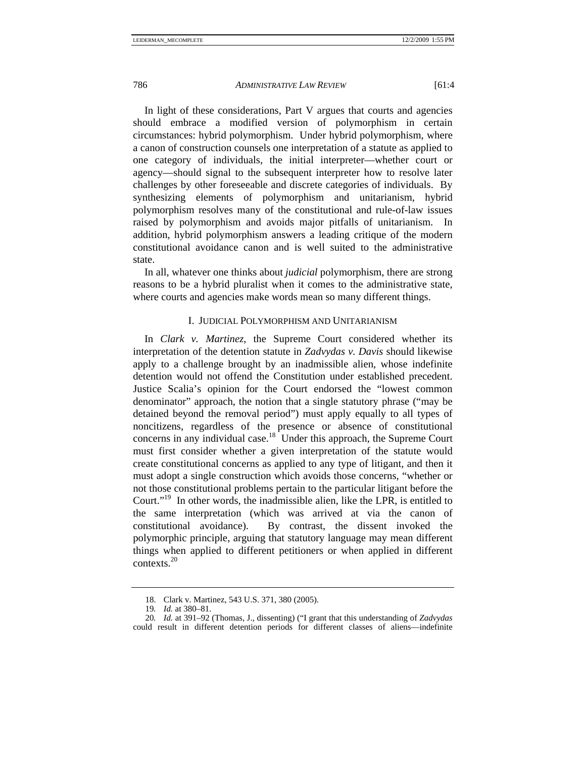In light of these considerations, Part V argues that courts and agencies should embrace a modified version of polymorphism in certain circumstances: hybrid polymorphism. Under hybrid polymorphism, where a canon of construction counsels one interpretation of a statute as applied to one category of individuals, the initial interpreter—whether court or agency—should signal to the subsequent interpreter how to resolve later challenges by other foreseeable and discrete categories of individuals. By synthesizing elements of polymorphism and unitarianism, hybrid polymorphism resolves many of the constitutional and rule-of-law issues raised by polymorphism and avoids major pitfalls of unitarianism. In addition, hybrid polymorphism answers a leading critique of the modern constitutional avoidance canon and is well suited to the administrative state.

In all, whatever one thinks about *judicial* polymorphism, there are strong reasons to be a hybrid pluralist when it comes to the administrative state, where courts and agencies make words mean so many different things.

# I. JUDICIAL POLYMORPHISM AND UNITARIANISM

In *Clark v. Martinez*, the Supreme Court considered whether its interpretation of the detention statute in *Zadvydas v. Davis* should likewise apply to a challenge brought by an inadmissible alien, whose indefinite detention would not offend the Constitution under established precedent. Justice Scalia's opinion for the Court endorsed the "lowest common denominator" approach, the notion that a single statutory phrase ("may be detained beyond the removal period") must apply equally to all types of noncitizens, regardless of the presence or absence of constitutional concerns in any individual case.<sup>18</sup> Under this approach, the Supreme Court must first consider whether a given interpretation of the statute would create constitutional concerns as applied to any type of litigant, and then it must adopt a single construction which avoids those concerns, "whether or not those constitutional problems pertain to the particular litigant before the Court."19 In other words, the inadmissible alien, like the LPR, is entitled to the same interpretation (which was arrived at via the canon of constitutional avoidance). By contrast, the dissent invoked the polymorphic principle, arguing that statutory language may mean different things when applied to different petitioners or when applied in different contexts.<sup>20</sup>

 <sup>18.</sup> Clark v. Martinez, 543 U.S. 371, 380 (2005).

<sup>19</sup>*. Id.* at 380–81.

<sup>20</sup>*. Id.* at 391–92 (Thomas, J., dissenting) ("I grant that this understanding of *Zadvydas* could result in different detention periods for different classes of aliens—indefinite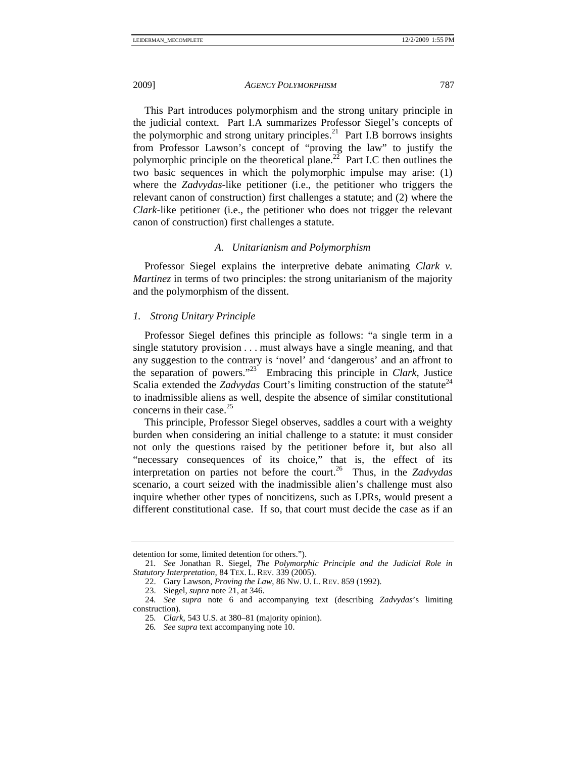This Part introduces polymorphism and the strong unitary principle in the judicial context. Part I.A summarizes Professor Siegel's concepts of the polymorphic and strong unitary principles.<sup>21</sup> Part I.B borrows insights from Professor Lawson's concept of "proving the law" to justify the polymorphic principle on the theoretical plane.<sup>22</sup> Part I.C then outlines the two basic sequences in which the polymorphic impulse may arise: (1) where the *Zadvydas*-like petitioner (i.e., the petitioner who triggers the relevant canon of construction) first challenges a statute; and (2) where the *Clark*-like petitioner (i.e., the petitioner who does not trigger the relevant canon of construction) first challenges a statute.

# *A. Unitarianism and Polymorphism*

Professor Siegel explains the interpretive debate animating *Clark v. Martinez* in terms of two principles: the strong unitarianism of the majority and the polymorphism of the dissent.

*1. Strong Unitary Principle* 

Professor Siegel defines this principle as follows: "a single term in a single statutory provision . . . must always have a single meaning, and that any suggestion to the contrary is 'novel' and 'dangerous' and an affront to the separation of powers."23 Embracing this principle in *Clark*, Justice Scalia extended the *Zadvydas* Court's limiting construction of the statute<sup>24</sup> to inadmissible aliens as well, despite the absence of similar constitutional concerns in their case.<sup>25</sup>

This principle, Professor Siegel observes, saddles a court with a weighty burden when considering an initial challenge to a statute: it must consider not only the questions raised by the petitioner before it, but also all "necessary consequences of its choice," that is, the effect of its interpretation on parties not before the court.26 Thus, in the *Zadvydas* scenario, a court seized with the inadmissible alien's challenge must also inquire whether other types of noncitizens, such as LPRs, would present a different constitutional case. If so, that court must decide the case as if an

detention for some, limited detention for others.").

<sup>21</sup>*. See* Jonathan R. Siegel, *The Polymorphic Principle and the Judicial Role in Statutory Interpretation*, 84 TEX. L. REV. 339 (2005).

 <sup>22.</sup> Gary Lawson, *Proving the Law*, 86 NW. U. L. REV. 859 (1992).

 <sup>23.</sup> Siegel, *supra* note 21, at 346.

<sup>24</sup>*. See supra* note 6 and accompanying text (describing *Zadvydas*'s limiting construction).

<sup>25</sup>*. Clark*, 543 U.S. at 380–81 (majority opinion).

<sup>26</sup>*. See supra* text accompanying note 10.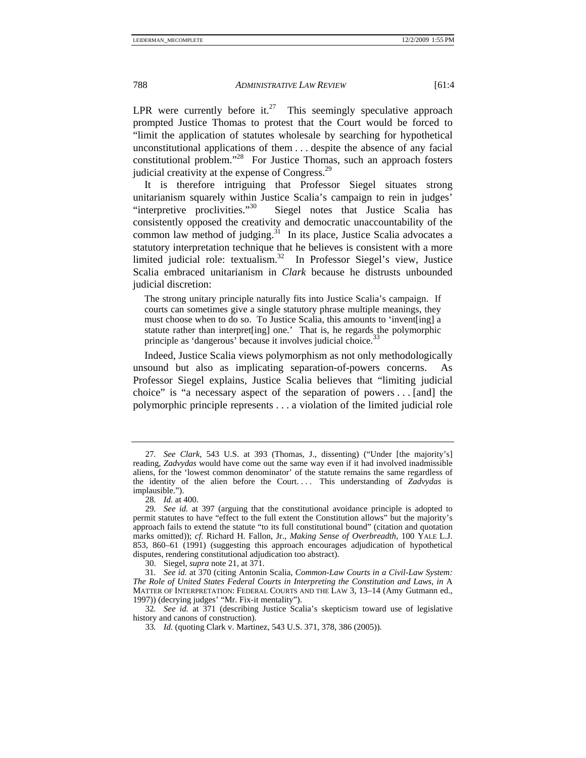LPR were currently before it.<sup>27</sup> This seemingly speculative approach prompted Justice Thomas to protest that the Court would be forced to "limit the application of statutes wholesale by searching for hypothetical unconstitutional applications of them . . . despite the absence of any facial constitutional problem."28 For Justice Thomas, such an approach fosters judicial creativity at the expense of Congress.<sup>29</sup>

It is therefore intriguing that Professor Siegel situates strong unitarianism squarely within Justice Scalia's campaign to rein in judges'<br>"interpretive proclivities."<sup>30</sup> Siegel notes that Justice Scalia has Siegel notes that Justice Scalia has consistently opposed the creativity and democratic unaccountability of the common law method of judging.<sup>31</sup> In its place, Justice Scalia advocates a statutory interpretation technique that he believes is consistent with a more limited judicial role: textualism.<sup>32</sup> In Professor Siegel's view, Justice Scalia embraced unitarianism in *Clark* because he distrusts unbounded judicial discretion:

The strong unitary principle naturally fits into Justice Scalia's campaign. If courts can sometimes give a single statutory phrase multiple meanings, they must choose when to do so. To Justice Scalia, this amounts to 'invent[ing] a statute rather than interpret[ing] one.' That is, he regards the polymorphic principle as 'dangerous' because it involves judicial choice.<sup>33</sup>

Indeed, Justice Scalia views polymorphism as not only methodologically unsound but also as implicating separation-of-powers concerns. Professor Siegel explains, Justice Scalia believes that "limiting judicial choice" is "a necessary aspect of the separation of powers . . . [and] the polymorphic principle represents . . . a violation of the limited judicial role

<sup>27</sup>*. See Clark*, 543 U.S. at 393 (Thomas, J., dissenting) ("Under [the majority's] reading, *Zadvydas* would have come out the same way even if it had involved inadmissible aliens, for the 'lowest common denominator' of the statute remains the same regardless of the identity of the alien before the Court. . . . This understanding of *Zadvydas* is implausible.").

<sup>28</sup>*. Id.* at 400.

<sup>29</sup>*. See id.* at 397 (arguing that the constitutional avoidance principle is adopted to permit statutes to have "effect to the full extent the Constitution allows" but the majority's approach fails to extend the statute "to its full constitutional bound" (citation and quotation marks omitted)); *cf.* Richard H. Fallon, Jr., *Making Sense of Overbreadth*, 100 YALE L.J. 853, 860–61 (1991) (suggesting this approach encourages adjudication of hypothetical disputes, rendering constitutional adjudication too abstract).

 <sup>30.</sup> Siegel, *supra* note 21, at 371.

<sup>31</sup>*. See id.* at 370 (citing Antonin Scalia, *Common-Law Courts in a Civil-Law System: The Role of United States Federal Courts in Interpreting the Constitution and Laws*, *in* A MATTER OF INTERPRETATION: FEDERAL COURTS AND THE LAW 3, 13–14 (Amy Gutmann ed., 1997)) (decrying judges' "Mr. Fix-it mentality").

<sup>32</sup>*. See id.* at 371 (describing Justice Scalia's skepticism toward use of legislative history and canons of construction).

<sup>33</sup>*. Id.* (quoting Clark v. Martinez, 543 U.S. 371, 378, 386 (2005)).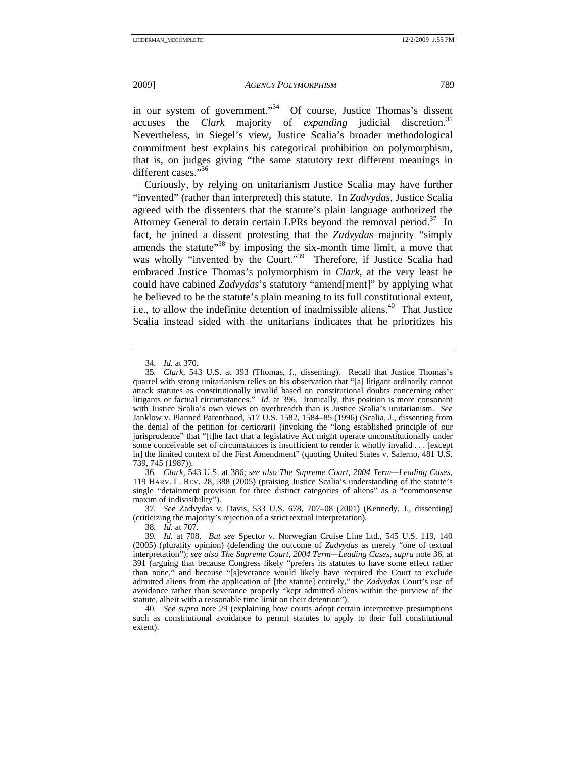in our system of government."<sup>34</sup> Of course, Justice Thomas's dissent accuses the *Clark* majority of *expanding* judicial discretion.<sup>35</sup> accuses the *Clark* majority of *expanding* judicial Nevertheless, in Siegel's view, Justice Scalia's broader methodological commitment best explains his categorical prohibition on polymorphism, that is, on judges giving "the same statutory text different meanings in different cases."36

Curiously, by relying on unitarianism Justice Scalia may have further "invented" (rather than interpreted) this statute. In *Zadvydas*, Justice Scalia agreed with the dissenters that the statute's plain language authorized the Attorney General to detain certain LPRs beyond the removal period.<sup>37</sup> In fact, he joined a dissent protesting that the *Zadvydas* majority "simply amends the statute"<sup>38</sup> by imposing the six-month time limit, a move that was wholly "invented by the Court."<sup>39</sup> Therefore, if Justice Scalia had embraced Justice Thomas's polymorphism in *Clark*, at the very least he could have cabined *Zadvydas*'s statutory "amend[ment]" by applying what he believed to be the statute's plain meaning to its full constitutional extent, i.e., to allow the indefinite detention of inadmissible aliens.<sup>40</sup> That Justice Scalia instead sided with the unitarians indicates that he prioritizes his

36*. Clark*, 543 U.S. at 386; *see also The Supreme Court*, *2004 Term—Leading Cases*, 119 HARV. L. REV. 28, 388 (2005) (praising Justice Scalia's understanding of the statute's single "detainment provision for three distinct categories of aliens" as a "commonsense maxim of indivisibility").

37*. See* Zadvydas v. Davis, 533 U.S. 678, 707–08 (2001) (Kennedy, J., dissenting) (criticizing the majority's rejection of a strict textual interpretation).

38*. Id.* at 707.

<sup>34</sup>*. Id.* at 370.

<sup>35</sup>*. Clark*, 543 U.S. at 393 (Thomas, J., dissenting). Recall that Justice Thomas's quarrel with strong unitarianism relies on his observation that "[a] litigant ordinarily cannot attack statutes as constitutionally invalid based on constitutional doubts concerning other litigants or factual circumstances." *Id.* at 396. Ironically, this position is more consonant with Justice Scalia's own views on overbreadth than is Justice Scalia's unitarianism. *See* Janklow v. Planned Parenthood, 517 U.S. 1582, 1584–85 (1996) (Scalia, J., dissenting from the denial of the petition for certiorari) (invoking the "long established principle of our jurisprudence" that "[t]he fact that a legislative Act might operate unconstitutionally under some conceivable set of circumstances is insufficient to render it wholly invalid . . . [except in] the limited context of the First Amendment" (quoting United States v. Salerno, 481 U.S. 739, 745 (1987)).

<sup>39</sup>*. Id.* at 708. *But see* Spector v. Norwegian Cruise Line Ltd., 545 U.S. 119, 140 (2005) (plurality opinion) (defending the outcome of *Zadvydas* as merely "one of textual interpretation"); *see also The Supreme Court, 2004 Term—Leading Cases*, *supra* note 36, at 391 (arguing that because Congress likely "prefers its statutes to have some effect rather than none," and because "[s]everance would likely have required the Court to exclude admitted aliens from the application of [the statute] entirely," the *Zadvydas* Court's use of avoidance rather than severance properly "kept admitted aliens within the purview of the statute, albeit with a reasonable time limit on their detention").

<sup>40</sup>*. See supra* note 29 (explaining how courts adopt certain interpretive presumptions such as constitutional avoidance to permit statutes to apply to their full constitutional extent).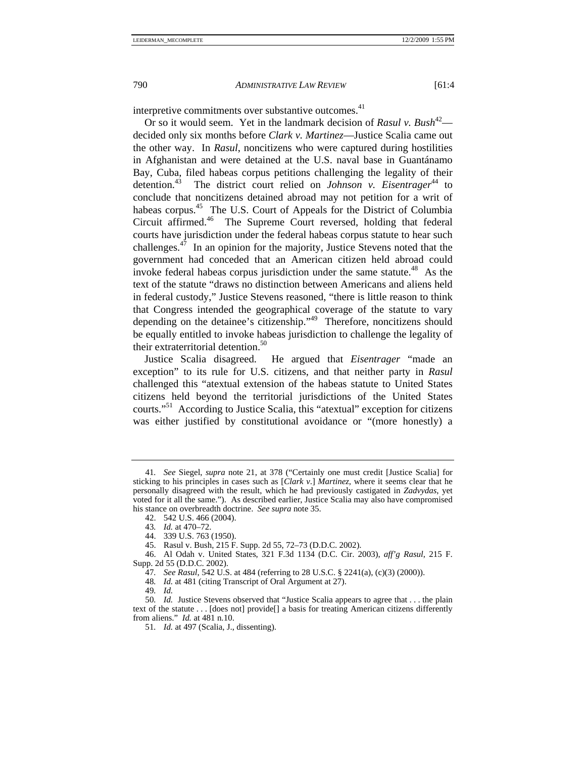interpretive commitments over substantive outcomes.<sup>41</sup>

Or so it would seem. Yet in the landmark decision of *Rasul v. Bush*<sup>42</sup> decided only six months before *Clark v. Martinez*—Justice Scalia came out the other way. In *Rasul*, noncitizens who were captured during hostilities in Afghanistan and were detained at the U.S. naval base in Guantánamo Bay, Cuba, filed habeas corpus petitions challenging the legality of their detention.<sup>43</sup> The district court relied on *Johnson v. Eisentrager*<sup>44</sup> to conclude that noncitizens detained abroad may not petition for a writ of habeas corpus.<sup>45</sup> The U.S. Court of Appeals for the District of Columbia Circuit affirmed.46 The Supreme Court reversed, holding that federal courts have jurisdiction under the federal habeas corpus statute to hear such challenges. $47$  In an opinion for the majority, Justice Stevens noted that the government had conceded that an American citizen held abroad could invoke federal habeas corpus jurisdiction under the same statute.<sup>48</sup> As the text of the statute "draws no distinction between Americans and aliens held in federal custody," Justice Stevens reasoned, "there is little reason to think that Congress intended the geographical coverage of the statute to vary depending on the detainee's citizenship."49 Therefore, noncitizens should be equally entitled to invoke habeas jurisdiction to challenge the legality of their extraterritorial detention.<sup>50</sup>

Justice Scalia disagreed. He argued that *Eisentrager* "made an exception" to its rule for U.S. citizens, and that neither party in *Rasul*  challenged this "atextual extension of the habeas statute to United States citizens held beyond the territorial jurisdictions of the United States courts."51 According to Justice Scalia, this "atextual" exception for citizens was either justified by constitutional avoidance or "(more honestly) a

<sup>41</sup>*. See* Siegel, *supra* note 21, at 378 ("Certainly one must credit [Justice Scalia] for sticking to his principles in cases such as [*Clark v*.] *Martinez*, where it seems clear that he personally disagreed with the result, which he had previously castigated in *Zadvydas*, yet voted for it all the same."). As described earlier, Justice Scalia may also have compromised his stance on overbreadth doctrine. *See supra* note 35.

 <sup>42. 542</sup> U.S. 466 (2004).

<sup>43</sup>*. Id.* at 470–72.

 <sup>44. 339</sup> U.S. 763 (1950).

 <sup>45.</sup> Rasul v. Bush, 215 F. Supp. 2d 55, 72–73 (D.D.C. 2002).

 <sup>46.</sup> Al Odah v. United States, 321 F.3d 1134 (D.C. Cir. 2003), *aff'g Rasul*, 215 F. Supp. 2d 55 (D.D.C. 2002).

<sup>47</sup>*. See Rasul*, 542 U.S. at 484 (referring to 28 U.S.C. § 2241(a), (c)(3) (2000)).

<sup>48</sup>*. Id.* at 481 (citing Transcript of Oral Argument at 27).

<sup>49</sup>*. Id.*

<sup>50</sup>*. Id.* Justice Stevens observed that "Justice Scalia appears to agree that . . . the plain text of the statute . . . [does not] provide[] a basis for treating American citizens differently from aliens." *Id.* at 481 n.10.

<sup>51</sup>*. Id.* at 497 (Scalia, J., dissenting).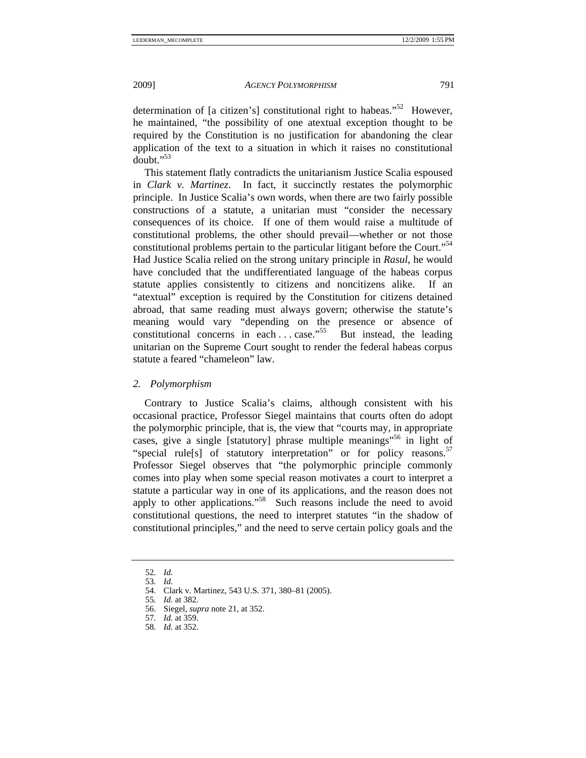determination of [a citizen's] constitutional right to habeas."<sup>52</sup> However, he maintained, "the possibility of one atextual exception thought to be required by the Constitution is no justification for abandoning the clear application of the text to a situation in which it raises no constitutional  $d$ oubt." $^{53}$ 

This statement flatly contradicts the unitarianism Justice Scalia espoused in *Clark v. Martinez*. In fact, it succinctly restates the polymorphic principle. In Justice Scalia's own words, when there are two fairly possible constructions of a statute, a unitarian must "consider the necessary consequences of its choice. If one of them would raise a multitude of constitutional problems, the other should prevail—whether or not those constitutional problems pertain to the particular litigant before the Court."<sup>54</sup> Had Justice Scalia relied on the strong unitary principle in *Rasul*, he would have concluded that the undifferentiated language of the habeas corpus statute applies consistently to citizens and noncitizens alike. If an "atextual" exception is required by the Constitution for citizens detained abroad, that same reading must always govern; otherwise the statute's meaning would vary "depending on the presence or absence of constitutional concerns in each ... case."<sup>55</sup> But instead, the leading unitarian on the Supreme Court sought to render the federal habeas corpus statute a feared "chameleon" law.

# *2. Polymorphism*

Contrary to Justice Scalia's claims, although consistent with his occasional practice, Professor Siegel maintains that courts often do adopt the polymorphic principle, that is, the view that "courts may, in appropriate cases, give a single [statutory] phrase multiple meanings"<sup>56</sup> in light of "special rule[s] of statutory interpretation" or for policy reasons. $57$ Professor Siegel observes that "the polymorphic principle commonly comes into play when some special reason motivates a court to interpret a statute a particular way in one of its applications, and the reason does not apply to other applications."<sup>58</sup> Such reasons include the need to avoid constitutional questions, the need to interpret statutes "in the shadow of constitutional principles," and the need to serve certain policy goals and the

<sup>52</sup>*. Id.*

<sup>53</sup>*. Id.*

 <sup>54.</sup> Clark v. Martinez, 543 U.S. 371, 380–81 (2005).

<sup>55</sup>*. Id.* at 382.

 <sup>56.</sup> Siegel, *supra* note 21, at 352.

<sup>57</sup>*. Id.* at 359.

<sup>58</sup>*. Id.* at 352.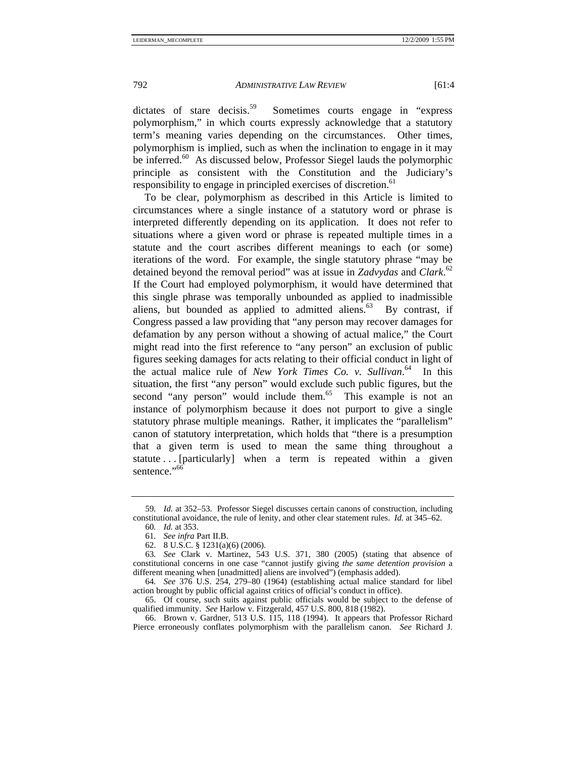dictates of stare decisis.<sup>59</sup> Sometimes courts engage in "express" polymorphism," in which courts expressly acknowledge that a statutory term's meaning varies depending on the circumstances. Other times, polymorphism is implied, such as when the inclination to engage in it may be inferred.<sup>60</sup> As discussed below, Professor Siegel lauds the polymorphic principle as consistent with the Constitution and the Judiciary's responsibility to engage in principled exercises of discretion.<sup>61</sup>

To be clear, polymorphism as described in this Article is limited to circumstances where a single instance of a statutory word or phrase is interpreted differently depending on its application. It does not refer to situations where a given word or phrase is repeated multiple times in a statute and the court ascribes different meanings to each (or some) iterations of the word. For example, the single statutory phrase "may be detained beyond the removal period" was at issue in *Zadvydas* and *Clark*. 62 If the Court had employed polymorphism, it would have determined that this single phrase was temporally unbounded as applied to inadmissible aliens, but bounded as applied to admitted aliens. $63$  By contrast, if Congress passed a law providing that "any person may recover damages for defamation by any person without a showing of actual malice," the Court might read into the first reference to "any person" an exclusion of public figures seeking damages for acts relating to their official conduct in light of the actual malice rule of *New York Times Co. v. Sullivan*. 64 In this situation, the first "any person" would exclude such public figures, but the second "any person" would include them.<sup>65</sup> This example is not an instance of polymorphism because it does not purport to give a single statutory phrase multiple meanings. Rather, it implicates the "parallelism" canon of statutory interpretation, which holds that "there is a presumption that a given term is used to mean the same thing throughout a statute ... [particularly] when a term is repeated within a given sentence."<sup>66</sup>

<sup>59</sup>*. Id.* at 352–53. Professor Siegel discusses certain canons of construction, including constitutional avoidance, the rule of lenity, and other clear statement rules. *Id.* at 345–62.

<sup>60</sup>*. Id.* at 353.

<sup>61</sup>*. See infra* Part II.B.

 <sup>62. 8</sup> U.S.C. § 1231(a)(6) (2006).

<sup>63</sup>*. See* Clark v. Martinez, 543 U.S. 371, 380 (2005) (stating that absence of constitutional concerns in one case "cannot justify giving *the same detention provision* a different meaning when [unadmitted] aliens are involved") (emphasis added).

<sup>64</sup>*. See* 376 U.S. 254, 279–80 (1964) (establishing actual malice standard for libel action brought by public official against critics of official's conduct in office).

 <sup>65.</sup> Of course, such suits against public officials would be subject to the defense of qualified immunity. *See* Harlow v. Fitzgerald, 457 U.S. 800, 818 (1982).

 <sup>66.</sup> Brown v. Gardner, 513 U.S. 115, 118 (1994). It appears that Professor Richard Pierce erroneously conflates polymorphism with the parallelism canon. *See* Richard J.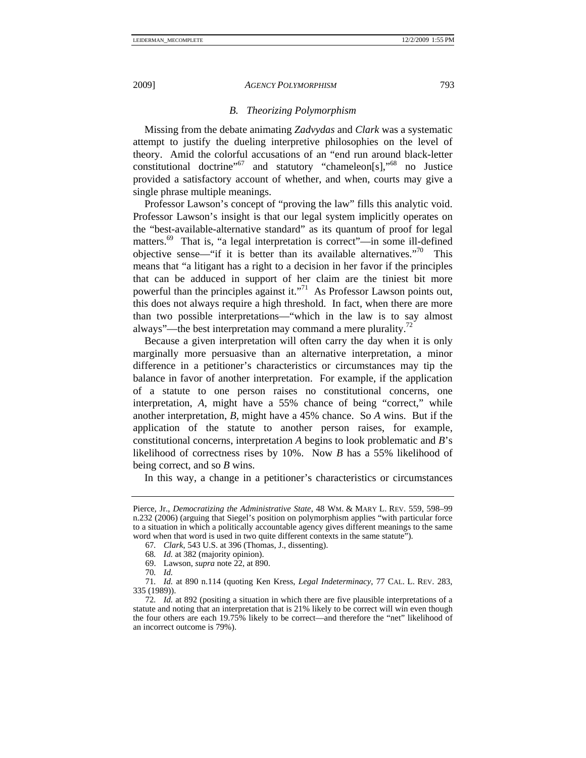# *B. Theorizing Polymorphism*

Missing from the debate animating *Zadvydas* and *Clark* was a systematic attempt to justify the dueling interpretive philosophies on the level of theory. Amid the colorful accusations of an "end run around black-letter constitutional doctrine"67 and statutory "chameleon[s],"68 no Justice provided a satisfactory account of whether, and when, courts may give a single phrase multiple meanings.

Professor Lawson's concept of "proving the law" fills this analytic void. Professor Lawson's insight is that our legal system implicitly operates on the "best-available-alternative standard" as its quantum of proof for legal matters.<sup>69</sup> That is, "a legal interpretation is correct"—in some ill-defined objective sense—"if it is better than its available alternatives."<sup>70</sup> This means that "a litigant has a right to a decision in her favor if the principles that can be adduced in support of her claim are the tiniest bit more powerful than the principles against it."<sup>71</sup> As Professor Lawson points out, this does not always require a high threshold. In fact, when there are more than two possible interpretations—"which in the law is to say almost always"—the best interpretation may command a mere plurality.<sup>72</sup>

Because a given interpretation will often carry the day when it is only marginally more persuasive than an alternative interpretation, a minor difference in a petitioner's characteristics or circumstances may tip the balance in favor of another interpretation. For example, if the application of a statute to one person raises no constitutional concerns, one interpretation, *A*, might have a 55% chance of being "correct," while another interpretation, *B*, might have a 45% chance. So *A* wins. But if the application of the statute to another person raises, for example, constitutional concerns, interpretation *A* begins to look problematic and *B*'s likelihood of correctness rises by 10%. Now *B* has a 55% likelihood of being correct, and so *B* wins.

In this way, a change in a petitioner's characteristics or circumstances

Pierce, Jr., *Democratizing the Administrative State*, 48 WM. & MARY L. REV. 559, 598–99 n.232 (2006) (arguing that Siegel's position on polymorphism applies "with particular force to a situation in which a politically accountable agency gives different meanings to the same word when that word is used in two quite different contexts in the same statute").

<sup>67</sup>*. Clark*, 543 U.S. at 396 (Thomas, J., dissenting).

<sup>68</sup>*. Id.* at 382 (majority opinion).

 <sup>69.</sup> Lawson, *supra* note 22, at 890.

<sup>70</sup>*. Id.*

<sup>71</sup>*. Id.* at 890 n.114 (quoting Ken Kress, *Legal Indeterminacy*, 77 CAL. L. REV. 283, 335 (1989)).

<sup>72</sup>*. Id.* at 892 (positing a situation in which there are five plausible interpretations of a statute and noting that an interpretation that is 21% likely to be correct will win even though the four others are each 19.75% likely to be correct—and therefore the "net" likelihood of an incorrect outcome is 79%).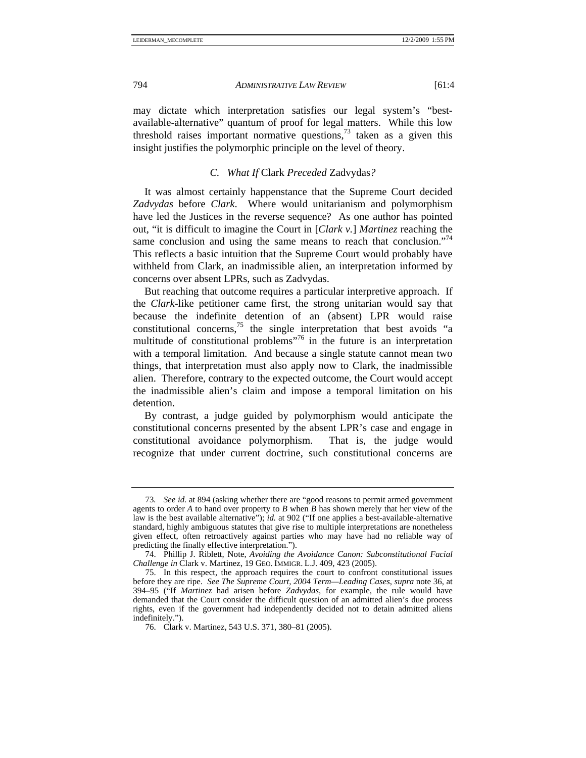may dictate which interpretation satisfies our legal system's "bestavailable-alternative" quantum of proof for legal matters. While this low threshold raises important normative questions, $73$  taken as a given this insight justifies the polymorphic principle on the level of theory.

#### *C. What If* Clark *Preceded* Zadvydas*?*

It was almost certainly happenstance that the Supreme Court decided *Zadvydas* before *Clark*. Where would unitarianism and polymorphism have led the Justices in the reverse sequence? As one author has pointed out, "it is difficult to imagine the Court in [*Clark v.*] *Martinez* reaching the same conclusion and using the same means to reach that conclusion."<sup>74</sup> This reflects a basic intuition that the Supreme Court would probably have withheld from Clark, an inadmissible alien, an interpretation informed by concerns over absent LPRs, such as Zadvydas.

But reaching that outcome requires a particular interpretive approach. If the *Clark*-like petitioner came first, the strong unitarian would say that because the indefinite detention of an (absent) LPR would raise constitutional concerns,<sup>75</sup> the single interpretation that best avoids "a multitude of constitutional problems"76 in the future is an interpretation with a temporal limitation. And because a single statute cannot mean two things, that interpretation must also apply now to Clark, the inadmissible alien. Therefore, contrary to the expected outcome, the Court would accept the inadmissible alien's claim and impose a temporal limitation on his detention.

By contrast, a judge guided by polymorphism would anticipate the constitutional concerns presented by the absent LPR's case and engage in constitutional avoidance polymorphism. That is, the judge would recognize that under current doctrine, such constitutional concerns are

<sup>73</sup>*. See id.* at 894 (asking whether there are "good reasons to permit armed government agents to order *A* to hand over property to *B* when *B* has shown merely that her view of the law is the best available alternative"); *id.* at 902 ("If one applies a best-available-alternative standard, highly ambiguous statutes that give rise to multiple interpretations are nonetheless given effect, often retroactively against parties who may have had no reliable way of predicting the finally effective interpretation.").

 <sup>74.</sup> Phillip J. Riblett, Note, *Avoiding the Avoidance Canon: Subconstitutional Facial Challenge in* Clark v. Martinez, 19 GEO. IMMIGR. L.J. 409, 423 (2005).

 <sup>75.</sup> In this respect, the approach requires the court to confront constitutional issues before they are ripe. *See The Supreme Court, 2004 Term—Leading Cases*, *supra* note 36, at 394–95 ("If *Martinez* had arisen before *Zadvydas*, for example, the rule would have demanded that the Court consider the difficult question of an admitted alien's due process rights, even if the government had independently decided not to detain admitted aliens indefinitely.").

 <sup>76.</sup> Clark v. Martinez, 543 U.S. 371, 380–81 (2005).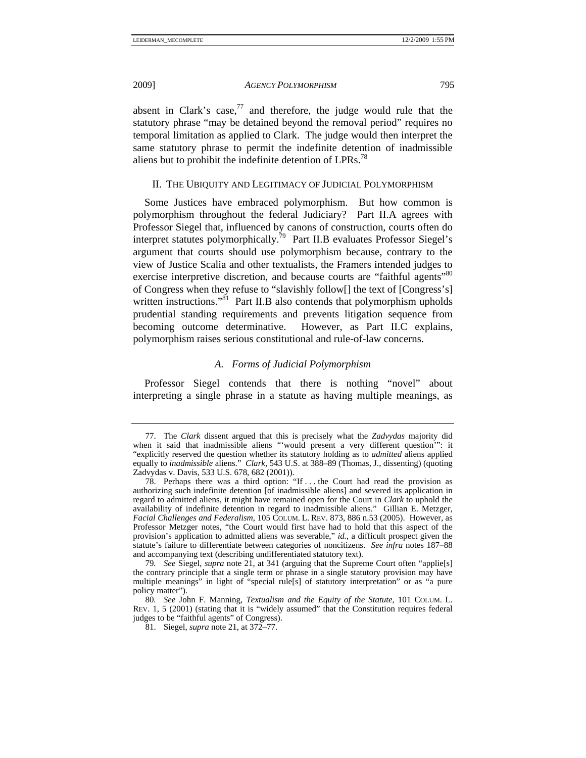absent in Clark's case, $^{77}$  and therefore, the judge would rule that the statutory phrase "may be detained beyond the removal period" requires no temporal limitation as applied to Clark. The judge would then interpret the same statutory phrase to permit the indefinite detention of inadmissible aliens but to prohibit the indefinite detention of  $LPRs.<sup>78</sup>$ 

# II. THE UBIQUITY AND LEGITIMACY OF JUDICIAL POLYMORPHISM

Some Justices have embraced polymorphism. But how common is polymorphism throughout the federal Judiciary? Part II.A agrees with Professor Siegel that, influenced by canons of construction, courts often do interpret statutes polymorphically.79 Part II.B evaluates Professor Siegel's argument that courts should use polymorphism because, contrary to the view of Justice Scalia and other textualists, the Framers intended judges to exercise interpretive discretion, and because courts are "faithful agents"<sup>80</sup> of Congress when they refuse to "slavishly follow[] the text of [Congress's] written instructions."<sup>81</sup> Part II.B also contends that polymorphism upholds prudential standing requirements and prevents litigation sequence from becoming outcome determinative. However, as Part II.C explains, polymorphism raises serious constitutional and rule-of-law concerns.

# *A. Forms of Judicial Polymorphism*

Professor Siegel contends that there is nothing "novel" about interpreting a single phrase in a statute as having multiple meanings, as

 <sup>77.</sup> The *Clark* dissent argued that this is precisely what the *Zadvydas* majority did when it said that inadmissible aliens "'would present a very different question'": it "explicitly reserved the question whether its statutory holding as to *admitted* aliens applied equally to *inadmissible* aliens." *Clark*, 543 U.S. at 388–89 (Thomas, J., dissenting) (quoting Zadvydas v. Davis, 533 U.S. 678, 682 (2001)).

 <sup>78.</sup> Perhaps there was a third option: "If . . . the Court had read the provision as authorizing such indefinite detention [of inadmissible aliens] and severed its application in regard to admitted aliens, it might have remained open for the Court in *Clark* to uphold the availability of indefinite detention in regard to inadmissible aliens." Gillian E. Metzger, *Facial Challenges and Federalism*, 105 COLUM. L. REV. 873, 886 n.53 (2005). However, as Professor Metzger notes, "the Court would first have had to hold that this aspect of the provision's application to admitted aliens was severable," *id.*, a difficult prospect given the statute's failure to differentiate between categories of noncitizens. *See infra* notes 187–88 and accompanying text (describing undifferentiated statutory text).

<sup>79</sup>*. See* Siegel, *supra* note 21, at 341 (arguing that the Supreme Court often "applie[s] the contrary principle that a single term or phrase in a single statutory provision may have multiple meanings" in light of "special rule[s] of statutory interpretation" or as "a pure policy matter").

<sup>80</sup>*. See* John F. Manning, *Textualism and the Equity of the Statute*, 101 COLUM. L. REV. 1, 5 (2001) (stating that it is "widely assumed" that the Constitution requires federal judges to be "faithful agents" of Congress).

 <sup>81.</sup> Siegel, *supra* note 21, at 372–77.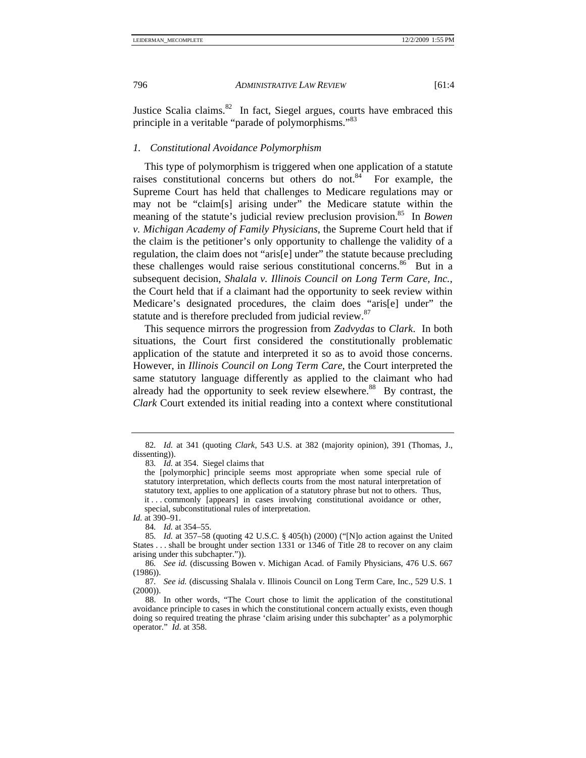Justice Scalia claims. $82$  In fact, Siegel argues, courts have embraced this principle in a veritable "parade of polymorphisms."<sup>83</sup>

# *1. Constitutional Avoidance Polymorphism*

This type of polymorphism is triggered when one application of a statute raises constitutional concerns but others do not. $84$  For example, the Supreme Court has held that challenges to Medicare regulations may or may not be "claim[s] arising under" the Medicare statute within the meaning of the statute's judicial review preclusion provision.<sup>85</sup> In *Bowen v. Michigan Academy of Family Physicians*, the Supreme Court held that if the claim is the petitioner's only opportunity to challenge the validity of a regulation, the claim does not "aris[e] under" the statute because precluding these challenges would raise serious constitutional concerns.<sup>86</sup> But in a subsequent decision, *Shalala v. Illinois Council on Long Term Care, Inc.*, the Court held that if a claimant had the opportunity to seek review within Medicare's designated procedures, the claim does "aris[e] under" the statute and is therefore precluded from judicial review.<sup>87</sup>

This sequence mirrors the progression from *Zadvydas* to *Clark*. In both situations, the Court first considered the constitutionally problematic application of the statute and interpreted it so as to avoid those concerns. However, in *Illinois Council on Long Term Care*, the Court interpreted the same statutory language differently as applied to the claimant who had already had the opportunity to seek review elsewhere.<sup>88</sup> By contrast, the *Clark* Court extended its initial reading into a context where constitutional

*Id.* at 390–91.

84*. Id.* at 354–55.

<sup>82</sup>*. Id.* at 341 (quoting *Clark*, 543 U.S. at 382 (majority opinion), 391 (Thomas, J., dissenting)).

<sup>83</sup>*. Id.* at 354. Siegel claims that

the [polymorphic] principle seems most appropriate when some special rule of statutory interpretation, which deflects courts from the most natural interpretation of statutory text, applies to one application of a statutory phrase but not to others. Thus, it . . . commonly [appears] in cases involving constitutional avoidance or other, special, subconstitutional rules of interpretation.

<sup>85</sup>*. Id.* at 357–58 (quoting 42 U.S.C. § 405(h) (2000) ("[N]o action against the United States . . . shall be brought under section 1331 or 1346 of Title 28 to recover on any claim arising under this subchapter.")).

<sup>86</sup>*. See id.* (discussing Bowen v. Michigan Acad. of Family Physicians, 476 U.S. 667 (1986)).

<sup>87</sup>*. See id.* (discussing Shalala v. Illinois Council on Long Term Care, Inc., 529 U.S. 1  $(2000)$ ).

 <sup>88.</sup> In other words, "The Court chose to limit the application of the constitutional avoidance principle to cases in which the constitutional concern actually exists, even though doing so required treating the phrase 'claim arising under this subchapter' as a polymorphic operator." *Id*. at 358.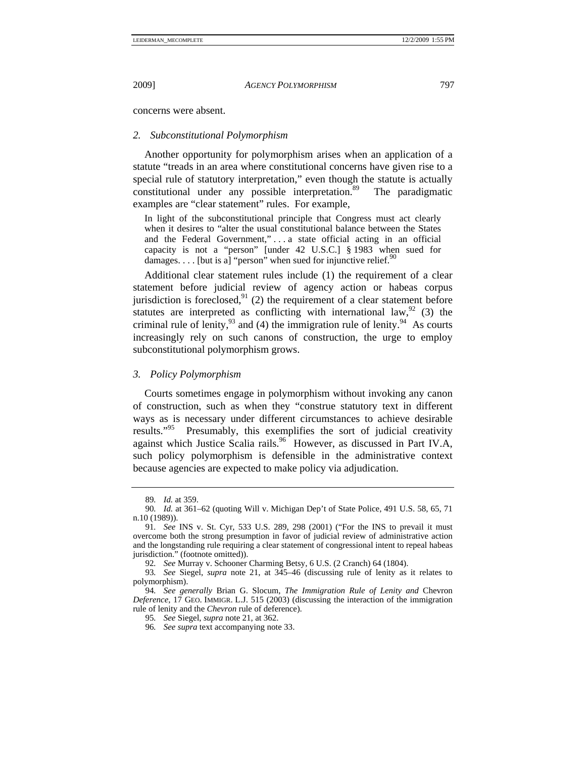concerns were absent.

# *2. Subconstitutional Polymorphism*

Another opportunity for polymorphism arises when an application of a statute "treads in an area where constitutional concerns have given rise to a special rule of statutory interpretation," even though the statute is actually constitutional under any possible interpretation.<sup>89</sup> The paradigmatic constitutional under any possible interpretation.<sup>89</sup> examples are "clear statement" rules. For example,

In light of the subconstitutional principle that Congress must act clearly when it desires to "alter the usual constitutional balance between the States and the Federal Government," . . . a state official acting in an official capacity is not a "person" [under 42 U.S.C.] § 1983 when sued for damages. . . . [but is a] "person" when sued for injunctive relief.<sup>90</sup>

Additional clear statement rules include (1) the requirement of a clear statement before judicial review of agency action or habeas corpus jurisdiction is foreclosed,  $91$  (2) the requirement of a clear statement before statutes are interpreted as conflicting with international law,  $^{92}$  (3) the criminal rule of lenity,  $93$  and (4) the immigration rule of lenity. <sup>94</sup> As courts increasingly rely on such canons of construction, the urge to employ subconstitutional polymorphism grows.

# *3. Policy Polymorphism*

Courts sometimes engage in polymorphism without invoking any canon of construction, such as when they "construe statutory text in different ways as is necessary under different circumstances to achieve desirable results."<sup>95</sup> Presumably, this exemplifies the sort of judicial creativity against which Justice Scalia rails.<sup>96</sup> However, as discussed in Part IV.A, such policy polymorphism is defensible in the administrative context because agencies are expected to make policy via adjudication.

<sup>89</sup>*. Id.* at 359.

<sup>90</sup>*. Id.* at 361–62 (quoting Will v. Michigan Dep't of State Police, 491 U.S. 58, 65, 71 n.10 (1989)).

<sup>91</sup>*. See* INS v. St. Cyr, 533 U.S. 289, 298 (2001) ("For the INS to prevail it must overcome both the strong presumption in favor of judicial review of administrative action and the longstanding rule requiring a clear statement of congressional intent to repeal habeas jurisdiction." (footnote omitted)).

<sup>92</sup>*. See* Murray v. Schooner Charming Betsy, 6 U.S. (2 Cranch) 64 (1804).

<sup>93</sup>*. See* Siegel, *supra* note 21, at 345–46 (discussing rule of lenity as it relates to polymorphism).

<sup>94</sup>*. See generally* Brian G. Slocum, *The Immigration Rule of Lenity and* Chevron *Deference*, 17 GEO. IMMIGR. L.J. 515 (2003) (discussing the interaction of the immigration rule of lenity and the *Chevron* rule of deference).

<sup>95</sup>*. See* Siegel, *supra* note 21, at 362.

<sup>96</sup>*. See supra* text accompanying note 33.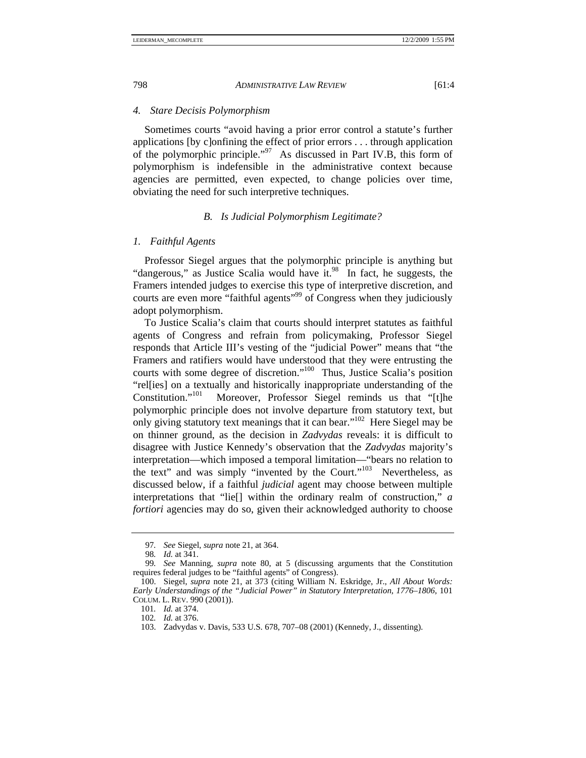#### *4. Stare Decisis Polymorphism*

Sometimes courts "avoid having a prior error control a statute's further applications [by c]onfining the effect of prior errors . . . through application of the polymorphic principle."97 As discussed in Part IV.B, this form of polymorphism is indefensible in the administrative context because agencies are permitted, even expected, to change policies over time, obviating the need for such interpretive techniques.

# *B. Is Judicial Polymorphism Legitimate?*

#### *1. Faithful Agents*

Professor Siegel argues that the polymorphic principle is anything but "dangerous," as Justice Scalia would have it.<sup>98</sup> In fact, he suggests, the Framers intended judges to exercise this type of interpretive discretion, and courts are even more "faithful agents"<sup>99</sup> of Congress when they judiciously adopt polymorphism.

To Justice Scalia's claim that courts should interpret statutes as faithful agents of Congress and refrain from policymaking, Professor Siegel responds that Article III's vesting of the "judicial Power" means that "the Framers and ratifiers would have understood that they were entrusting the courts with some degree of discretion."100 Thus, Justice Scalia's position "rel[ies] on a textually and historically inappropriate understanding of the Constitution."101 Moreover, Professor Siegel reminds us that "[t]he polymorphic principle does not involve departure from statutory text, but only giving statutory text meanings that it can bear."102 Here Siegel may be on thinner ground, as the decision in *Zadvydas* reveals: it is difficult to disagree with Justice Kennedy's observation that the *Zadvydas* majority's interpretation—which imposed a temporal limitation—"bears no relation to the text" and was simply "invented by the Court."<sup>103</sup> Nevertheless, as discussed below, if a faithful *judicial* agent may choose between multiple interpretations that "lie[] within the ordinary realm of construction," *a fortiori* agencies may do so, given their acknowledged authority to choose

<sup>97</sup>*. See* Siegel, *supra* note 21, at 364.

<sup>98</sup>*. Id.* at 341.

<sup>99</sup>*. See* Manning, *supra* note 80, at 5 (discussing arguments that the Constitution requires federal judges to be "faithful agents" of Congress).

 <sup>100.</sup> Siegel, *supra* note 21, at 373 (citing William N. Eskridge, Jr., *All About Words: Early Understandings of the "Judicial Power" in Statutory Interpretation, 1776–1806*, 101 COLUM. L. REV. 990 (2001)).

<sup>101</sup>*. Id.* at 374.

<sup>102</sup>*. Id.* at 376.

 <sup>103.</sup> Zadvydas v. Davis, 533 U.S. 678, 707–08 (2001) (Kennedy, J., dissenting).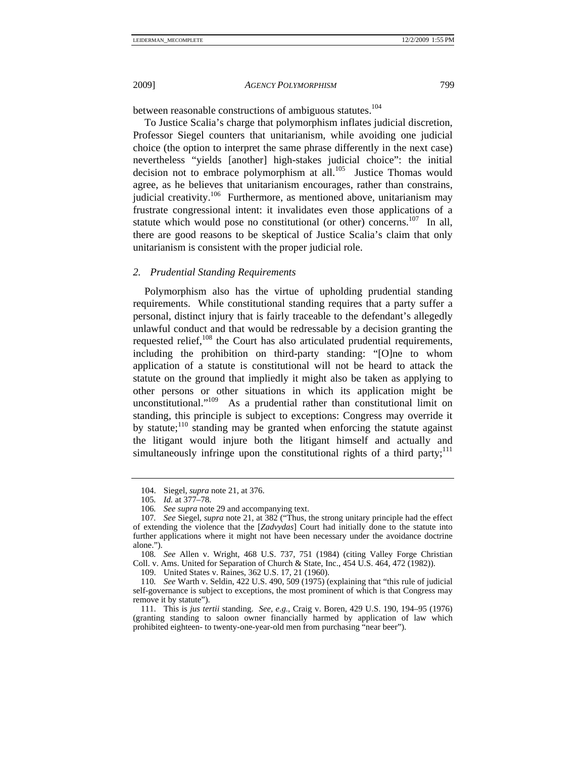between reasonable constructions of ambiguous statutes.<sup>104</sup>

To Justice Scalia's charge that polymorphism inflates judicial discretion, Professor Siegel counters that unitarianism, while avoiding one judicial choice (the option to interpret the same phrase differently in the next case) nevertheless "yields [another] high-stakes judicial choice": the initial decision not to embrace polymorphism at all.<sup>105</sup> Justice Thomas would agree, as he believes that unitarianism encourages, rather than constrains, judicial creativity.<sup>106</sup> Furthermore, as mentioned above, unitarianism may frustrate congressional intent: it invalidates even those applications of a statute which would pose no constitutional (or other) concerns.<sup>107</sup> In all, there are good reasons to be skeptical of Justice Scalia's claim that only unitarianism is consistent with the proper judicial role.

# *2. Prudential Standing Requirements*

Polymorphism also has the virtue of upholding prudential standing requirements. While constitutional standing requires that a party suffer a personal, distinct injury that is fairly traceable to the defendant's allegedly unlawful conduct and that would be redressable by a decision granting the requested relief, $108$  the Court has also articulated prudential requirements, including the prohibition on third-party standing: "[O]ne to whom application of a statute is constitutional will not be heard to attack the statute on the ground that impliedly it might also be taken as applying to other persons or other situations in which its application might be unconstitutional."109 As a prudential rather than constitutional limit on standing, this principle is subject to exceptions: Congress may override it by statute;<sup>110</sup> standing may be granted when enforcing the statute against the litigant would injure both the litigant himself and actually and simultaneously infringe upon the constitutional rights of a third party; $^{111}$ 

108*. See* Allen v. Wright, 468 U.S. 737, 751 (1984) (citing Valley Forge Christian Coll. v. Ams. United for Separation of Church & State, Inc., 454 U.S. 464, 472 (1982)).

109. United States v. Raines, 362 U.S. 17, 21 (1960).

 <sup>104.</sup> Siegel, *supra* note 21, at 376.

<sup>105</sup>*. Id.* at 377–78.

<sup>106</sup>*. See supra* note 29 and accompanying text.

<sup>107</sup>*. See* Siegel, *supra* note 21, at 382 ("Thus, the strong unitary principle had the effect of extending the violence that the [*Zadvydas*] Court had initially done to the statute into further applications where it might not have been necessary under the avoidance doctrine alone.").

<sup>110</sup>*. See* Warth v. Seldin, 422 U.S. 490, 509 (1975) (explaining that "this rule of judicial self-governance is subject to exceptions, the most prominent of which is that Congress may remove it by statute").

 <sup>111.</sup> This is *jus tertii* standing. *See, e.g.*, Craig v. Boren, 429 U.S. 190, 194–95 (1976) (granting standing to saloon owner financially harmed by application of law which prohibited eighteen- to twenty-one-year-old men from purchasing "near beer").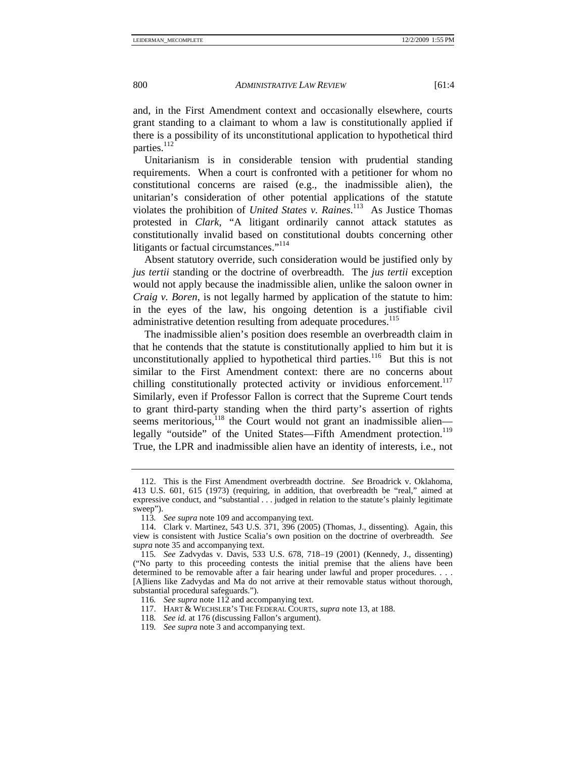and, in the First Amendment context and occasionally elsewhere, courts grant standing to a claimant to whom a law is constitutionally applied if there is a possibility of its unconstitutional application to hypothetical third parties.<sup>112</sup>

Unitarianism is in considerable tension with prudential standing requirements. When a court is confronted with a petitioner for whom no constitutional concerns are raised (e.g., the inadmissible alien), the unitarian's consideration of other potential applications of the statute violates the prohibition of *United States v. Raines*. 113 As Justice Thomas protested in *Clark*, "A litigant ordinarily cannot attack statutes as constitutionally invalid based on constitutional doubts concerning other litigants or factual circumstances."<sup>114</sup>

Absent statutory override, such consideration would be justified only by *jus tertii* standing or the doctrine of overbreadth. The *jus tertii* exception would not apply because the inadmissible alien, unlike the saloon owner in *Craig v. Boren*, is not legally harmed by application of the statute to him: in the eyes of the law, his ongoing detention is a justifiable civil administrative detention resulting from adequate procedures.<sup>115</sup>

The inadmissible alien's position does resemble an overbreadth claim in that he contends that the statute is constitutionally applied to him but it is unconstitutionally applied to hypothetical third parties.<sup>116</sup> But this is not similar to the First Amendment context: there are no concerns about chilling constitutionally protected activity or invidious enforcement.<sup>117</sup> Similarly, even if Professor Fallon is correct that the Supreme Court tends to grant third-party standing when the third party's assertion of rights seems meritorious,<sup>118</sup> the Court would not grant an inadmissible alien legally "outside" of the United States—Fifth Amendment protection.<sup>119</sup> True, the LPR and inadmissible alien have an identity of interests, i.e., not

 <sup>112.</sup> This is the First Amendment overbreadth doctrine. *See* Broadrick v. Oklahoma, 413 U.S. 601, 615 (1973) (requiring, in addition, that overbreadth be "real," aimed at expressive conduct, and "substantial . . . judged in relation to the statute's plainly legitimate sweep").

<sup>113</sup>*. See supra* note 109 and accompanying text.

 <sup>114.</sup> Clark v. Martinez, 543 U.S. 371, 396 (2005) (Thomas, J., dissenting). Again, this view is consistent with Justice Scalia's own position on the doctrine of overbreadth. *See supra* note 35 and accompanying text.

<sup>115</sup>*. See* Zadvydas v. Davis, 533 U.S. 678, 718–19 (2001) (Kennedy, J., dissenting) ("No party to this proceeding contests the initial premise that the aliens have been determined to be removable after a fair hearing under lawful and proper procedures. . . . [A]liens like Zadvydas and Ma do not arrive at their removable status without thorough, substantial procedural safeguards.").

<sup>116</sup>*. See supra* note 112 and accompanying text.

 <sup>117.</sup> HART & WECHSLER'S THE FEDERAL COURTS, *supra* note 13, at 188.

<sup>118</sup>*. See id.* at 176 (discussing Fallon's argument).

<sup>119</sup>*. See supra* note 3 and accompanying text.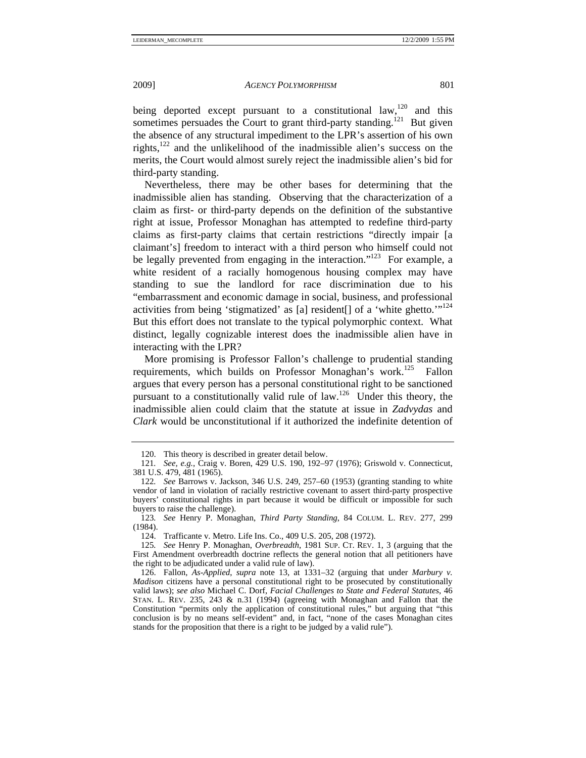being deported except pursuant to a constitutional law,  $120$  and this sometimes persuades the Court to grant third-party standing.<sup>121</sup> But given the absence of any structural impediment to the LPR's assertion of his own rights, $122$  and the unlikelihood of the inadmissible alien's success on the merits, the Court would almost surely reject the inadmissible alien's bid for third-party standing.

Nevertheless, there may be other bases for determining that the inadmissible alien has standing. Observing that the characterization of a claim as first- or third-party depends on the definition of the substantive right at issue, Professor Monaghan has attempted to redefine third-party claims as first-party claims that certain restrictions "directly impair [a claimant's] freedom to interact with a third person who himself could not be legally prevented from engaging in the interaction."<sup>123</sup> For example, a white resident of a racially homogenous housing complex may have standing to sue the landlord for race discrimination due to his "embarrassment and economic damage in social, business, and professional activities from being 'stigmatized' as [a] resident[] of a 'white ghetto.'"<sup>124</sup> But this effort does not translate to the typical polymorphic context. What distinct, legally cognizable interest does the inadmissible alien have in interacting with the LPR?

More promising is Professor Fallon's challenge to prudential standing requirements, which builds on Professor Monaghan's work.<sup>125</sup> Fallon argues that every person has a personal constitutional right to be sanctioned pursuant to a constitutionally valid rule of law.126 Under this theory, the inadmissible alien could claim that the statute at issue in *Zadvydas* and *Clark* would be unconstitutional if it authorized the indefinite detention of

 <sup>120.</sup> This theory is described in greater detail below.

<sup>121</sup>*. See, e.g.*, Craig v. Boren, 429 U.S. 190, 192–97 (1976); Griswold v. Connecticut, 381 U.S. 479, 481 (1965).

<sup>122</sup>*. See* Barrows v. Jackson, 346 U.S. 249, 257–60 (1953) (granting standing to white vendor of land in violation of racially restrictive covenant to assert third-party prospective buyers' constitutional rights in part because it would be difficult or impossible for such buyers to raise the challenge).

<sup>123</sup>*. See* Henry P. Monaghan, *Third Party Standing*, 84 COLUM. L. REV. 277, 299 (1984).

 <sup>124.</sup> Trafficante v. Metro. Life Ins. Co., 409 U.S. 205, 208 (1972).

<sup>125</sup>*. See* Henry P. Monaghan, *Overbreadth*, 1981 SUP. CT. REV. 1, 3 (arguing that the First Amendment overbreadth doctrine reflects the general notion that all petitioners have the right to be adjudicated under a valid rule of law).

 <sup>126.</sup> Fallon, *As-Applied*, *supra* note 13, at 1331–32 (arguing that under *Marbury v. Madison* citizens have a personal constitutional right to be prosecuted by constitutionally valid laws); *see also* Michael C. Dorf, *Facial Challenges to State and Federal Statutes*, 46 STAN. L. REV. 235, 243 & n.31 (1994) (agreeing with Monaghan and Fallon that the Constitution "permits only the application of constitutional rules," but arguing that "this conclusion is by no means self-evident" and, in fact, "none of the cases Monaghan cites stands for the proposition that there is a right to be judged by a valid rule").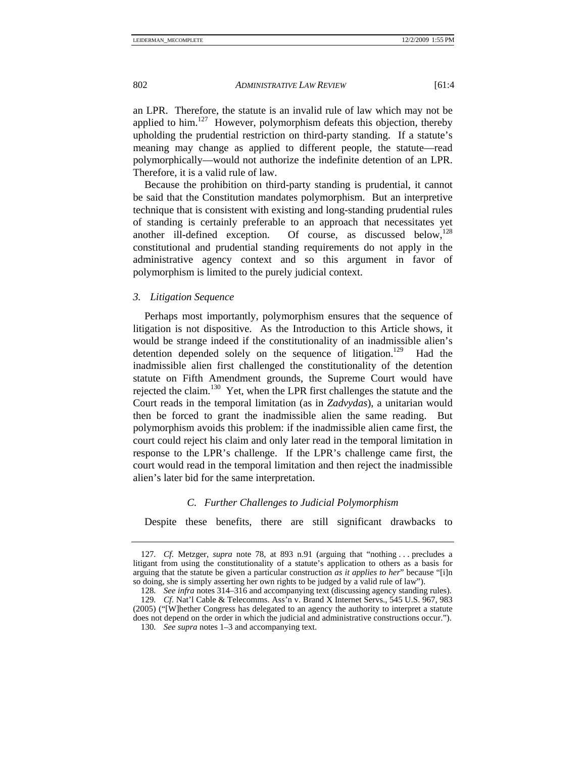an LPR. Therefore, the statute is an invalid rule of law which may not be applied to him.<sup>127</sup> However, polymorphism defeats this objection, thereby upholding the prudential restriction on third-party standing. If a statute's meaning may change as applied to different people, the statute—read polymorphically—would not authorize the indefinite detention of an LPR. Therefore, it is a valid rule of law.

Because the prohibition on third-party standing is prudential, it cannot be said that the Constitution mandates polymorphism. But an interpretive technique that is consistent with existing and long-standing prudential rules of standing is certainly preferable to an approach that necessitates yet another ill-defined exception. Of course, as discussed below, $128$ constitutional and prudential standing requirements do not apply in the administrative agency context and so this argument in favor of polymorphism is limited to the purely judicial context.

*3. Litigation Sequence* 

Perhaps most importantly, polymorphism ensures that the sequence of litigation is not dispositive. As the Introduction to this Article shows, it would be strange indeed if the constitutionality of an inadmissible alien's detention depended solely on the sequence of litigation.<sup>129</sup> Had the inadmissible alien first challenged the constitutionality of the detention statute on Fifth Amendment grounds, the Supreme Court would have rejected the claim.<sup>130</sup> Yet, when the LPR first challenges the statute and the Court reads in the temporal limitation (as in *Zadvydas*), a unitarian would then be forced to grant the inadmissible alien the same reading. But polymorphism avoids this problem: if the inadmissible alien came first, the court could reject his claim and only later read in the temporal limitation in response to the LPR's challenge. If the LPR's challenge came first, the court would read in the temporal limitation and then reject the inadmissible alien's later bid for the same interpretation.

# *C. Further Challenges to Judicial Polymorphism*

Despite these benefits, there are still significant drawbacks to

<sup>127</sup>*. Cf.* Metzger, *supra* note 78, at 893 n.91 (arguing that "nothing . . . precludes a litigant from using the constitutionality of a statute's application to others as a basis for arguing that the statute be given a particular construction *as it applies to her*" because "[i]n so doing, she is simply asserting her own rights to be judged by a valid rule of law").

<sup>128</sup>*. See infra* notes 314–316 and accompanying text (discussing agency standing rules).

<sup>129</sup>*. Cf.* Nat'l Cable & Telecomms. Ass'n v. Brand X Internet Servs., 545 U.S. 967, 983 (2005) ("[W]hether Congress has delegated to an agency the authority to interpret a statute does not depend on the order in which the judicial and administrative constructions occur.").

<sup>130</sup>*. See supra* notes 1–3 and accompanying text.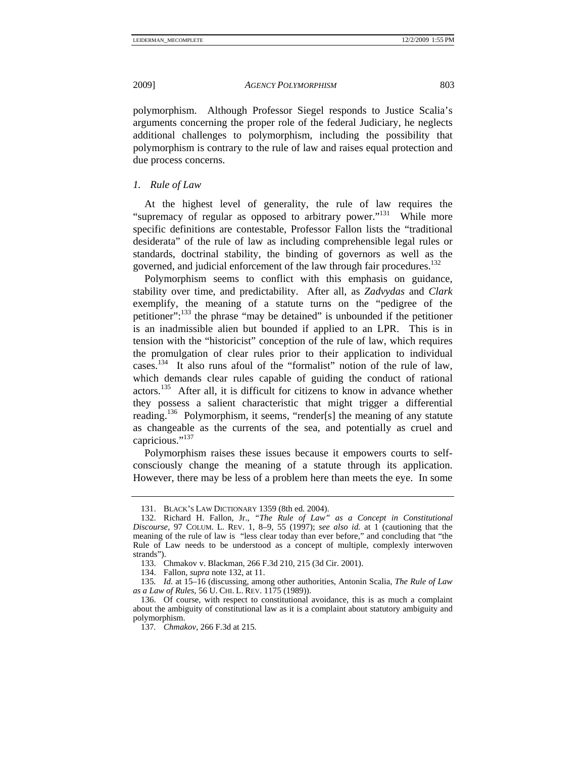polymorphism. Although Professor Siegel responds to Justice Scalia's arguments concerning the proper role of the federal Judiciary, he neglects additional challenges to polymorphism, including the possibility that polymorphism is contrary to the rule of law and raises equal protection and due process concerns.

# *1. Rule of Law*

At the highest level of generality, the rule of law requires the "supremacy of regular as opposed to arbitrary power."131 While more specific definitions are contestable, Professor Fallon lists the "traditional desiderata" of the rule of law as including comprehensible legal rules or standards, doctrinal stability, the binding of governors as well as the governed, and judicial enforcement of the law through fair procedures.<sup>132</sup>

Polymorphism seems to conflict with this emphasis on guidance, stability over time, and predictability. After all, as *Zadvydas* and *Clark*  exemplify, the meaning of a statute turns on the "pedigree of the petitioner":133 the phrase "may be detained" is unbounded if the petitioner is an inadmissible alien but bounded if applied to an LPR. This is in tension with the "historicist" conception of the rule of law, which requires the promulgation of clear rules prior to their application to individual cases.134 It also runs afoul of the "formalist" notion of the rule of law, which demands clear rules capable of guiding the conduct of rational actors.135 After all, it is difficult for citizens to know in advance whether they possess a salient characteristic that might trigger a differential reading.<sup>136</sup> Polymorphism, it seems, "render[s] the meaning of any statute as changeable as the currents of the sea, and potentially as cruel and capricious."<sup>137</sup>

Polymorphism raises these issues because it empowers courts to selfconsciously change the meaning of a statute through its application. However, there may be less of a problem here than meets the eye. In some

 <sup>131.</sup> BLACK'S LAW DICTIONARY 1359 (8th ed. 2004).

 <sup>132.</sup> Richard H. Fallon, Jr., *"The Rule of Law" as a Concept in Constitutional Discourse*, 97 COLUM. L. REV. 1, 8–9, 55 (1997); *see also id.* at 1 (cautioning that the meaning of the rule of law is "less clear today than ever before," and concluding that "the Rule of Law needs to be understood as a concept of multiple, complexly interwoven strands").

 <sup>133.</sup> Chmakov v. Blackman, 266 F.3d 210, 215 (3d Cir. 2001).

 <sup>134.</sup> Fallon, *supra* note 132, at 11.

<sup>135</sup>*. Id.* at 15–16 (discussing, among other authorities, Antonin Scalia, *The Rule of Law as a Law of Rules*, 56 U. CHI. L. REV. 1175 (1989)).

 <sup>136.</sup> Of course, with respect to constitutional avoidance, this is as much a complaint about the ambiguity of constitutional law as it is a complaint about statutory ambiguity and polymorphism.

<sup>137</sup>*. Chmakov*, 266 F.3d at 215.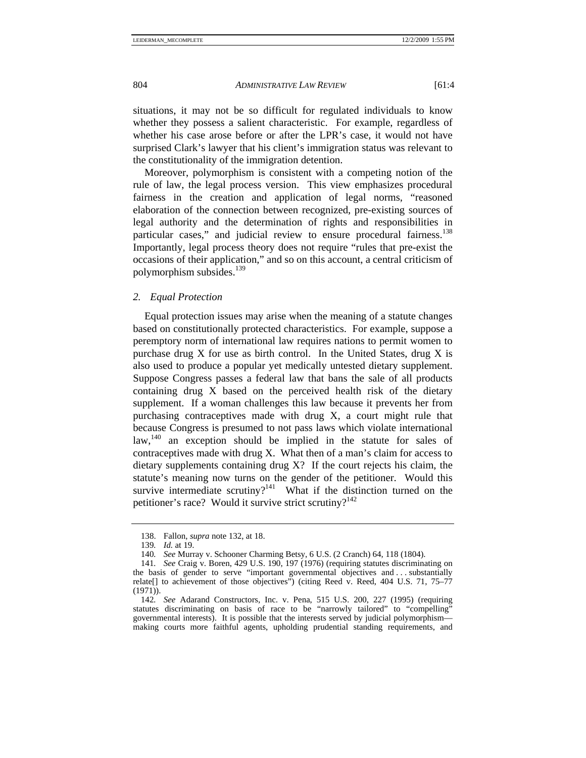situations, it may not be so difficult for regulated individuals to know whether they possess a salient characteristic. For example, regardless of whether his case arose before or after the LPR's case, it would not have surprised Clark's lawyer that his client's immigration status was relevant to the constitutionality of the immigration detention.

Moreover, polymorphism is consistent with a competing notion of the rule of law, the legal process version. This view emphasizes procedural fairness in the creation and application of legal norms, "reasoned elaboration of the connection between recognized, pre-existing sources of legal authority and the determination of rights and responsibilities in particular cases," and judicial review to ensure procedural fairness.<sup>138</sup> Importantly, legal process theory does not require "rules that pre-exist the occasions of their application," and so on this account, a central criticism of polymorphism subsides.<sup>139</sup>

#### *2. Equal Protection*

Equal protection issues may arise when the meaning of a statute changes based on constitutionally protected characteristics. For example, suppose a peremptory norm of international law requires nations to permit women to purchase drug X for use as birth control. In the United States, drug X is also used to produce a popular yet medically untested dietary supplement. Suppose Congress passes a federal law that bans the sale of all products containing drug X based on the perceived health risk of the dietary supplement. If a woman challenges this law because it prevents her from purchasing contraceptives made with drug X, a court might rule that because Congress is presumed to not pass laws which violate international law,<sup>140</sup> an exception should be implied in the statute for sales of contraceptives made with drug X. What then of a man's claim for access to dietary supplements containing drug X? If the court rejects his claim, the statute's meaning now turns on the gender of the petitioner. Would this survive intermediate scrutiny?<sup>141</sup> What if the distinction turned on the petitioner's race? Would it survive strict scrutiny? $142$ 

 <sup>138.</sup> Fallon, *supra* note 132, at 18.

<sup>139</sup>*. Id.* at 19.

<sup>140</sup>*. See* Murray v. Schooner Charming Betsy, 6 U.S. (2 Cranch) 64, 118 (1804).

<sup>141</sup>*. See* Craig v. Boren, 429 U.S. 190, 197 (1976) (requiring statutes discriminating on the basis of gender to serve "important governmental objectives and . . . substantially relate[] to achievement of those objectives") (citing Reed v. Reed, 404 U.S. 71, 75–77 (1971)).

<sup>142</sup>*. See* Adarand Constructors, Inc. v. Pena, 515 U.S. 200, 227 (1995) (requiring statutes discriminating on basis of race to be "narrowly tailored" to "compelling" governmental interests). It is possible that the interests served by judicial polymorphism making courts more faithful agents, upholding prudential standing requirements, and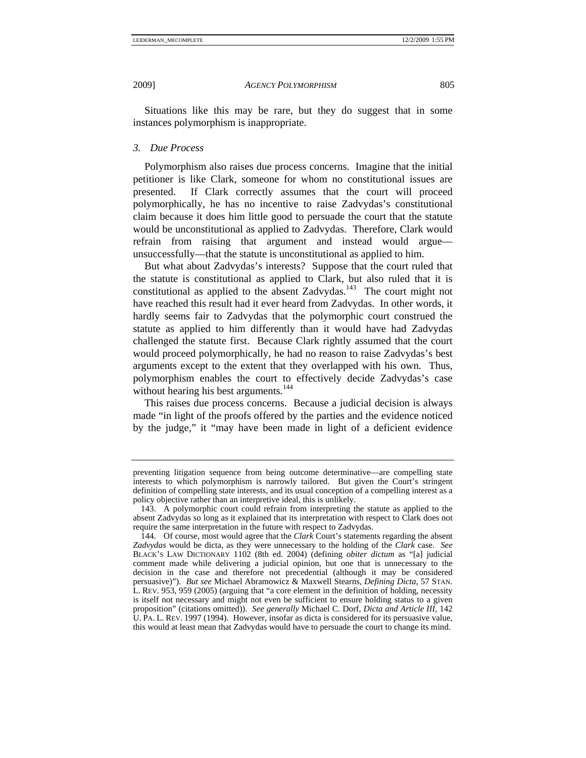Situations like this may be rare, but they do suggest that in some instances polymorphism is inappropriate.

## *3. Due Process*

Polymorphism also raises due process concerns. Imagine that the initial petitioner is like Clark, someone for whom no constitutional issues are presented. If Clark correctly assumes that the court will proceed polymorphically, he has no incentive to raise Zadvydas's constitutional claim because it does him little good to persuade the court that the statute would be unconstitutional as applied to Zadvydas. Therefore, Clark would refrain from raising that argument and instead would argue unsuccessfully—that the statute is unconstitutional as applied to him.

But what about Zadvydas's interests? Suppose that the court ruled that the statute is constitutional as applied to Clark, but also ruled that it is constitutional as applied to the absent Zadvydas.<sup>143</sup> The court might not have reached this result had it ever heard from Zadvydas. In other words, it hardly seems fair to Zadvydas that the polymorphic court construed the statute as applied to him differently than it would have had Zadvydas challenged the statute first. Because Clark rightly assumed that the court would proceed polymorphically, he had no reason to raise Zadvydas's best arguments except to the extent that they overlapped with his own. Thus, polymorphism enables the court to effectively decide Zadvydas's case without hearing his best arguments.<sup>144</sup>

This raises due process concerns. Because a judicial decision is always made "in light of the proofs offered by the parties and the evidence noticed by the judge," it "may have been made in light of a deficient evidence

preventing litigation sequence from being outcome determinative—are compelling state interests to which polymorphism is narrowly tailored. But given the Court's stringent definition of compelling state interests, and its usual conception of a compelling interest as a policy objective rather than an interpretive ideal, this is unlikely.

 <sup>143.</sup> A polymorphic court could refrain from interpreting the statute as applied to the absent Zadvydas so long as it explained that its interpretation with respect to Clark does not require the same interpretation in the future with respect to Zadvydas.

 <sup>144.</sup> Of course, most would agree that the *Clark* Court's statements regarding the absent *Zadvydas* would be dicta, as they were unnecessary to the holding of the *Clark* case. *See*  BLACK'S LAW DICTIONARY 1102 (8th ed. 2004) (defining *obiter dictum* as "[a] judicial comment made while delivering a judicial opinion, but one that is unnecessary to the decision in the case and therefore not precedential (although it may be considered persuasive)"). *But see* Michael Abramowicz & Maxwell Stearns, *Defining Dicta*, 57 STAN. L. REV. 953, 959 (2005) (arguing that "a core element in the definition of holding, necessity is itself not necessary and might not even be sufficient to ensure holding status to a given proposition" (citations omitted)). *See generally* Michael C. Dorf, *Dicta and Article III*, 142 U. PA. L. REV. 1997 (1994). However, insofar as dicta is considered for its persuasive value, this would at least mean that Zadvydas would have to persuade the court to change its mind.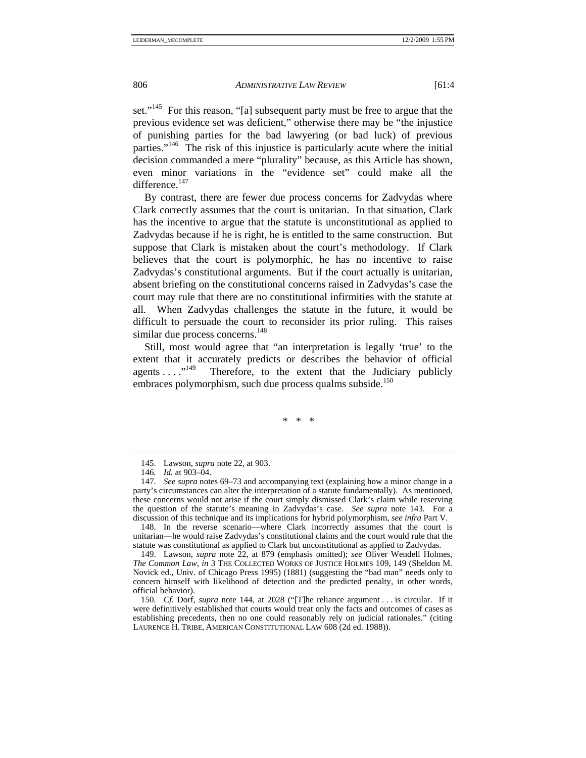set."<sup>145</sup> For this reason, "[a] subsequent party must be free to argue that the previous evidence set was deficient," otherwise there may be "the injustice of punishing parties for the bad lawyering (or bad luck) of previous parties."146 The risk of this injustice is particularly acute where the initial decision commanded a mere "plurality" because, as this Article has shown, even minor variations in the "evidence set" could make all the difference.<sup>147</sup>

By contrast, there are fewer due process concerns for Zadvydas where Clark correctly assumes that the court is unitarian. In that situation, Clark has the incentive to argue that the statute is unconstitutional as applied to Zadvydas because if he is right, he is entitled to the same construction. But suppose that Clark is mistaken about the court's methodology. If Clark believes that the court is polymorphic, he has no incentive to raise Zadvydas's constitutional arguments. But if the court actually is unitarian, absent briefing on the constitutional concerns raised in Zadvydas's case the court may rule that there are no constitutional infirmities with the statute at all. When Zadvydas challenges the statute in the future, it would be difficult to persuade the court to reconsider its prior ruling. This raises similar due process concerns.<sup>148</sup>

Still, most would agree that "an interpretation is legally 'true' to the extent that it accurately predicts or describes the behavior of official agents ...."<sup>149</sup> Therefore, to the extent that the Judiciary publicly Therefore, to the extent that the Judiciary publicly embraces polymorphism, such due process qualms subside.<sup>150</sup>

\* \* \*

 148. In the reverse scenario—where Clark incorrectly assumes that the court is unitarian—he would raise Zadvydas's constitutional claims and the court would rule that the statute was constitutional as applied to Clark but unconstitutional as applied to Zadvydas.

 <sup>145.</sup> Lawson, *supra* note 22, at 903.

<sup>146</sup>*. Id.* at 903–04.

<sup>147</sup>*. See supra* notes 69–73 and accompanying text (explaining how a minor change in a party's circumstances can alter the interpretation of a statute fundamentally). As mentioned, these concerns would not arise if the court simply dismissed Clark's claim while reserving the question of the statute's meaning in Zadvydas's case. *See supra* note 143. For a discussion of this technique and its implications for hybrid polymorphism, *see infra* Part V.

 <sup>149.</sup> Lawson, *supra* note 22, at 879 (emphasis omitted); *see* Oliver Wendell Holmes, *The Common Law*, *in* 3 THE COLLECTED WORKS OF JUSTICE HOLMES 109, 149 (Sheldon M. Novick ed., Univ. of Chicago Press 1995) (1881) (suggesting the "bad man" needs only to concern himself with likelihood of detection and the predicted penalty, in other words, official behavior).

<sup>150</sup>*. Cf.* Dorf, *supra* note 144, at 2028 ("[T]he reliance argument . . . is circular. If it were definitively established that courts would treat only the facts and outcomes of cases as establishing precedents, then no one could reasonably rely on judicial rationales." (citing LAURENCE H. TRIBE, AMERICAN CONSTITUTIONAL LAW 608 (2d ed. 1988)).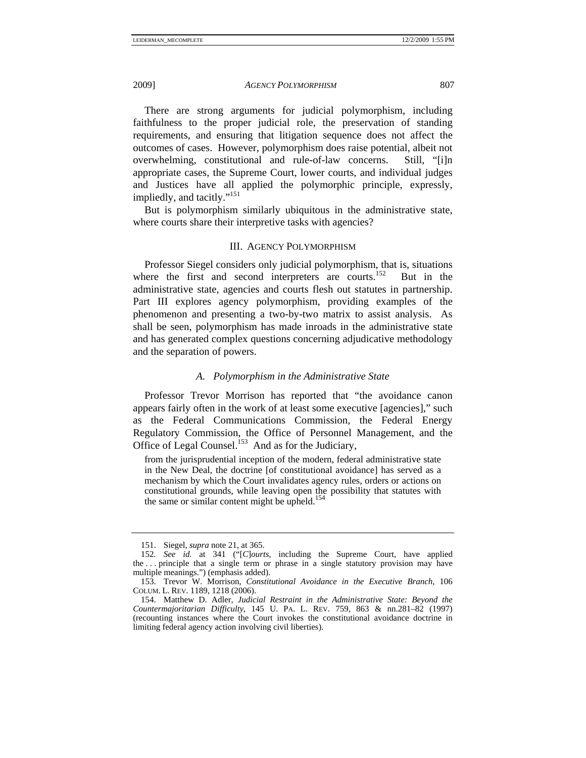There are strong arguments for judicial polymorphism, including faithfulness to the proper judicial role, the preservation of standing requirements, and ensuring that litigation sequence does not affect the outcomes of cases. However, polymorphism does raise potential, albeit not overwhelming, constitutional and rule-of-law concerns. Still, "[i]n appropriate cases, the Supreme Court, lower courts, and individual judges and Justices have all applied the polymorphic principle, expressly, impliedly, and tacitly."<sup>151</sup>

But is polymorphism similarly ubiquitous in the administrative state, where courts share their interpretive tasks with agencies?

#### III. AGENCY POLYMORPHISM

Professor Siegel considers only judicial polymorphism, that is, situations where the first and second interpreters are courts.<sup>152</sup> But in the administrative state, agencies and courts flesh out statutes in partnership. Part III explores agency polymorphism, providing examples of the phenomenon and presenting a two-by-two matrix to assist analysis.As shall be seen, polymorphism has made inroads in the administrative state and has generated complex questions concerning adjudicative methodology and the separation of powers.

#### *A. Polymorphism in the Administrative State*

Professor Trevor Morrison has reported that "the avoidance canon appears fairly often in the work of at least some executive [agencies]," such as the Federal Communications Commission, the Federal Energy Regulatory Commission, the Office of Personnel Management, and the Office of Legal Counsel.<sup>153</sup> And as for the Judiciary,

from the jurisprudential inception of the modern, federal administrative state in the New Deal, the doctrine [of constitutional avoidance] has served as a mechanism by which the Court invalidates agency rules, orders or actions on constitutional grounds, while leaving open the possibility that statutes with the same or similar content might be upheld.<sup>154</sup>

 <sup>151.</sup> Siegel, *supra* note 21, at 365.

<sup>152</sup>*. See id.* at 341 ("[*C*]*ourts*, including the Supreme Court, have applied the . . . principle that a single term or phrase in a single statutory provision may have multiple meanings.") (emphasis added).

 <sup>153.</sup> Trevor W. Morrison, *Constitutional Avoidance in the Executive Branch*, 106 COLUM. L. REV. 1189, 1218 (2006).

 <sup>154.</sup> Matthew D. Adler, *Judicial Restraint in the Administrative State: Beyond the Countermajoritarian Difficulty*, 145 U. PA. L. REV. 759, 863 & nn.281–82 (1997) (recounting instances where the Court invokes the constitutional avoidance doctrine in limiting federal agency action involving civil liberties).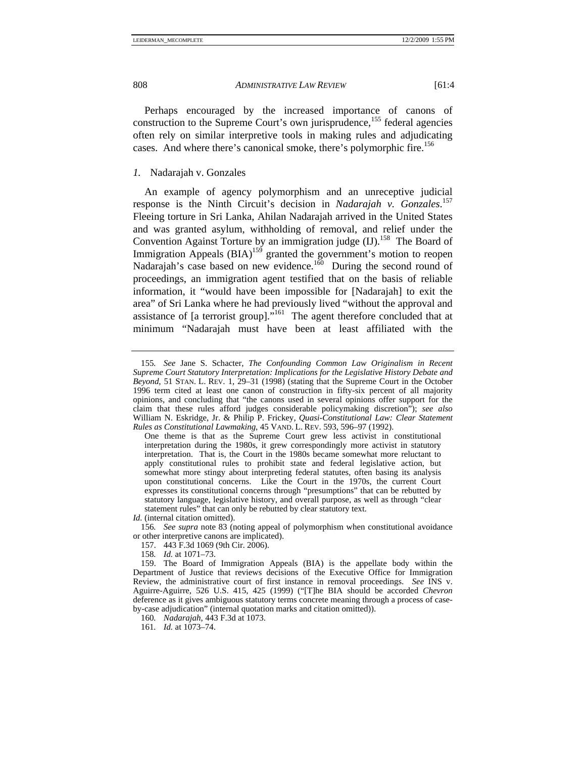Perhaps encouraged by the increased importance of canons of construction to the Supreme Court's own jurisprudence,<sup>155</sup> federal agencies often rely on similar interpretive tools in making rules and adjudicating cases. And where there's canonical smoke, there's polymorphic fire.<sup>156</sup>

# *1.* Nadarajah v. Gonzales

An example of agency polymorphism and an unreceptive judicial response is the Ninth Circuit's decision in *Nadarajah v. Gonzales*. 157 Fleeing torture in Sri Lanka, Ahilan Nadarajah arrived in the United States and was granted asylum, withholding of removal, and relief under the Convention Against Torture by an immigration judge  $(II)$ .<sup>158</sup> The Board of Immigration Appeals  $(BIA)^{159}$  granted the government's motion to reopen Nadarajah's case based on new evidence.<sup>160</sup> During the second round of proceedings, an immigration agent testified that on the basis of reliable information, it "would have been impossible for [Nadarajah] to exit the area" of Sri Lanka where he had previously lived "without the approval and assistance of [a terrorist group]."<sup>161</sup> The agent therefore concluded that at minimum "Nadarajah must have been at least affiliated with the

158*. Id.* at 1071–73.

<sup>155</sup>*. See* Jane S. Schacter, *The Confounding Common Law Originalism in Recent Supreme Court Statutory Interpretation: Implications for the Legislative History Debate and Beyond*, 51 STAN. L. REV. 1, 29–31 (1998) (stating that the Supreme Court in the October 1996 term cited at least one canon of construction in fifty-six percent of all majority opinions, and concluding that "the canons used in several opinions offer support for the claim that these rules afford judges considerable policymaking discretion"); *see also* William N. Eskridge, Jr. & Philip P. Frickey, *Quasi-Constitutional Law: Clear Statement Rules as Constitutional Lawmaking*, 45 VAND. L. REV. 593, 596–97 (1992).

One theme is that as the Supreme Court grew less activist in constitutional interpretation during the 1980s, it grew correspondingly more activist in statutory interpretation. That is, the Court in the 1980s became somewhat more reluctant to apply constitutional rules to prohibit state and federal legislative action, but somewhat more stingy about interpreting federal statutes, often basing its analysis upon constitutional concerns. Like the Court in the 1970s, the current Court expresses its constitutional concerns through "presumptions" that can be rebutted by statutory language, legislative history, and overall purpose, as well as through "clear statement rules" that can only be rebutted by clear statutory text.

*Id.* (internal citation omitted).

<sup>156</sup>*. See supra* note 83 (noting appeal of polymorphism when constitutional avoidance or other interpretive canons are implicated).

 <sup>157. 443</sup> F.3d 1069 (9th Cir. 2006).

 <sup>159.</sup> The Board of Immigration Appeals (BIA) is the appellate body within the Department of Justice that reviews decisions of the Executive Office for Immigration Review, the administrative court of first instance in removal proceedings. *See* INS v. Aguirre-Aguirre, 526 U.S. 415, 425 (1999) ("[T]he BIA should be accorded *Chevron* deference as it gives ambiguous statutory terms concrete meaning through a process of caseby-case adjudication" (internal quotation marks and citation omitted)).

<sup>160</sup>*. Nadarajah*, 443 F.3d at 1073.

<sup>161</sup>*. Id.* at 1073–74.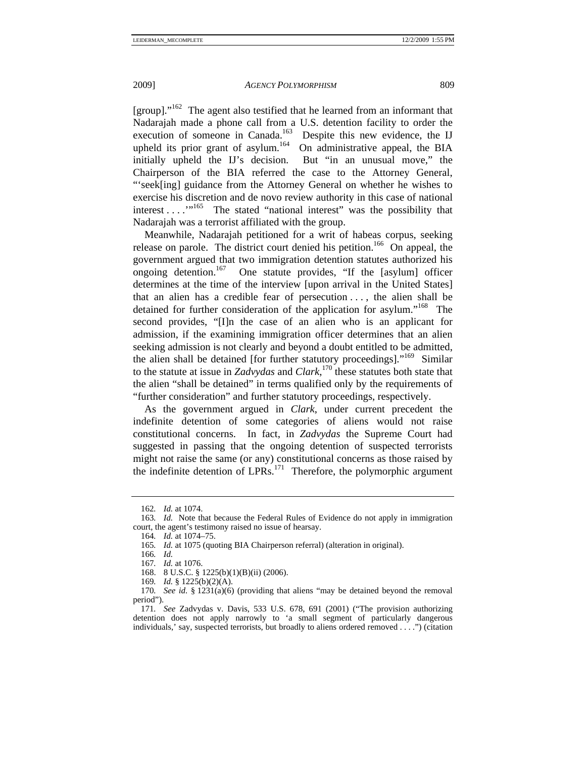[group]." $162$  The agent also testified that he learned from an informant that Nadarajah made a phone call from a U.S. detention facility to order the execution of someone in Canada.<sup>163</sup> Despite this new evidence, the IJ upheld its prior grant of asylum.<sup>164</sup> On administrative appeal, the BIA initially upheld the IJ's decision. But "in an unusual move," the Chairperson of the BIA referred the case to the Attorney General, "'seek[ing] guidance from the Attorney General on whether he wishes to exercise his discretion and de novo review authority in this case of national interest . . . . . . . . . The stated "national interest" was the possibility that Nadarajah was a terrorist affiliated with the group.

Meanwhile, Nadarajah petitioned for a writ of habeas corpus, seeking release on parole. The district court denied his petition.<sup>166</sup> On appeal, the government argued that two immigration detention statutes authorized his ongoing detention.<sup>167</sup> One statute provides, "If the [asylum] officer determines at the time of the interview [upon arrival in the United States] that an alien has a credible fear of persecution . . . , the alien shall be detained for further consideration of the application for asylum."<sup>168</sup> The second provides, "[I]n the case of an alien who is an applicant for admission, if the examining immigration officer determines that an alien seeking admission is not clearly and beyond a doubt entitled to be admitted, the alien shall be detained [for further statutory proceedings]."<sup>169</sup> Similar to the statute at issue in *Zadvydas* and *Clark*, 170 these statutes both state that the alien "shall be detained" in terms qualified only by the requirements of "further consideration" and further statutory proceedings, respectively.

As the government argued in *Clark*, under current precedent the indefinite detention of some categories of aliens would not raise constitutional concerns. In fact, in *Zadvydas* the Supreme Court had suggested in passing that the ongoing detention of suspected terrorists might not raise the same (or any) constitutional concerns as those raised by the indefinite detention of  $LPRs$ ,  $^{171}$  Therefore, the polymorphic argument

169*. Id.* § 1225(b)(2)(A).

<sup>162</sup>*. Id.* at 1074.

<sup>163</sup>*. Id.* Note that because the Federal Rules of Evidence do not apply in immigration court, the agent's testimony raised no issue of hearsay.

<sup>164</sup>*. Id.* at 1074–75.

<sup>165</sup>*. Id.* at 1075 (quoting BIA Chairperson referral) (alteration in original).

<sup>166</sup>*. Id.*

<sup>167</sup>*. Id.* at 1076.

 <sup>168. 8</sup> U.S.C. § 1225(b)(1)(B)(ii) (2006).

<sup>170</sup>*. See id.* § 1231(a)(6) (providing that aliens "may be detained beyond the removal period").

<sup>171</sup>*. See* Zadvydas v. Davis, 533 U.S. 678, 691 (2001) ("The provision authorizing detention does not apply narrowly to 'a small segment of particularly dangerous individuals,' say, suspected terrorists, but broadly to aliens ordered removed . . . .") (citation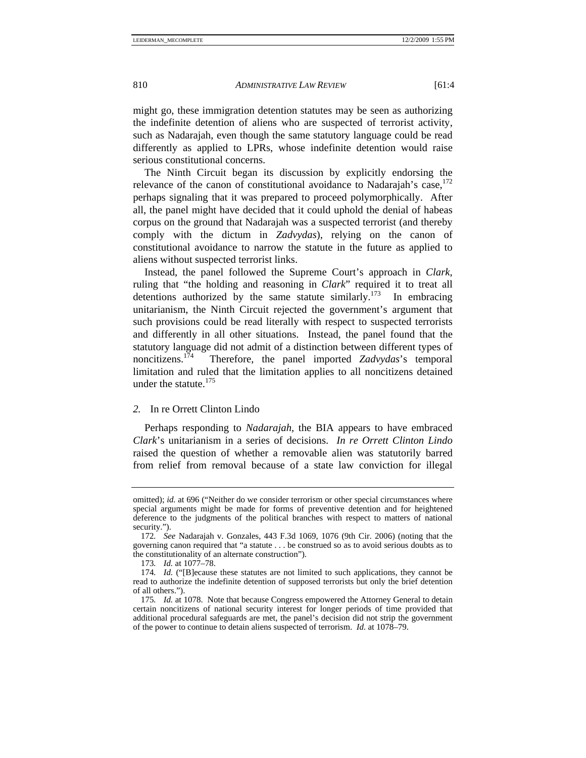might go, these immigration detention statutes may be seen as authorizing the indefinite detention of aliens who are suspected of terrorist activity, such as Nadarajah, even though the same statutory language could be read differently as applied to LPRs, whose indefinite detention would raise serious constitutional concerns.

The Ninth Circuit began its discussion by explicitly endorsing the relevance of the canon of constitutional avoidance to Nadarajah's case, $^{172}$ perhaps signaling that it was prepared to proceed polymorphically. After all, the panel might have decided that it could uphold the denial of habeas corpus on the ground that Nadarajah was a suspected terrorist (and thereby comply with the dictum in *Zadvydas*), relying on the canon of constitutional avoidance to narrow the statute in the future as applied to aliens without suspected terrorist links.

Instead, the panel followed the Supreme Court's approach in *Clark*, ruling that "the holding and reasoning in *Clark*" required it to treat all detentions authorized by the same statute similarly.<sup>173</sup> In embracing unitarianism, the Ninth Circuit rejected the government's argument that such provisions could be read literally with respect to suspected terrorists and differently in all other situations. Instead, the panel found that the statutory language did not admit of a distinction between different types of noncitizens.174 Therefore, the panel imported *Zadvydas*'s temporal limitation and ruled that the limitation applies to all noncitizens detained under the statute. $175$ 

# *2.* In re Orrett Clinton Lindo

Perhaps responding to *Nadarajah*, the BIA appears to have embraced *Clark*'s unitarianism in a series of decisions. *In re Orrett Clinton Lindo*  raised the question of whether a removable alien was statutorily barred from relief from removal because of a state law conviction for illegal

omitted); *id.* at 696 ("Neither do we consider terrorism or other special circumstances where special arguments might be made for forms of preventive detention and for heightened deference to the judgments of the political branches with respect to matters of national security.").

<sup>172</sup>*. See* Nadarajah v. Gonzales, 443 F.3d 1069, 1076 (9th Cir. 2006) (noting that the governing canon required that "a statute . . . be construed so as to avoid serious doubts as to the constitutionality of an alternate construction").

<sup>173</sup>*. Id.* at 1077–78.

<sup>174</sup>*. Id.* ("[B]ecause these statutes are not limited to such applications, they cannot be read to authorize the indefinite detention of supposed terrorists but only the brief detention of all others.").

<sup>175</sup>*. Id.* at 1078. Note that because Congress empowered the Attorney General to detain certain noncitizens of national security interest for longer periods of time provided that additional procedural safeguards are met, the panel's decision did not strip the government of the power to continue to detain aliens suspected of terrorism. *Id*. at 1078–79.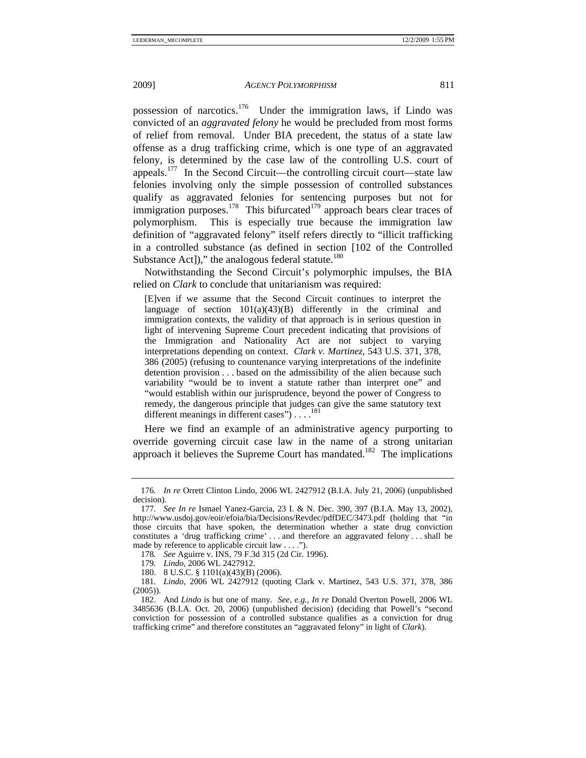possession of narcotics.176 Under the immigration laws, if Lindo was convicted of an *aggravated felony* he would be precluded from most forms of relief from removal. Under BIA precedent, the status of a state law offense as a drug trafficking crime, which is one type of an aggravated felony, is determined by the case law of the controlling U.S. court of appeals.177 In the Second Circuit—the controlling circuit court—state law felonies involving only the simple possession of controlled substances qualify as aggravated felonies for sentencing purposes but not for immigration purposes.<sup>178</sup> This bifurcated<sup>179</sup> approach bears clear traces of polymorphism. This is especially true because the immigration law definition of "aggravated felony" itself refers directly to "illicit trafficking in a controlled substance (as defined in section [102 of the Controlled Substance Act])," the analogous federal statute. $180$ 

Notwithstanding the Second Circuit's polymorphic impulses, the BIA relied on *Clark* to conclude that unitarianism was required:

[E]ven if we assume that the Second Circuit continues to interpret the language of section  $101(a)(43)(B)$  differently in the criminal and immigration contexts, the validity of that approach is in serious question in light of intervening Supreme Court precedent indicating that provisions of the Immigration and Nationality Act are not subject to varying interpretations depending on context. *Clark v. Martinez*, 543 U.S. 371, 378, 386 (2005) (refusing to countenance varying interpretations of the indefinite detention provision . . . based on the admissibility of the alien because such variability "would be to invent a statute rather than interpret one" and "would establish within our jurisprudence, beyond the power of Congress to remedy, the dangerous principle that judges can give the same statutory text different meanings in different cases" $) \ldots$ 

Here we find an example of an administrative agency purporting to override governing circuit case law in the name of a strong unitarian approach it believes the Supreme Court has mandated.<sup>182</sup> The implications

<sup>176</sup>*. In re* Orrett Clinton Lindo, 2006 WL 2427912 (B.I.A. July 21, 2006) (unpublished decision).

<sup>177</sup>*. See In re* Ismael Yanez-Garcia, 23 I. & N. Dec. 390, 397 (B.I.A. May 13, 2002), http://www.usdoj.gov/eoir/efoia/bia/Decisions/Revdec/pdfDEC/3473.pdf (holding that "in those circuits that have spoken, the determination whether a state drug conviction constitutes a 'drug trafficking crime' . . . and therefore an aggravated felony . . . shall be made by reference to applicable circuit law . . . .").

<sup>178</sup>*. See* Aguirre v. INS, 79 F.3d 315 (2d Cir. 1996).

<sup>179</sup>*. Lindo*, 2006 WL 2427912.

 <sup>180. 8</sup> U.S.C. § 1101(a)(43)(B) (2006).

<sup>181</sup>*. Lindo*, 2006 WL 2427912 (quoting Clark v. Martinez, 543 U.S. 371, 378, 386 (2005)).

 <sup>182.</sup> And *Lindo* is but one of many. *See, e.g.*, *In re* Donald Overton Powell, 2006 WL 3485636 (B.I.A. Oct. 20, 2006) (unpublished decision) (deciding that Powell's "second conviction for possession of a controlled substance qualifies as a conviction for drug trafficking crime" and therefore constitutes an "aggravated felony" in light of *Clark*).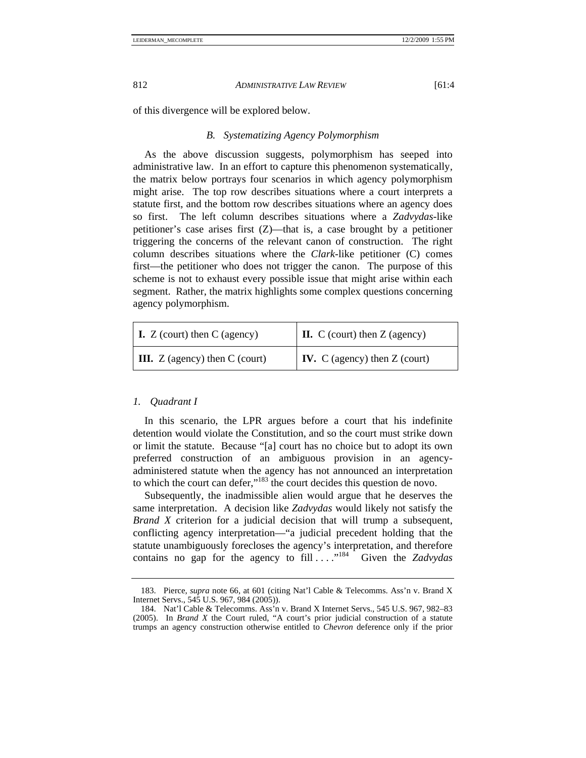of this divergence will be explored below.

## *B. Systematizing Agency Polymorphism*

As the above discussion suggests, polymorphism has seeped into administrative law. In an effort to capture this phenomenon systematically, the matrix below portrays four scenarios in which agency polymorphism might arise. The top row describes situations where a court interprets a statute first, and the bottom row describes situations where an agency does so first. The left column describes situations where a *Zadvydas*-like petitioner's case arises first (Z)—that is, a case brought by a petitioner triggering the concerns of the relevant canon of construction. The right column describes situations where the *Clark*-like petitioner (C) comes first—the petitioner who does not trigger the canon. The purpose of this scheme is not to exhaust every possible issue that might arise within each segment. Rather, the matrix highlights some complex questions concerning agency polymorphism.

| $\vert$ <b>I.</b> Z (court) then C (agency) | $\vert$ <b>II.</b> C (court) then Z (agency) |
|---------------------------------------------|----------------------------------------------|
| $\parallel$ III. Z (agency) then C (court)  | $\vert$ <b>IV.</b> C (agency) then Z (court) |

### *1. Quadrant I*

In this scenario, the LPR argues before a court that his indefinite detention would violate the Constitution, and so the court must strike down or limit the statute. Because "[a] court has no choice but to adopt its own preferred construction of an ambiguous provision in an agencyadministered statute when the agency has not announced an interpretation to which the court can defer,"<sup>183</sup> the court decides this question de novo.

Subsequently, the inadmissible alien would argue that he deserves the same interpretation. A decision like *Zadvydas* would likely not satisfy the *Brand X* criterion for a judicial decision that will trump a subsequent, conflicting agency interpretation—"a judicial precedent holding that the statute unambiguously forecloses the agency's interpretation, and therefore contains no gap for the agency to fill . . . . .<sup>184</sup> Given the *Zadvydas* 

 <sup>183.</sup> Pierce, *supra* note 66, at 601 (citing Nat'l Cable & Telecomms. Ass'n v. Brand X Internet Servs., 545 U.S. 967, 984 (2005)).

 <sup>184.</sup> Nat'l Cable & Telecomms. Ass'n v. Brand X Internet Servs., 545 U.S. 967, 982–83 (2005). In *Brand X* the Court ruled, "A court's prior judicial construction of a statute trumps an agency construction otherwise entitled to *Chevron* deference only if the prior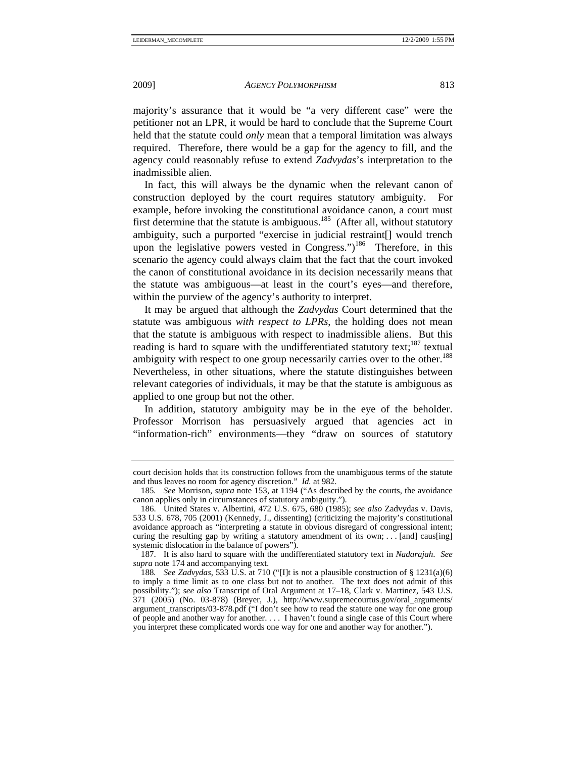majority's assurance that it would be "a very different case" were the petitioner not an LPR, it would be hard to conclude that the Supreme Court held that the statute could *only* mean that a temporal limitation was always required. Therefore, there would be a gap for the agency to fill, and the agency could reasonably refuse to extend *Zadvydas*'s interpretation to the inadmissible alien.

In fact, this will always be the dynamic when the relevant canon of construction deployed by the court requires statutory ambiguity. For example, before invoking the constitutional avoidance canon, a court must first determine that the statute is ambiguous.<sup>185</sup> (After all, without statutory ambiguity, such a purported "exercise in judicial restraint[] would trench upon the legislative powers vested in Congress.")<sup>186</sup> Therefore, in this scenario the agency could always claim that the fact that the court invoked the canon of constitutional avoidance in its decision necessarily means that the statute was ambiguous—at least in the court's eyes—and therefore, within the purview of the agency's authority to interpret.

It may be argued that although the *Zadvydas* Court determined that the statute was ambiguous *with respect to LPRs*, the holding does not mean that the statute is ambiguous with respect to inadmissible aliens. But this reading is hard to square with the undifferentiated statutory text; $187$  textual ambiguity with respect to one group necessarily carries over to the other.<sup>188</sup> Nevertheless, in other situations, where the statute distinguishes between relevant categories of individuals, it may be that the statute is ambiguous as applied to one group but not the other.

In addition, statutory ambiguity may be in the eye of the beholder. Professor Morrison has persuasively argued that agencies act in "information-rich" environments—they "draw on sources of statutory

court decision holds that its construction follows from the unambiguous terms of the statute and thus leaves no room for agency discretion." *Id.* at 982.

<sup>185</sup>*. See* Morrison, *supra* note 153, at 1194 ("As described by the courts, the avoidance canon applies only in circumstances of statutory ambiguity.").

 <sup>186.</sup> United States v. Albertini, 472 U.S. 675, 680 (1985); *see also* Zadvydas v. Davis, 533 U.S. 678, 705 (2001) (Kennedy, J., dissenting) (criticizing the majority's constitutional avoidance approach as "interpreting a statute in obvious disregard of congressional intent; curing the resulting gap by writing a statutory amendment of its own; . . . [and] caus[ing] systemic dislocation in the balance of powers").

 <sup>187.</sup> It is also hard to square with the undifferentiated statutory text in *Nadarajah*. *See supra* note 174 and accompanying text.

<sup>188</sup>*. See Zadvydas*, 533 U.S. at 710 ("[I]t is not a plausible construction of § 1231(a)(6) to imply a time limit as to one class but not to another. The text does not admit of this possibility."); *see also* Transcript of Oral Argument at 17–18, Clark v. Martinez, 543 U.S. 371 (2005) (No. 03-878) (Breyer, J.), http://www.supremecourtus.gov/oral\_arguments/ argument\_transcripts/03-878.pdf ("I don't see how to read the statute one way for one group of people and another way for another. . . . I haven't found a single case of this Court where you interpret these complicated words one way for one and another way for another.").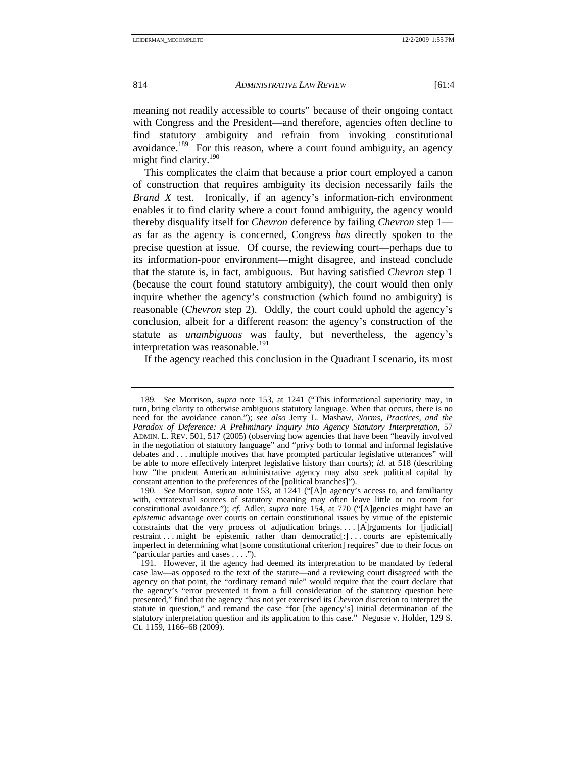meaning not readily accessible to courts" because of their ongoing contact with Congress and the President—and therefore, agencies often decline to find statutory ambiguity and refrain from invoking constitutional avoidance.189 For this reason, where a court found ambiguity, an agency might find clarity.<sup>190</sup>

This complicates the claim that because a prior court employed a canon of construction that requires ambiguity its decision necessarily fails the *Brand X* test. Ironically, if an agency's information-rich environment enables it to find clarity where a court found ambiguity, the agency would thereby disqualify itself for *Chevron* deference by failing *Chevron* step 1 as far as the agency is concerned, Congress *has* directly spoken to the precise question at issue. Of course, the reviewing court—perhaps due to its information-poor environment—might disagree, and instead conclude that the statute is, in fact, ambiguous. But having satisfied *Chevron* step 1 (because the court found statutory ambiguity), the court would then only inquire whether the agency's construction (which found no ambiguity) is reasonable (*Chevron* step 2). Oddly, the court could uphold the agency's conclusion, albeit for a different reason: the agency's construction of the statute as *unambiguous* was faulty, but nevertheless, the agency's interpretation was reasonable.<sup>191</sup>

If the agency reached this conclusion in the Quadrant I scenario, its most

<sup>189</sup>*. See* Morrison, *supra* note 153, at 1241 ("This informational superiority may, in turn, bring clarity to otherwise ambiguous statutory language. When that occurs, there is no need for the avoidance canon."); *see also* Jerry L. Mashaw, *Norms, Practices, and the Paradox of Deference: A Preliminary Inquiry into Agency Statutory Interpretation*, 57 ADMIN. L. REV. 501, 517 (2005) (observing how agencies that have been "heavily involved in the negotiation of statutory language" and "privy both to formal and informal legislative debates and . . . multiple motives that have prompted particular legislative utterances" will be able to more effectively interpret legislative history than courts); *id.* at 518 (describing how "the prudent American administrative agency may also seek political capital by constant attention to the preferences of the [political branches]").

<sup>190</sup>*. See* Morrison, *supra* note 153, at 1241 ("[A]n agency's access to, and familiarity with, extratextual sources of statutory meaning may often leave little or no room for constitutional avoidance."); *cf.* Adler, *supra* note 154, at 770 ("[A]gencies might have an *epistemic* advantage over courts on certain constitutional issues by virtue of the epistemic constraints that the very process of adjudication brings. . . . [A]rguments for [judicial] restraint . . . might be epistemic rather than democratic[:] . . . courts are epistemically imperfect in determining what [some constitutional criterion] requires" due to their focus on "particular parties and cases . . . .").

 <sup>191.</sup> However, if the agency had deemed its interpretation to be mandated by federal case law—as opposed to the text of the statute—and a reviewing court disagreed with the agency on that point, the "ordinary remand rule" would require that the court declare that the agency's "error prevented it from a full consideration of the statutory question here presented," find that the agency "has not yet exercised its *Chevron* discretion to interpret the statute in question," and remand the case "for [the agency's] initial determination of the statutory interpretation question and its application to this case." Negusie v. Holder, 129 S. Ct. 1159, 1166–68 (2009).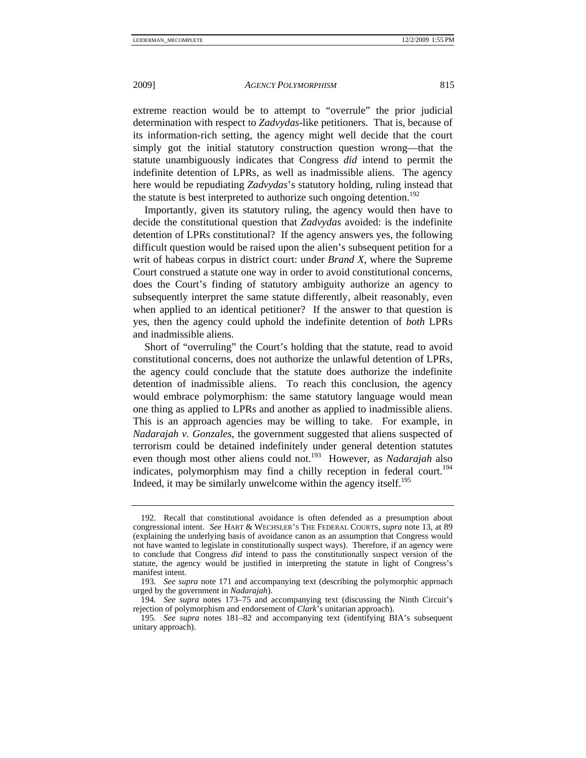extreme reaction would be to attempt to "overrule" the prior judicial determination with respect to *Zadvydas*-like petitioners. That is, because of its information-rich setting, the agency might well decide that the court simply got the initial statutory construction question wrong—that the statute unambiguously indicates that Congress *did* intend to permit the indefinite detention of LPRs, as well as inadmissible aliens. The agency here would be repudiating *Zadvydas*'s statutory holding, ruling instead that the statute is best interpreted to authorize such ongoing detention.<sup>192</sup>

Importantly, given its statutory ruling, the agency would then have to decide the constitutional question that *Zadvydas* avoided: is the indefinite detention of LPRs constitutional? If the agency answers yes, the following difficult question would be raised upon the alien's subsequent petition for a writ of habeas corpus in district court: under *Brand X*, where the Supreme Court construed a statute one way in order to avoid constitutional concerns, does the Court's finding of statutory ambiguity authorize an agency to subsequently interpret the same statute differently, albeit reasonably, even when applied to an identical petitioner? If the answer to that question is yes, then the agency could uphold the indefinite detention of *both* LPRs and inadmissible aliens.

Short of "overruling" the Court's holding that the statute, read to avoid constitutional concerns, does not authorize the unlawful detention of LPRs, the agency could conclude that the statute does authorize the indefinite detention of inadmissible aliens. To reach this conclusion, the agency would embrace polymorphism: the same statutory language would mean one thing as applied to LPRs and another as applied to inadmissible aliens. This is an approach agencies may be willing to take. For example, in *Nadarajah v. Gonzales*, the government suggested that aliens suspected of terrorism could be detained indefinitely under general detention statutes even though most other aliens could not.<sup>193</sup> However, as *Nadarajah* also indicates, polymorphism may find a chilly reception in federal court.<sup>194</sup> Indeed, it may be similarly unwelcome within the agency itself.<sup>195</sup>

 <sup>192.</sup> Recall that constitutional avoidance is often defended as a presumption about congressional intent. *See* HART & WECHSLER'S THE FEDERAL COURTS, *supra* note 13, at 89 (explaining the underlying basis of avoidance canon as an assumption that Congress would not have wanted to legislate in constitutionally suspect ways). Therefore, if an agency were to conclude that Congress *did* intend to pass the constitutionally suspect version of the statute, the agency would be justified in interpreting the statute in light of Congress's manifest intent.

<sup>193</sup>*. See supra* note 171 and accompanying text (describing the polymorphic approach urged by the government in *Nadarajah*).

<sup>194</sup>*. See supra* notes 173–75 and accompanying text (discussing the Ninth Circuit's rejection of polymorphism and endorsement of *Clark*'s unitarian approach).

<sup>195</sup>*. See supra* notes 181–82 and accompanying text (identifying BIA's subsequent unitary approach).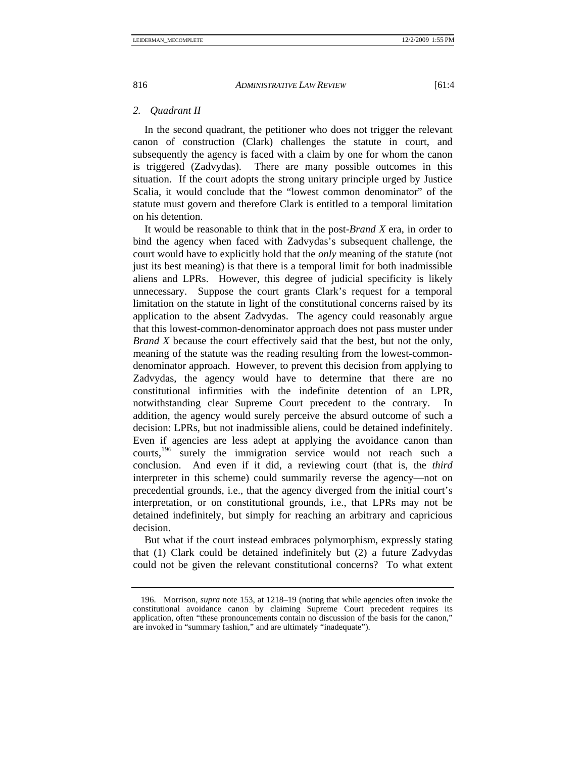# *2. Quadrant II*

In the second quadrant, the petitioner who does not trigger the relevant canon of construction (Clark) challenges the statute in court, and subsequently the agency is faced with a claim by one for whom the canon is triggered (Zadvydas). There are many possible outcomes in this situation. If the court adopts the strong unitary principle urged by Justice Scalia, it would conclude that the "lowest common denominator" of the statute must govern and therefore Clark is entitled to a temporal limitation on his detention.

It would be reasonable to think that in the post-*Brand X* era, in order to bind the agency when faced with Zadvydas's subsequent challenge, the court would have to explicitly hold that the *only* meaning of the statute (not just its best meaning) is that there is a temporal limit for both inadmissible aliens and LPRs. However, this degree of judicial specificity is likely unnecessary. Suppose the court grants Clark's request for a temporal limitation on the statute in light of the constitutional concerns raised by its application to the absent Zadvydas. The agency could reasonably argue that this lowest-common-denominator approach does not pass muster under *Brand X* because the court effectively said that the best, but not the only, meaning of the statute was the reading resulting from the lowest-commondenominator approach. However, to prevent this decision from applying to Zadvydas, the agency would have to determine that there are no constitutional infirmities with the indefinite detention of an LPR, notwithstanding clear Supreme Court precedent to the contrary. In addition, the agency would surely perceive the absurd outcome of such a decision: LPRs, but not inadmissible aliens, could be detained indefinitely. Even if agencies are less adept at applying the avoidance canon than courts,196 surely the immigration service would not reach such a conclusion. And even if it did, a reviewing court (that is, the *third* interpreter in this scheme) could summarily reverse the agency—not on precedential grounds, i.e., that the agency diverged from the initial court's interpretation, or on constitutional grounds, i.e., that LPRs may not be detained indefinitely, but simply for reaching an arbitrary and capricious decision.

But what if the court instead embraces polymorphism, expressly stating that (1) Clark could be detained indefinitely but (2) a future Zadvydas could not be given the relevant constitutional concerns? To what extent

 <sup>196.</sup> Morrison, *supra* note 153, at 1218–19 (noting that while agencies often invoke the constitutional avoidance canon by claiming Supreme Court precedent requires its application, often "these pronouncements contain no discussion of the basis for the canon," are invoked in "summary fashion," and are ultimately "inadequate").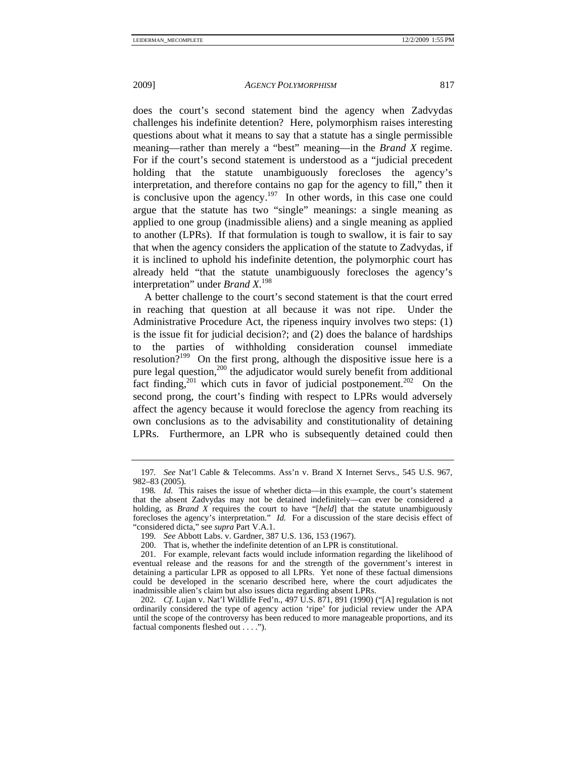does the court's second statement bind the agency when Zadvydas challenges his indefinite detention? Here, polymorphism raises interesting questions about what it means to say that a statute has a single permissible meaning—rather than merely a "best" meaning—in the *Brand X* regime. For if the court's second statement is understood as a "judicial precedent holding that the statute unambiguously forecloses the agency's interpretation, and therefore contains no gap for the agency to fill," then it is conclusive upon the agency.<sup>197</sup> In other words, in this case one could argue that the statute has two "single" meanings: a single meaning as applied to one group (inadmissible aliens) and a single meaning as applied to another (LPRs). If that formulation is tough to swallow, it is fair to say that when the agency considers the application of the statute to Zadvydas, if it is inclined to uphold his indefinite detention, the polymorphic court has already held "that the statute unambiguously forecloses the agency's interpretation" under *Brand X*. 198

A better challenge to the court's second statement is that the court erred in reaching that question at all because it was not ripe. Under the Administrative Procedure Act, the ripeness inquiry involves two steps: (1) is the issue fit for judicial decision?; and (2) does the balance of hardships to the parties of withholding consideration counsel immediate resolution?<sup>199</sup> On the first prong, although the dispositive issue here is a pure legal question,<sup>200</sup> the adjudicator would surely benefit from additional fact finding,<sup>201</sup> which cuts in favor of judicial postponement.<sup>202</sup> On the second prong, the court's finding with respect to LPRs would adversely affect the agency because it would foreclose the agency from reaching its own conclusions as to the advisability and constitutionality of detaining LPRs. Furthermore, an LPR who is subsequently detained could then

<sup>197</sup>*. See* Nat'l Cable & Telecomms. Ass'n v. Brand X Internet Servs., 545 U.S. 967, 982–83 (2005).

<sup>198</sup>*. Id.* This raises the issue of whether dicta—in this example, the court's statement that the absent Zadvydas may not be detained indefinitely—can ever be considered a holding, as *Brand X* requires the court to have "[*held*] that the statute unambiguously forecloses the agency's interpretation." *Id.* For a discussion of the stare decisis effect of "considered dicta," see *supra* Part V.A.1.

<sup>199</sup>*. See* Abbott Labs. v. Gardner, 387 U.S. 136, 153 (1967).

 <sup>200.</sup> That is, whether the indefinite detention of an LPR is constitutional.

 <sup>201.</sup> For example, relevant facts would include information regarding the likelihood of eventual release and the reasons for and the strength of the government's interest in detaining a particular LPR as opposed to all LPRs. Yet none of these factual dimensions could be developed in the scenario described here, where the court adjudicates the inadmissible alien's claim but also issues dicta regarding absent LPRs.

<sup>202</sup>*. Cf.* Lujan v. Nat'l Wildlife Fed'n., 497 U.S. 871, 891 (1990) ("[A] regulation is not ordinarily considered the type of agency action 'ripe' for judicial review under the APA until the scope of the controversy has been reduced to more manageable proportions, and its factual components fleshed out . . . .").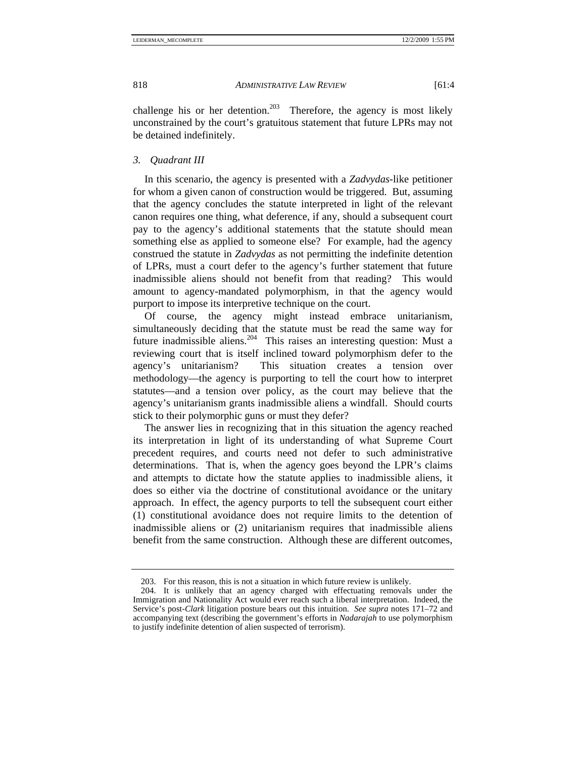challenge his or her detention.<sup>203</sup> Therefore, the agency is most likely unconstrained by the court's gratuitous statement that future LPRs may not be detained indefinitely.

### *3. Quadrant III*

In this scenario, the agency is presented with a *Zadvydas*-like petitioner for whom a given canon of construction would be triggered. But, assuming that the agency concludes the statute interpreted in light of the relevant canon requires one thing, what deference, if any, should a subsequent court pay to the agency's additional statements that the statute should mean something else as applied to someone else? For example, had the agency construed the statute in *Zadvydas* as not permitting the indefinite detention of LPRs, must a court defer to the agency's further statement that future inadmissible aliens should not benefit from that reading? This would amount to agency-mandated polymorphism, in that the agency would purport to impose its interpretive technique on the court.

Of course, the agency might instead embrace unitarianism, simultaneously deciding that the statute must be read the same way for future inadmissible aliens.204 This raises an interesting question: Must a reviewing court that is itself inclined toward polymorphism defer to the agency's unitarianism? This situation creates a tension over methodology—the agency is purporting to tell the court how to interpret statutes—and a tension over policy, as the court may believe that the agency's unitarianism grants inadmissible aliens a windfall. Should courts stick to their polymorphic guns or must they defer?

The answer lies in recognizing that in this situation the agency reached its interpretation in light of its understanding of what Supreme Court precedent requires, and courts need not defer to such administrative determinations. That is, when the agency goes beyond the LPR's claims and attempts to dictate how the statute applies to inadmissible aliens, it does so either via the doctrine of constitutional avoidance or the unitary approach. In effect, the agency purports to tell the subsequent court either (1) constitutional avoidance does not require limits to the detention of inadmissible aliens or (2) unitarianism requires that inadmissible aliens benefit from the same construction. Although these are different outcomes,

 <sup>203.</sup> For this reason, this is not a situation in which future review is unlikely.

 <sup>204.</sup> It is unlikely that an agency charged with effectuating removals under the Immigration and Nationality Act would ever reach such a liberal interpretation. Indeed, the Service's post-*Clark* litigation posture bears out this intuition. *See supra* notes 171–72 and accompanying text (describing the government's efforts in *Nadarajah* to use polymorphism to justify indefinite detention of alien suspected of terrorism).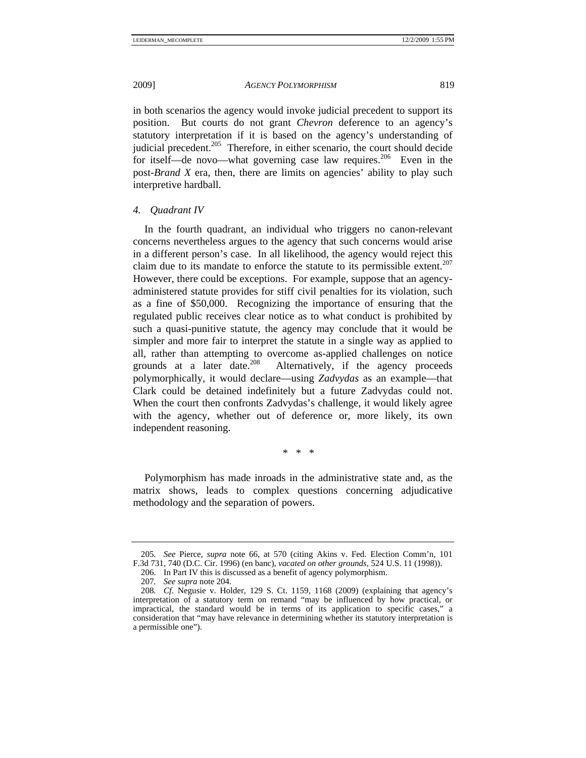in both scenarios the agency would invoke judicial precedent to support its position. But courts do not grant *Chevron* deference to an agency's statutory interpretation if it is based on the agency's understanding of judicial precedent.<sup>205</sup> Therefore, in either scenario, the court should decide for itself—de novo—what governing case law requires.<sup>206</sup> Even in the post-*Brand X* era, then, there are limits on agencies' ability to play such interpretive hardball.

# *4. Quadrant IV*

In the fourth quadrant, an individual who triggers no canon-relevant concerns nevertheless argues to the agency that such concerns would arise in a different person's case. In all likelihood, the agency would reject this claim due to its mandate to enforce the statute to its permissible extent.<sup>207</sup> However, there could be exceptions. For example, suppose that an agencyadministered statute provides for stiff civil penalties for its violation, such as a fine of \$50,000. Recognizing the importance of ensuring that the regulated public receives clear notice as to what conduct is prohibited by such a quasi-punitive statute, the agency may conclude that it would be simpler and more fair to interpret the statute in a single way as applied to all, rather than attempting to overcome as-applied challenges on notice grounds at a later date.<sup>208</sup> Alternatively, if the agency proceeds Alternatively, if the agency proceeds polymorphically, it would declare—using *Zadvydas* as an example—that Clark could be detained indefinitely but a future Zadvydas could not. When the court then confronts Zadvydas's challenge, it would likely agree with the agency, whether out of deference or, more likely, its own independent reasoning.

\* \* \*

Polymorphism has made inroads in the administrative state and, as the matrix shows, leads to complex questions concerning adjudicative methodology and the separation of powers.

<sup>205</sup>*. See* Pierce, *supra* note 66, at 570 (citing Akins v. Fed. Election Comm'n, 101 F.3d 731, 740 (D.C. Cir. 1996) (en banc), *vacated on other grounds*, 524 U.S. 11 (1998)).

 <sup>206.</sup> In Part IV this is discussed as a benefit of agency polymorphism.

<sup>207</sup>*. See supra* note 204.

<sup>208</sup>*. Cf.* Negusie v. Holder, 129 S. Ct. 1159, 1168 (2009) (explaining that agency's interpretation of a statutory term on remand "may be influenced by how practical, or impractical, the standard would be in terms of its application to specific cases," a consideration that "may have relevance in determining whether its statutory interpretation is a permissible one").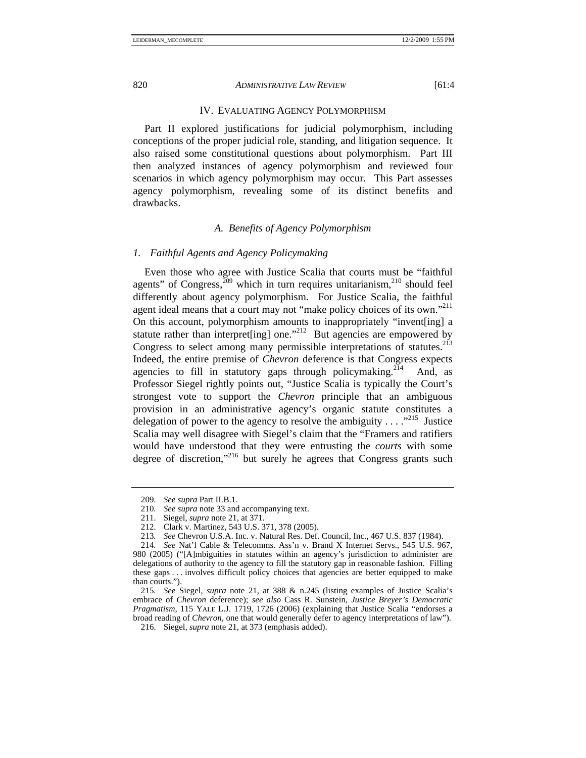#### IV. EVALUATING AGENCY POLYMORPHISM

Part II explored justifications for judicial polymorphism, including conceptions of the proper judicial role, standing, and litigation sequence. It also raised some constitutional questions about polymorphism. Part III then analyzed instances of agency polymorphism and reviewed four scenarios in which agency polymorphism may occur. This Part assesses agency polymorphism, revealing some of its distinct benefits and drawbacks.

# *A. Benefits of Agency Polymorphism*

### *1. Faithful Agents and Agency Policymaking*

Even those who agree with Justice Scalia that courts must be "faithful agents" of Congress, $209$  which in turn requires unitarianism, $210$  should feel differently about agency polymorphism. For Justice Scalia, the faithful agent ideal means that a court may not "make policy choices of its own."<sup>211</sup> On this account, polymorphism amounts to inappropriately "invent[ing] a statute rather than interpret [ing] one."<sup>212</sup> But agencies are empowered by Congress to select among many permissible interpretations of statutes.<sup>213</sup> Indeed, the entire premise of *Chevron* deference is that Congress expects agencies to fill in statutory gaps through policymaking.<sup>214</sup> And, as Professor Siegel rightly points out, "Justice Scalia is typically the Court's strongest vote to support the *Chevron* principle that an ambiguous provision in an administrative agency's organic statute constitutes a delegation of power to the agency to resolve the ambiguity  $\dots$ <sup>215</sup> Justice Scalia may well disagree with Siegel's claim that the "Framers and ratifiers would have understood that they were entrusting the *courts* with some degree of discretion,"216 but surely he agrees that Congress grants such

<sup>209</sup>*. See supra* Part II.B.1.

<sup>210</sup>*. See supra* note 33 and accompanying text.

 <sup>211.</sup> Siegel, *supra* note 21, at 371.

 <sup>212.</sup> Clark v. Martinez, 543 U.S. 371, 378 (2005).

<sup>213</sup>*. See* Chevron U.S.A. Inc. v. Natural Res. Def. Council, Inc., 467 U.S. 837 (1984).

<sup>214</sup>*. See* Nat'l Cable & Telecomms. Ass'n v. Brand X Internet Servs., 545 U.S. 967, 980 (2005) ("[A]mbiguities in statutes within an agency's jurisdiction to administer are delegations of authority to the agency to fill the statutory gap in reasonable fashion. Filling these gaps . . . involves difficult policy choices that agencies are better equipped to make than courts.").

<sup>215</sup>*. See* Siegel, *supra* note 21, at 388 & n.245 (listing examples of Justice Scalia's embrace of *Chevron* deference); *see also* Cass R. Sunstein, *Justice Breyer's Democratic Pragmatism*, 115 YALE L.J. 1719, 1726 (2006) (explaining that Justice Scalia "endorses a broad reading of *Chevron*, one that would generally defer to agency interpretations of law").

 <sup>216.</sup> Siegel, *supra* note 21, at 373 (emphasis added).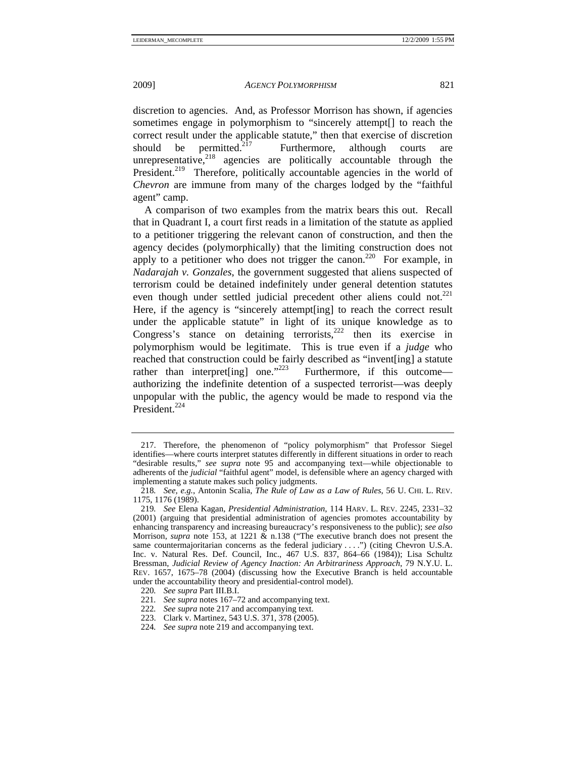discretion to agencies. And, as Professor Morrison has shown, if agencies sometimes engage in polymorphism to "sincerely attempt[] to reach the correct result under the applicable statute," then that exercise of discretion should be permitted.<sup>217</sup> Furthermore, although courts unrepresentative, $2^{18}$  agencies are politically accountable through the President.<sup>219</sup> Therefore, politically accountable agencies in the world of *Chevron* are immune from many of the charges lodged by the "faithful agent" camp.

A comparison of two examples from the matrix bears this out. Recall that in Quadrant I, a court first reads in a limitation of the statute as applied to a petitioner triggering the relevant canon of construction, and then the agency decides (polymorphically) that the limiting construction does not apply to a petitioner who does not trigger the canon.<sup>220</sup> For example, in *Nadarajah v. Gonzales*, the government suggested that aliens suspected of terrorism could be detained indefinitely under general detention statutes even though under settled judicial precedent other aliens could not.<sup>221</sup> Here, if the agency is "sincerely attempt[ing] to reach the correct result under the applicable statute" in light of its unique knowledge as to Congress's stance on detaining terrorists, $222$  then its exercise in polymorphism would be legitimate. This is true even if a *judge* who reached that construction could be fairly described as "invent[ing] a statute rather than interpret [ing] one." $^{223}$  Furthermore, if this outcome authorizing the indefinite detention of a suspected terrorist—was deeply unpopular with the public, the agency would be made to respond via the President.<sup>224</sup>

 <sup>217.</sup> Therefore, the phenomenon of "policy polymorphism" that Professor Siegel identifies—where courts interpret statutes differently in different situations in order to reach "desirable results," *see supra* note 95 and accompanying text—while objectionable to adherents of the *judicial* "faithful agent" model, is defensible where an agency charged with implementing a statute makes such policy judgments.

<sup>218</sup>*. See, e.g.*, Antonin Scalia, *The Rule of Law as a Law of Rules*, 56 U. CHI. L. REV. 1175, 1176 (1989).

<sup>219</sup>*. See* Elena Kagan, *Presidential Administration*, 114 HARV. L. REV. 2245, 2331–32 (2001) (arguing that presidential administration of agencies promotes accountability by enhancing transparency and increasing bureaucracy's responsiveness to the public); *see also* Morrison, *supra* note 153, at 1221 & n.138 ("The executive branch does not present the same countermajoritarian concerns as the federal judiciary . . . .") (citing Chevron U.S.A. Inc. v. Natural Res. Def. Council, Inc., 467 U.S. 837, 864–66 (1984)); Lisa Schultz Bressman, *Judicial Review of Agency Inaction: An Arbitrariness Approach*, 79 N.Y.U. L. REV. 1657, 1675–78 (2004) (discussing how the Executive Branch is held accountable under the accountability theory and presidential-control model).

<sup>220</sup>*. See supra* Part III.B.I.

<sup>221</sup>*. See supra* notes 167–72 and accompanying text.

<sup>222</sup>*. See supra* note 217 and accompanying text.

 <sup>223.</sup> Clark v. Martinez, 543 U.S. 371, 378 (2005).

<sup>224</sup>*. See supra* note 219 and accompanying text.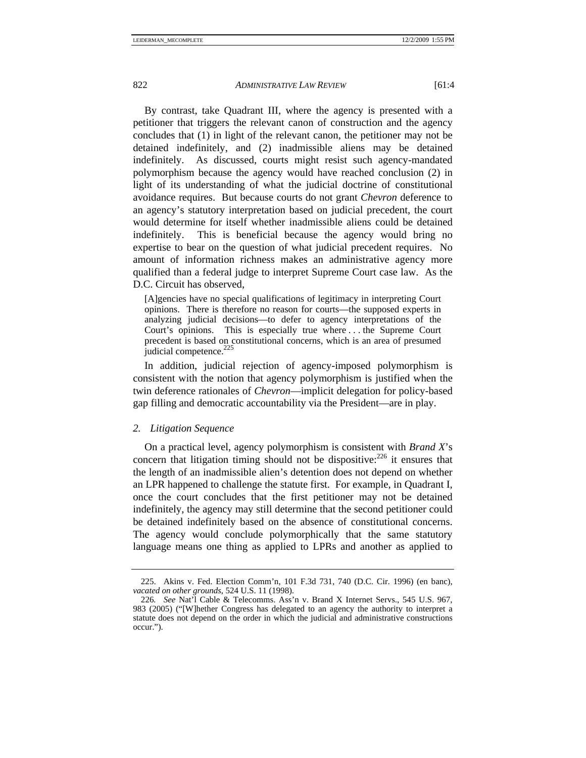By contrast, take Quadrant III, where the agency is presented with a petitioner that triggers the relevant canon of construction and the agency concludes that (1) in light of the relevant canon, the petitioner may not be detained indefinitely, and (2) inadmissible aliens may be detained indefinitely. As discussed, courts might resist such agency-mandated polymorphism because the agency would have reached conclusion (2) in light of its understanding of what the judicial doctrine of constitutional avoidance requires. But because courts do not grant *Chevron* deference to an agency's statutory interpretation based on judicial precedent, the court would determine for itself whether inadmissible aliens could be detained indefinitely. This is beneficial because the agency would bring no expertise to bear on the question of what judicial precedent requires. No amount of information richness makes an administrative agency more qualified than a federal judge to interpret Supreme Court case law. As the D.C. Circuit has observed,

[A]gencies have no special qualifications of legitimacy in interpreting Court opinions. There is therefore no reason for courts—the supposed experts in analyzing judicial decisions—to defer to agency interpretations of the Court's opinions. This is especially true where . . . the Supreme Court precedent is based on constitutional concerns, which is an area of presumed judicial competence. $^{225}$ 

In addition, judicial rejection of agency-imposed polymorphism is consistent with the notion that agency polymorphism is justified when the twin deference rationales of *Chevron*—implicit delegation for policy-based gap filling and democratic accountability via the President—are in play.

#### *2. Litigation Sequence*

On a practical level, agency polymorphism is consistent with *Brand X*'s concern that litigation timing should not be dispositive:  $^{226}$  it ensures that the length of an inadmissible alien's detention does not depend on whether an LPR happened to challenge the statute first. For example, in Quadrant I, once the court concludes that the first petitioner may not be detained indefinitely, the agency may still determine that the second petitioner could be detained indefinitely based on the absence of constitutional concerns. The agency would conclude polymorphically that the same statutory language means one thing as applied to LPRs and another as applied to

 <sup>225.</sup> Akins v. Fed. Election Comm'n, 101 F.3d 731, 740 (D.C. Cir. 1996) (en banc), *vacated on other grounds*, 524 U.S. 11 (1998).

<sup>226</sup>*. See* Nat'l Cable & Telecomms. Ass'n v. Brand X Internet Servs., 545 U.S. 967, 983 (2005) ("[W]hether Congress has delegated to an agency the authority to interpret a statute does not depend on the order in which the judicial and administrative constructions occur.").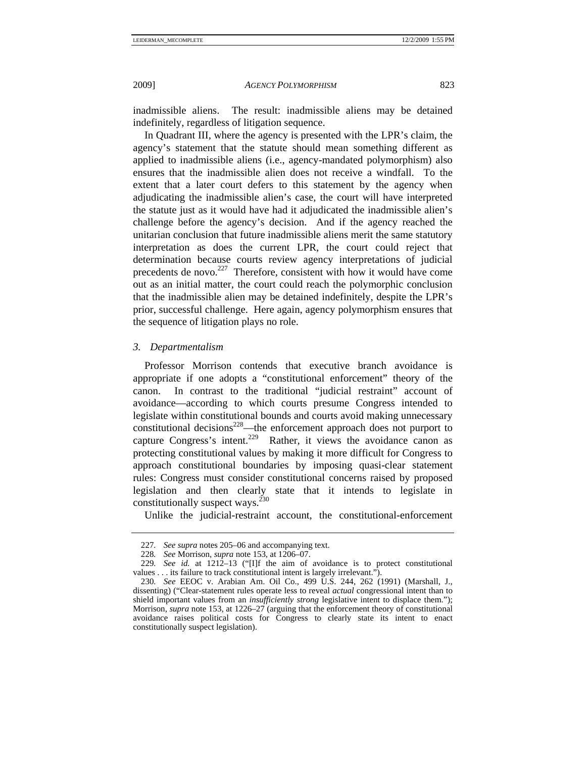inadmissible aliens. The result: inadmissible aliens may be detained indefinitely, regardless of litigation sequence.

In Quadrant III, where the agency is presented with the LPR's claim, the agency's statement that the statute should mean something different as applied to inadmissible aliens (i.e., agency-mandated polymorphism) also ensures that the inadmissible alien does not receive a windfall. To the extent that a later court defers to this statement by the agency when adjudicating the inadmissible alien's case, the court will have interpreted the statute just as it would have had it adjudicated the inadmissible alien's challenge before the agency's decision. And if the agency reached the unitarian conclusion that future inadmissible aliens merit the same statutory interpretation as does the current LPR, the court could reject that determination because courts review agency interpretations of judicial precedents de novo. $227$  Therefore, consistent with how it would have come out as an initial matter, the court could reach the polymorphic conclusion that the inadmissible alien may be detained indefinitely, despite the LPR's prior, successful challenge. Here again, agency polymorphism ensures that the sequence of litigation plays no role.

# *3. Departmentalism*

Professor Morrison contends that executive branch avoidance is appropriate if one adopts a "constitutional enforcement" theory of the canon. In contrast to the traditional "judicial restraint" account of avoidance—according to which courts presume Congress intended to legislate within constitutional bounds and courts avoid making unnecessary constitutional decisions<sup>228</sup>—the enforcement approach does not purport to capture Congress's intent.<sup>229</sup> Rather, it views the avoidance canon as protecting constitutional values by making it more difficult for Congress to approach constitutional boundaries by imposing quasi-clear statement rules: Congress must consider constitutional concerns raised by proposed legislation and then clearly state that it intends to legislate in constitutionally suspect ways. $^{230}$ 

Unlike the judicial-restraint account, the constitutional-enforcement

<sup>227</sup>*. See supra* notes 205–06 and accompanying text.

<sup>228</sup>*. See* Morrison, *supra* note 153, at 1206–07.

<sup>229</sup>*. See id.* at 1212–13 ("[I]f the aim of avoidance is to protect constitutional values . . . its failure to track constitutional intent is largely irrelevant.").

<sup>230</sup>*. See* EEOC v. Arabian Am. Oil Co., 499 U.S. 244, 262 (1991) (Marshall, J., dissenting) ("Clear-statement rules operate less to reveal *actual* congressional intent than to shield important values from an *insufficiently strong* legislative intent to displace them."); Morrison, *supra* note 153, at 1226–27 (arguing that the enforcement theory of constitutional avoidance raises political costs for Congress to clearly state its intent to enact constitutionally suspect legislation).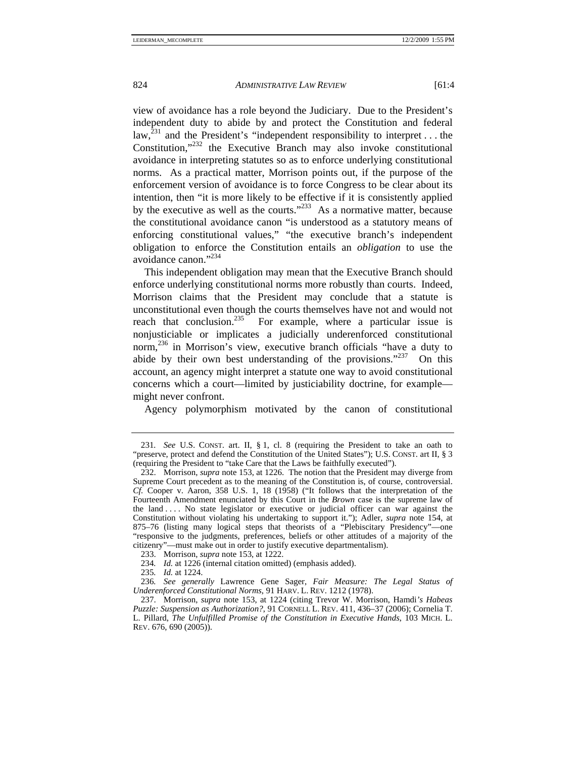view of avoidance has a role beyond the Judiciary. Due to the President's independent duty to abide by and protect the Constitution and federal law,  $^{231}$  and the President's "independent responsibility to interpret ... the Constitution,"232 the Executive Branch may also invoke constitutional avoidance in interpreting statutes so as to enforce underlying constitutional norms. As a practical matter, Morrison points out, if the purpose of the enforcement version of avoidance is to force Congress to be clear about its intention, then "it is more likely to be effective if it is consistently applied by the executive as well as the courts."<sup>233</sup> As a normative matter, because the constitutional avoidance canon "is understood as a statutory means of enforcing constitutional values," "the executive branch's independent obligation to enforce the Constitution entails an *obligation* to use the avoidance canon $^{1,234}$ 

This independent obligation may mean that the Executive Branch should enforce underlying constitutional norms more robustly than courts. Indeed, Morrison claims that the President may conclude that a statute is unconstitutional even though the courts themselves have not and would not reach that conclusion.<sup>235</sup> For example, where a particular issue is nonjusticiable or implicates a judicially underenforced constitutional norm,<sup>236</sup> in Morrison's view, executive branch officials "have a duty to abide by their own best understanding of the provisions."<sup>237</sup> On this account, an agency might interpret a statute one way to avoid constitutional concerns which a court—limited by justiciability doctrine, for example might never confront.

Agency polymorphism motivated by the canon of constitutional

<sup>231</sup>*. See* U.S. CONST. art. II, § 1, cl. 8 (requiring the President to take an oath to "preserve, protect and defend the Constitution of the United States"); U.S. CONST. art II, § 3 (requiring the President to "take Care that the Laws be faithfully executed").

 <sup>232.</sup> Morrison, *supra* note 153, at 1226. The notion that the President may diverge from Supreme Court precedent as to the meaning of the Constitution is, of course, controversial. *Cf.* Cooper v. Aaron, 358 U.S. 1, 18 (1958) ("It follows that the interpretation of the Fourteenth Amendment enunciated by this Court in the *Brown* case is the supreme law of the land . . . . No state legislator or executive or judicial officer can war against the Constitution without violating his undertaking to support it."); Adler, *supra* note 154, at 875–76 (listing many logical steps that theorists of a "Plebiscitary Presidency"—one "responsive to the judgments, preferences, beliefs or other attitudes of a majority of the citizenry"—must make out in order to justify executive departmentalism).

 <sup>233.</sup> Morrison, *supra* note 153, at 1222.

<sup>234</sup>*. Id.* at 1226 (internal citation omitted) (emphasis added).

<sup>235</sup>*. Id.* at 1224.

<sup>236</sup>*. See generally* Lawrence Gene Sager, *Fair Measure: The Legal Status of Underenforced Constitutional Norms*, 91 HARV. L. REV. 1212 (1978).

 <sup>237.</sup> Morrison, *supra* note 153, at 1224 (citing Trevor W. Morrison, Hamdi*'s Habeas Puzzle: Suspension as Authorization?*, 91 CORNELL L. REV. 411, 436–37 (2006); Cornelia T. L. Pillard, *The Unfulfilled Promise of the Constitution in Executive Hands*, 103 MICH. L. REV. 676, 690 (2005)).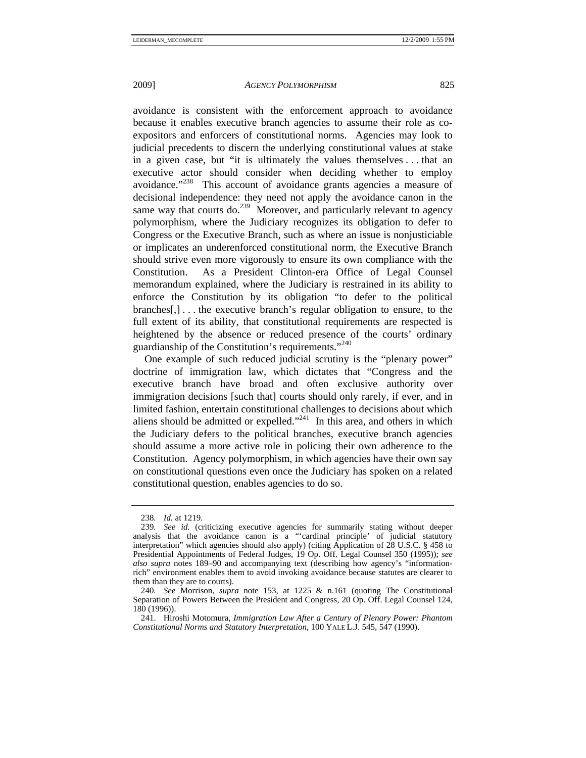avoidance is consistent with the enforcement approach to avoidance because it enables executive branch agencies to assume their role as coexpositors and enforcers of constitutional norms. Agencies may look to judicial precedents to discern the underlying constitutional values at stake in a given case, but "it is ultimately the values themselves . . . that an executive actor should consider when deciding whether to employ avoidance."238 This account of avoidance grants agencies a measure of decisional independence: they need not apply the avoidance canon in the same way that courts do.<sup>239</sup> Moreover, and particularly relevant to agency polymorphism, where the Judiciary recognizes its obligation to defer to Congress or the Executive Branch, such as where an issue is nonjusticiable or implicates an underenforced constitutional norm, the Executive Branch should strive even more vigorously to ensure its own compliance with the Constitution. As a President Clinton-era Office of Legal Counsel memorandum explained, where the Judiciary is restrained in its ability to enforce the Constitution by its obligation "to defer to the political branches[,] . . . the executive branch's regular obligation to ensure, to the full extent of its ability, that constitutional requirements are respected is heightened by the absence or reduced presence of the courts' ordinary guardianship of the Constitution's requirements."<sup>240</sup>

One example of such reduced judicial scrutiny is the "plenary power" doctrine of immigration law, which dictates that "Congress and the executive branch have broad and often exclusive authority over immigration decisions [such that] courts should only rarely, if ever, and in limited fashion, entertain constitutional challenges to decisions about which aliens should be admitted or expelled."241 In this area, and others in which the Judiciary defers to the political branches, executive branch agencies should assume a more active role in policing their own adherence to the Constitution. Agency polymorphism, in which agencies have their own say on constitutional questions even once the Judiciary has spoken on a related constitutional question, enables agencies to do so.

<sup>238</sup>*. Id.* at 1219.

<sup>239</sup>*. See id.* (criticizing executive agencies for summarily stating without deeper analysis that the avoidance canon is a "'cardinal principle' of judicial statutory interpretation" which agencies should also apply) (citing Application of 28 U.S.C. § 458 to Presidential Appointments of Federal Judges, 19 Op. Off. Legal Counsel 350 (1995)); *see also supra* notes 189–90 and accompanying text (describing how agency's "informationrich" environment enables them to avoid invoking avoidance because statutes are clearer to them than they are to courts).

<sup>240</sup>*. See* Morrison, *supra* note 153, at 1225 & n.161 (quoting The Constitutional Separation of Powers Between the President and Congress, 20 Op. Off. Legal Counsel 124, 180 (1996)).

 <sup>241.</sup> Hiroshi Motomura, *Immigration Law After a Century of Plenary Power: Phantom Constitutional Norms and Statutory Interpretation*, 100 YALE L.J. 545, 547 (1990).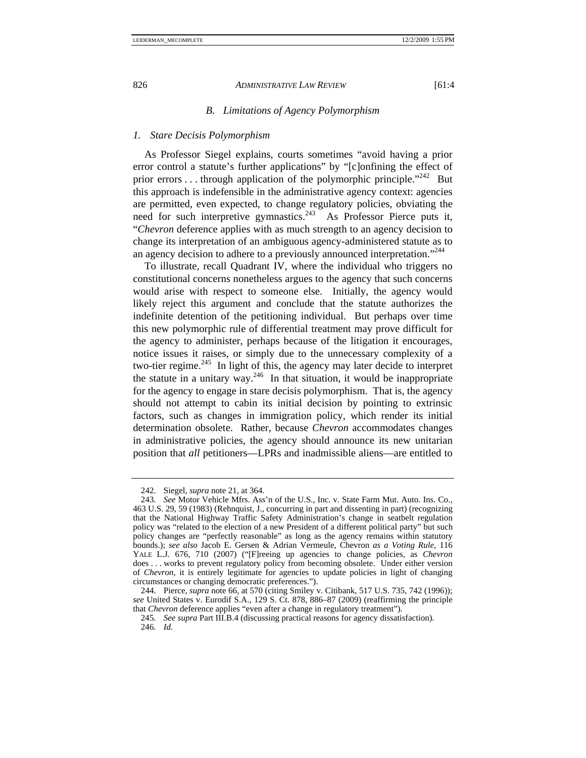#### *B. Limitations of Agency Polymorphism*

#### *1. Stare Decisis Polymorphism*

As Professor Siegel explains, courts sometimes "avoid having a prior error control a statute's further applications" by "[c]onfining the effect of prior errors  $\dots$  through application of the polymorphic principle."<sup>242</sup> But this approach is indefensible in the administrative agency context: agencies are permitted, even expected, to change regulatory policies, obviating the need for such interpretive gymnastics.<sup>243</sup> As Professor Pierce puts it, "*Chevron* deference applies with as much strength to an agency decision to change its interpretation of an ambiguous agency-administered statute as to an agency decision to adhere to a previously announced interpretation."<sup>244</sup>

To illustrate, recall Quadrant IV, where the individual who triggers no constitutional concerns nonetheless argues to the agency that such concerns would arise with respect to someone else. Initially, the agency would likely reject this argument and conclude that the statute authorizes the indefinite detention of the petitioning individual. But perhaps over time this new polymorphic rule of differential treatment may prove difficult for the agency to administer, perhaps because of the litigation it encourages, notice issues it raises, or simply due to the unnecessary complexity of a two-tier regime.<sup>245</sup> In light of this, the agency may later decide to interpret the statute in a unitary way.<sup>246</sup> In that situation, it would be inappropriate for the agency to engage in stare decisis polymorphism. That is, the agency should not attempt to cabin its initial decision by pointing to extrinsic factors, such as changes in immigration policy, which render its initial determination obsolete. Rather, because *Chevron* accommodates changes in administrative policies, the agency should announce its new unitarian position that *all* petitioners—LPRs and inadmissible aliens—are entitled to

 <sup>242.</sup> Siegel, *supra* note 21, at 364.

<sup>243</sup>*. See* Motor Vehicle Mfrs. Ass'n of the U.S., Inc. v. State Farm Mut. Auto. Ins. Co., 463 U.S. 29, 59 (1983) (Rehnquist, J., concurring in part and dissenting in part) (recognizing that the National Highway Traffic Safety Administration's change in seatbelt regulation policy was "related to the election of a new President of a different political party" but such policy changes are "perfectly reasonable" as long as the agency remains within statutory bounds.); *see also* Jacob E. Gersen & Adrian Vermeule, Chevron *as a Voting Rule*, 116 YALE L.J. 676, 710 (2007) ("[F]reeing up agencies to change policies, as *Chevron* does . . . works to prevent regulatory policy from becoming obsolete. Under either version of *Chevron*, it is entirely legitimate for agencies to update policies in light of changing circumstances or changing democratic preferences.").

 <sup>244.</sup> Pierce, *supra* note 66, at 570 (citing Smiley v. Citibank, 517 U.S. 735, 742 (1996)); *see* United States v. Eurodif S.A., 129 S. Ct. 878, 886–87 (2009) (reaffirming the principle that *Chevron* deference applies "even after a change in regulatory treatment").

<sup>245</sup>*. See supra* Part III.B.4 (discussing practical reasons for agency dissatisfaction). 246*. Id.*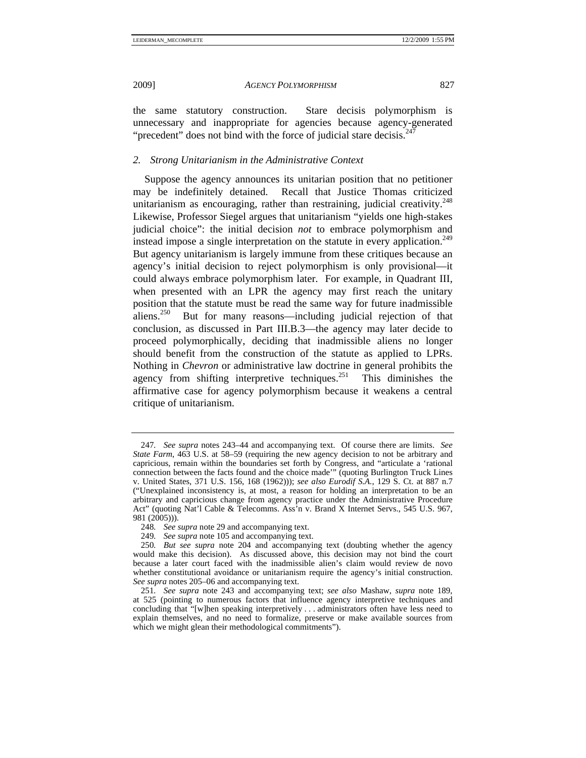the same statutory construction. Stare decisis polymorphism is unnecessary and inappropriate for agencies because agency-generated "precedent" does not bind with the force of judicial stare decisis. $2^2$ 

# *2. Strong Unitarianism in the Administrative Context*

Suppose the agency announces its unitarian position that no petitioner may be indefinitely detained. Recall that Justice Thomas criticized unitarianism as encouraging, rather than restraining, judicial creativity. $248$ Likewise, Professor Siegel argues that unitarianism "yields one high-stakes judicial choice": the initial decision *not* to embrace polymorphism and instead impose a single interpretation on the statute in every application.<sup>249</sup> But agency unitarianism is largely immune from these critiques because an agency's initial decision to reject polymorphism is only provisional—it could always embrace polymorphism later. For example, in Quadrant III, when presented with an LPR the agency may first reach the unitary position that the statute must be read the same way for future inadmissible aliens.250 But for many reasons—including judicial rejection of that conclusion, as discussed in Part III.B.3—the agency may later decide to proceed polymorphically, deciding that inadmissible aliens no longer should benefit from the construction of the statute as applied to LPRs. Nothing in *Chevron* or administrative law doctrine in general prohibits the agency from shifting interpretive techniques.<sup>251</sup> This diminishes the affirmative case for agency polymorphism because it weakens a central critique of unitarianism.

<sup>247</sup>*. See supra* notes 243–44 and accompanying text. Of course there are limits. *See State Farm*, 463 U.S. at 58–59 (requiring the new agency decision to not be arbitrary and capricious, remain within the boundaries set forth by Congress, and "articulate a 'rational connection between the facts found and the choice made'" (quoting Burlington Truck Lines v. United States, 371 U.S. 156, 168 (1962))); *see also Eurodif S.A.*, 129 S. Ct. at 887 n.7 ("Unexplained inconsistency is, at most, a reason for holding an interpretation to be an arbitrary and capricious change from agency practice under the Administrative Procedure Act" (quoting Nat'l Cable & Telecomms. Ass'n v. Brand X Internet Servs., 545 U.S. 967, 981 (2005))).

<sup>248</sup>*. See supra* note 29 and accompanying text.

<sup>249</sup>*. See supra* note 105 and accompanying text.

<sup>250</sup>*. But see supra* note 204 and accompanying text (doubting whether the agency would make this decision). As discussed above, this decision may not bind the court because a later court faced with the inadmissible alien's claim would review de novo whether constitutional avoidance or unitarianism require the agency's initial construction. *See supra* notes 205–06 and accompanying text.

<sup>251</sup>*. See supra* note 243 and accompanying text; *see also* Mashaw, *supra* note 189, at 525 (pointing to numerous factors that influence agency interpretive techniques and concluding that "[w]hen speaking interpretively . . . administrators often have less need to explain themselves, and no need to formalize, preserve or make available sources from which we might glean their methodological commitments").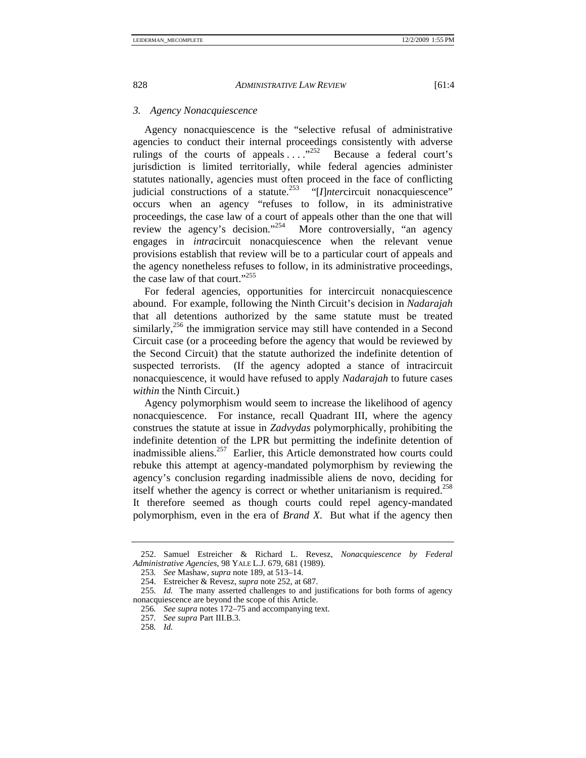# *3. Agency Nonacquiescence*

Agency nonacquiescence is the "selective refusal of administrative agencies to conduct their internal proceedings consistently with adverse rulings of the courts of appeals  $\ldots$ <sup>252</sup> Because a federal court's jurisdiction is limited territorially, while federal agencies administer statutes nationally, agencies must often proceed in the face of conflicting judicial constructions of a statute.<sup>253</sup> "[*I*]*ntercircuit* nonacquiescence" occurs when an agency "refuses to follow, in its administrative proceedings, the case law of a court of appeals other than the one that will review the agency's decision."<sup>254</sup> More controversially, "an agency" engages in *intra*circuit nonacquiescence when the relevant venue provisions establish that review will be to a particular court of appeals and the agency nonetheless refuses to follow, in its administrative proceedings, the case law of that court."255

For federal agencies, opportunities for intercircuit nonacquiescence abound. For example, following the Ninth Circuit's decision in *Nadarajah* that all detentions authorized by the same statute must be treated similarly,<sup>256</sup> the immigration service may still have contended in a Second Circuit case (or a proceeding before the agency that would be reviewed by the Second Circuit) that the statute authorized the indefinite detention of suspected terrorists. (If the agency adopted a stance of intracircuit nonacquiescence, it would have refused to apply *Nadarajah* to future cases *within* the Ninth Circuit.)

Agency polymorphism would seem to increase the likelihood of agency nonacquiescence. For instance, recall Quadrant III, where the agency construes the statute at issue in *Zadvydas* polymorphically, prohibiting the indefinite detention of the LPR but permitting the indefinite detention of inadmissible aliens.<sup>257</sup> Earlier, this Article demonstrated how courts could rebuke this attempt at agency-mandated polymorphism by reviewing the agency's conclusion regarding inadmissible aliens de novo, deciding for itself whether the agency is correct or whether unitarianism is required.<sup>258</sup> It therefore seemed as though courts could repel agency-mandated polymorphism, even in the era of *Brand X*. But what if the agency then

 <sup>252.</sup> Samuel Estreicher & Richard L. Revesz, *Nonacquiescence by Federal Administrative Agencies*, 98 YALE L.J. 679, 681 (1989).

<sup>253</sup>*. See* Mashaw, *supra* note 189, at 513–14.

 <sup>254.</sup> Estreicher & Revesz, *supra* note 252, at 687.

<sup>255</sup>*. Id.* The many asserted challenges to and justifications for both forms of agency nonacquiescence are beyond the scope of this Article.

<sup>256</sup>*. See supra* notes 172–75 and accompanying text.

<sup>257</sup>*. See supra* Part III.B.3.

<sup>258</sup>*. Id.*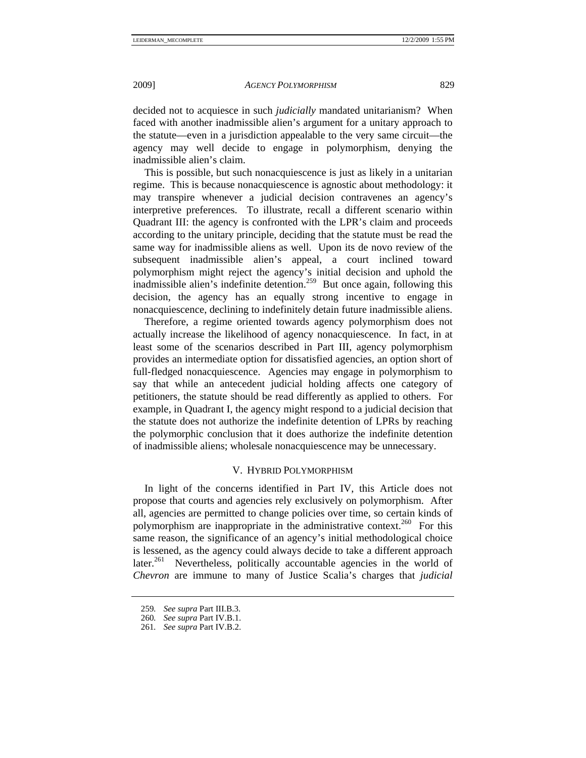decided not to acquiesce in such *judicially* mandated unitarianism? When faced with another inadmissible alien's argument for a unitary approach to the statute—even in a jurisdiction appealable to the very same circuit—the agency may well decide to engage in polymorphism, denying the inadmissible alien's claim.

This is possible, but such nonacquiescence is just as likely in a unitarian regime. This is because nonacquiescence is agnostic about methodology: it may transpire whenever a judicial decision contravenes an agency's interpretive preferences. To illustrate, recall a different scenario within Quadrant III: the agency is confronted with the LPR's claim and proceeds according to the unitary principle, deciding that the statute must be read the same way for inadmissible aliens as well. Upon its de novo review of the subsequent inadmissible alien's appeal, a court inclined toward polymorphism might reject the agency's initial decision and uphold the inadmissible alien's indefinite detention.<sup>259</sup> But once again, following this decision, the agency has an equally strong incentive to engage in nonacquiescence, declining to indefinitely detain future inadmissible aliens.

Therefore, a regime oriented towards agency polymorphism does not actually increase the likelihood of agency nonacquiescence. In fact, in at least some of the scenarios described in Part III, agency polymorphism provides an intermediate option for dissatisfied agencies, an option short of full-fledged nonacquiescence. Agencies may engage in polymorphism to say that while an antecedent judicial holding affects one category of petitioners, the statute should be read differently as applied to others. For example, in Quadrant I, the agency might respond to a judicial decision that the statute does not authorize the indefinite detention of LPRs by reaching the polymorphic conclusion that it does authorize the indefinite detention of inadmissible aliens; wholesale nonacquiescence may be unnecessary.

# V. HYBRID POLYMORPHISM

In light of the concerns identified in Part IV, this Article does not propose that courts and agencies rely exclusively on polymorphism. After all, agencies are permitted to change policies over time, so certain kinds of polymorphism are inappropriate in the administrative context.<sup>260</sup> For this same reason, the significance of an agency's initial methodological choice is lessened, as the agency could always decide to take a different approach later.<sup>261</sup> Nevertheless, politically accountable agencies in the world of *Chevron* are immune to many of Justice Scalia's charges that *judicial*

<sup>259</sup>*. See supra* Part III.B.3.

<sup>260</sup>*. See supra* Part IV.B.1.

<sup>261</sup>*. See supra* Part IV.B.2.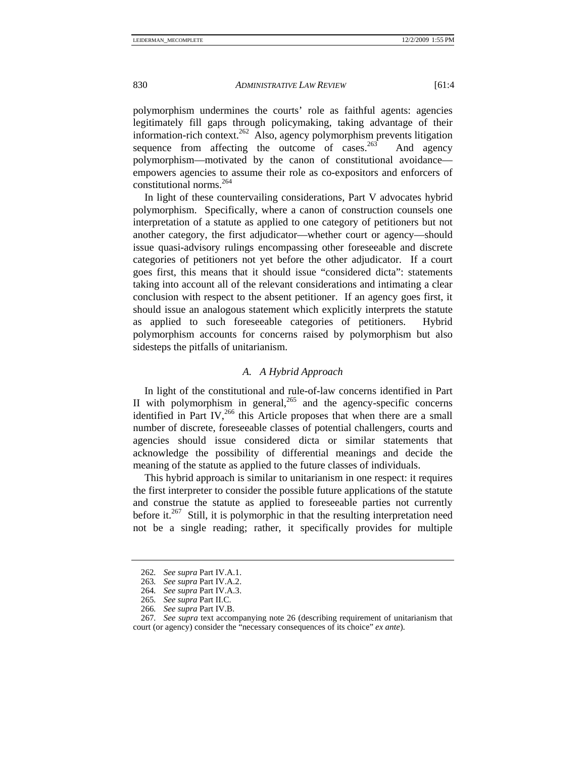polymorphism undermines the courts' role as faithful agents: agencies legitimately fill gaps through policymaking, taking advantage of their information-rich context.<sup>262</sup> Also, agency polymorphism prevents litigation sequence from affecting the outcome of cases.<sup>263</sup> And agency polymorphism—motivated by the canon of constitutional avoidance empowers agencies to assume their role as co-expositors and enforcers of constitutional norms.<sup>264</sup>

In light of these countervailing considerations, Part V advocates hybrid polymorphism. Specifically, where a canon of construction counsels one interpretation of a statute as applied to one category of petitioners but not another category, the first adjudicator—whether court or agency—should issue quasi-advisory rulings encompassing other foreseeable and discrete categories of petitioners not yet before the other adjudicator. If a court goes first, this means that it should issue "considered dicta": statements taking into account all of the relevant considerations and intimating a clear conclusion with respect to the absent petitioner. If an agency goes first, it should issue an analogous statement which explicitly interprets the statute as applied to such foreseeable categories of petitioners. Hybrid polymorphism accounts for concerns raised by polymorphism but also sidesteps the pitfalls of unitarianism.

# *A. A Hybrid Approach*

In light of the constitutional and rule-of-law concerns identified in Part II with polymorphism in general,<sup>265</sup> and the agency-specific concerns identified in Part IV,<sup>266</sup> this Article proposes that when there are a small number of discrete, foreseeable classes of potential challengers, courts and agencies should issue considered dicta or similar statements that acknowledge the possibility of differential meanings and decide the meaning of the statute as applied to the future classes of individuals.

This hybrid approach is similar to unitarianism in one respect: it requires the first interpreter to consider the possible future applications of the statute and construe the statute as applied to foreseeable parties not currently before it.<sup>267</sup> Still, it is polymorphic in that the resulting interpretation need not be a single reading; rather, it specifically provides for multiple

<sup>262</sup>*. See supra* Part IV.A.1.

<sup>263</sup>*. See supra* Part IV.A.2.

<sup>264</sup>*. See supra* Part IV.A.3.

<sup>265</sup>*. See supra* Part II.C.

<sup>266</sup>*. See supra* Part IV.B.

<sup>267</sup>*. See supra* text accompanying note 26 (describing requirement of unitarianism that court (or agency) consider the "necessary consequences of its choice" *ex ante*).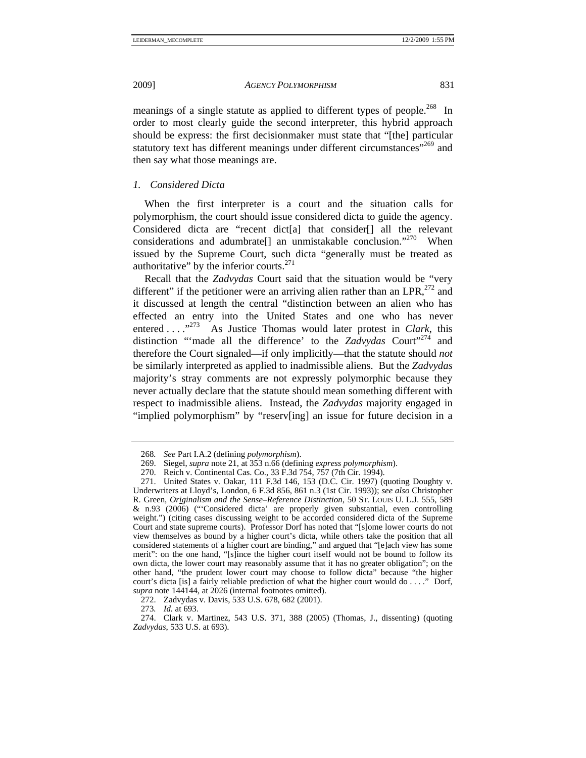meanings of a single statute as applied to different types of people.<sup>268</sup> In order to most clearly guide the second interpreter, this hybrid approach should be express: the first decisionmaker must state that "[the] particular statutory text has different meanings under different circumstances<sup>"269</sup> and then say what those meanings are.

# *1. Considered Dicta*

When the first interpreter is a court and the situation calls for polymorphism, the court should issue considered dicta to guide the agency. Considered dicta are "recent dict[a] that consider[] all the relevant considerations and adumbrate<sup>[]</sup> an unmistakable conclusion."<sup>270</sup> When issued by the Supreme Court, such dicta "generally must be treated as authoritative" by the inferior courts. $^{271}$ 

Recall that the *Zadvydas* Court said that the situation would be "very different" if the petitioner were an arriving alien rather than an  $\text{LPR}^{272}$  and it discussed at length the central "distinction between an alien who has effected an entry into the United States and one who has never entered . . . .<sup>273</sup> As Justice Thomas would later protest in *Clark*, this distinction "made all the difference' to the *Zadvydas* Court"<sup>274</sup> and therefore the Court signaled—if only implicitly—that the statute should *not*  be similarly interpreted as applied to inadmissible aliens. But the *Zadvydas* majority's stray comments are not expressly polymorphic because they never actually declare that the statute should mean something different with respect to inadmissible aliens. Instead, the *Zadvydas* majority engaged in "implied polymorphism" by "reserv[ing] an issue for future decision in a

<sup>268</sup>*. See* Part I.A.2 (defining *polymorphism*).

 <sup>269.</sup> Siegel, *supra* note 21, at 353 n.66 (defining *express polymorphism*).

 <sup>270.</sup> Reich v. Continental Cas. Co., 33 F.3d 754, 757 (7th Cir. 1994).

 <sup>271.</sup> United States v. Oakar, 111 F.3d 146, 153 (D.C. Cir. 1997) (quoting Doughty v. Underwriters at Lloyd's, London, 6 F.3d 856, 861 n.3 (1st Cir. 1993)); *see also* Christopher R. Green, *Originalism and the Sense–Reference Distinction*, 50 ST. LOUIS U. L.J. 555, 589 & n.93 (2006) ("'Considered dicta' are properly given substantial, even controlling weight.") (citing cases discussing weight to be accorded considered dicta of the Supreme Court and state supreme courts). Professor Dorf has noted that "[s]ome lower courts do not view themselves as bound by a higher court's dicta, while others take the position that all considered statements of a higher court are binding," and argued that "[e]ach view has some merit": on the one hand, "[s]ince the higher court itself would not be bound to follow its own dicta, the lower court may reasonably assume that it has no greater obligation"; on the other hand, "the prudent lower court may choose to follow dicta" because "the higher court's dicta [is] a fairly reliable prediction of what the higher court would do . . . ." Dorf, *supra* note 144144, at 2026 (internal footnotes omitted).

 <sup>272.</sup> Zadvydas v. Davis, 533 U.S. 678, 682 (2001).

<sup>273</sup>*. Id.* at 693.

 <sup>274.</sup> Clark v. Martinez, 543 U.S. 371, 388 (2005) (Thomas, J., dissenting) (quoting *Zadvydas*, 533 U.S. at 693).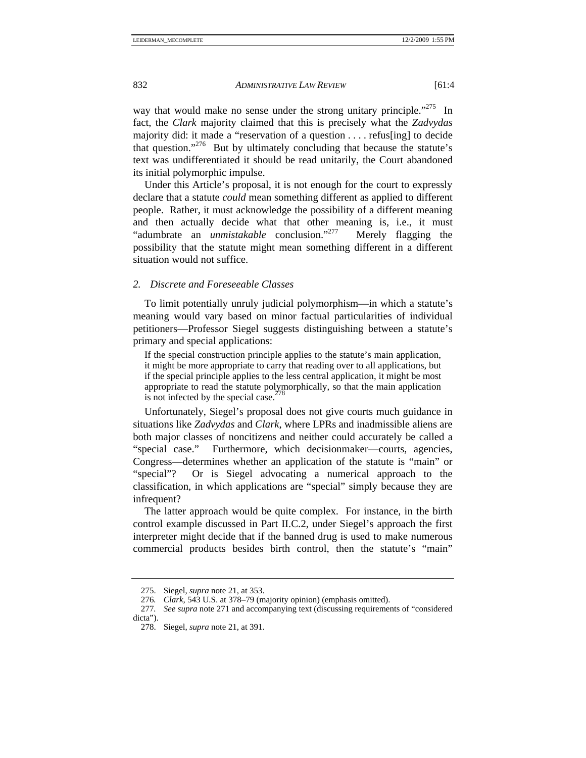way that would make no sense under the strong unitary principle.<sup>"275</sup> In fact, the *Clark* majority claimed that this is precisely what the *Zadvydas*  majority did: it made a "reservation of a question . . . . refus[ing] to decide that question."276 But by ultimately concluding that because the statute's text was undifferentiated it should be read unitarily, the Court abandoned its initial polymorphic impulse.

Under this Article's proposal, it is not enough for the court to expressly declare that a statute *could* mean something different as applied to different people. Rather, it must acknowledge the possibility of a different meaning and then actually decide what that other meaning is, i.e., it must "adumbrate an *unmistakable* conclusion."277 Merely flagging the possibility that the statute might mean something different in a different situation would not suffice.

#### *2. Discrete and Foreseeable Classes*

To limit potentially unruly judicial polymorphism—in which a statute's meaning would vary based on minor factual particularities of individual petitioners—Professor Siegel suggests distinguishing between a statute's primary and special applications:

If the special construction principle applies to the statute's main application, it might be more appropriate to carry that reading over to all applications, but if the special principle applies to the less central application, it might be most appropriate to read the statute polymorphically, so that the main application is not infected by the special case. $278$ 

Unfortunately, Siegel's proposal does not give courts much guidance in situations like *Zadvydas* and *Clark*, where LPRs and inadmissible aliens are both major classes of noncitizens and neither could accurately be called a "special case." Furthermore, which decisionmaker—courts, agencies, Congress—determines whether an application of the statute is "main" or "special"? Or is Siegel advocating a numerical approach to the classification, in which applications are "special" simply because they are infrequent?

The latter approach would be quite complex. For instance, in the birth control example discussed in Part II.C.2, under Siegel's approach the first interpreter might decide that if the banned drug is used to make numerous commercial products besides birth control, then the statute's "main"

 <sup>275.</sup> Siegel, *supra* note 21, at 353.

<sup>276</sup>*. Clark*, 543 U.S. at 378–79 (majority opinion) (emphasis omitted).

<sup>277</sup>*. See supra* note 271 and accompanying text (discussing requirements of "considered dicta").

 <sup>278.</sup> Siegel, *supra* note 21, at 391.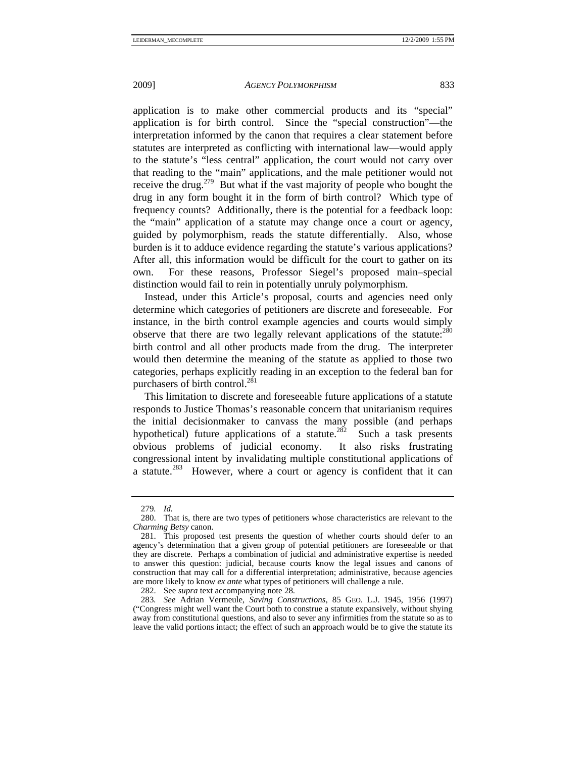application is to make other commercial products and its "special" application is for birth control. Since the "special construction"—the interpretation informed by the canon that requires a clear statement before statutes are interpreted as conflicting with international law—would apply to the statute's "less central" application, the court would not carry over that reading to the "main" applications, and the male petitioner would not receive the drug.<sup>279</sup> But what if the vast majority of people who bought the drug in any form bought it in the form of birth control? Which type of frequency counts? Additionally, there is the potential for a feedback loop: the "main" application of a statute may change once a court or agency, guided by polymorphism, reads the statute differentially. Also, whose burden is it to adduce evidence regarding the statute's various applications? After all, this information would be difficult for the court to gather on its own. For these reasons, Professor Siegel's proposed main–special distinction would fail to rein in potentially unruly polymorphism.

Instead, under this Article's proposal, courts and agencies need only determine which categories of petitioners are discrete and foreseeable. For instance, in the birth control example agencies and courts would simply observe that there are two legally relevant applications of the statute: $280$ birth control and all other products made from the drug. The interpreter would then determine the meaning of the statute as applied to those two categories, perhaps explicitly reading in an exception to the federal ban for purchasers of birth control.<sup>281</sup>

This limitation to discrete and foreseeable future applications of a statute responds to Justice Thomas's reasonable concern that unitarianism requires the initial decisionmaker to canvass the many possible (and perhaps hypothetical) future applications of a statute.<sup>282</sup> Such a task presents obvious problems of judicial economy. It also risks frustrating congressional intent by invalidating multiple constitutional applications of a statute.<sup>283</sup> However, where a court or agency is confident that it can

<sup>279</sup>*. Id.*

 <sup>280.</sup> That is, there are two types of petitioners whose characteristics are relevant to the *Charming Betsy* canon.

 <sup>281.</sup> This proposed test presents the question of whether courts should defer to an agency's determination that a given group of potential petitioners are foreseeable or that they are discrete. Perhaps a combination of judicial and administrative expertise is needed to answer this question: judicial, because courts know the legal issues and canons of construction that may call for a differential interpretation; administrative, because agencies are more likely to know *ex ante* what types of petitioners will challenge a rule.

 <sup>282.</sup> See *supra* text accompanying note 28.

<sup>283</sup>*. See* Adrian Vermeule, *Saving Constructions*, 85 GEO. L.J. 1945, 1956 (1997) ("Congress might well want the Court both to construe a statute expansively, without shying away from constitutional questions, and also to sever any infirmities from the statute so as to leave the valid portions intact; the effect of such an approach would be to give the statute its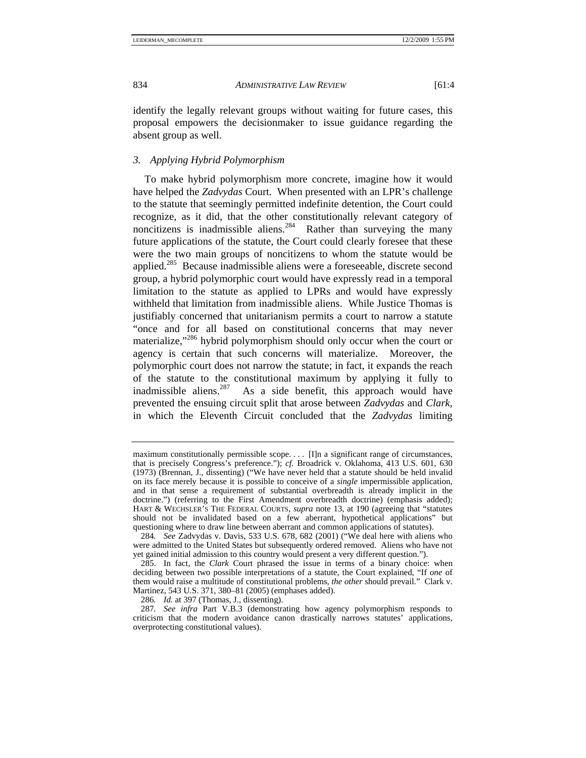identify the legally relevant groups without waiting for future cases, this proposal empowers the decisionmaker to issue guidance regarding the absent group as well.

## *3. Applying Hybrid Polymorphism*

To make hybrid polymorphism more concrete, imagine how it would have helped the *Zadvydas* Court. When presented with an LPR's challenge to the statute that seemingly permitted indefinite detention, the Court could recognize, as it did, that the other constitutionally relevant category of noncitizens is inadmissible aliens.<sup>284</sup> Rather than surveying the many future applications of the statute, the Court could clearly foresee that these were the two main groups of noncitizens to whom the statute would be applied.<sup>285</sup> Because inadmissible aliens were a foreseeable, discrete second group, a hybrid polymorphic court would have expressly read in a temporal limitation to the statute as applied to LPRs and would have expressly withheld that limitation from inadmissible aliens. While Justice Thomas is justifiably concerned that unitarianism permits a court to narrow a statute "once and for all based on constitutional concerns that may never materialize,"<sup>286</sup> hybrid polymorphism should only occur when the court or agency is certain that such concerns will materialize. Moreover, the polymorphic court does not narrow the statute; in fact, it expands the reach of the statute to the constitutional maximum by applying it fully to inadmissible aliens.<sup>287</sup> As a side benefit, this approach would have As a side benefit, this approach would have prevented the ensuing circuit split that arose between *Zadvydas* and *Clark*, in which the Eleventh Circuit concluded that the *Zadvydas* limiting

maximum constitutionally permissible scope. . . . [I]n a significant range of circumstances, that is precisely Congress's preference."); *cf.* Broadrick v. Oklahoma, 413 U.S. 601, 630 (1973) (Brennan, J., dissenting) ("We have never held that a statute should be held invalid on its face merely because it is possible to conceive of a *single* impermissible application, and in that sense a requirement of substantial overbreadth is already implicit in the doctrine.") (referring to the First Amendment overbreadth doctrine) (emphasis added); HART & WECHSLER'S THE FEDERAL COURTS, *supra* note 13, at 190 (agreeing that "statutes should not be invalidated based on a few aberrant, hypothetical applications" but questioning where to draw line between aberrant and common applications of statutes).

<sup>284</sup>*. See* Zadvydas v. Davis, 533 U.S. 678, 682 (2001) ("We deal here with aliens who were admitted to the United States but subsequently ordered removed. Aliens who have not yet gained initial admission to this country would present a very different question.").

 <sup>285.</sup> In fact, the *Clark* Court phrased the issue in terms of a binary choice: when deciding between two possible interpretations of a statute, the Court explained, "If *one* of them would raise a multitude of constitutional problems, *the other* should prevail." Clark v. Martinez, 543 U.S. 371, 380–81 (2005) (emphases added).

<sup>286</sup>*. Id.* at 397 (Thomas, J., dissenting).

<sup>287</sup>*. See infra* Part V.B.3 (demonstrating how agency polymorphism responds to criticism that the modern avoidance canon drastically narrows statutes' applications, overprotecting constitutional values).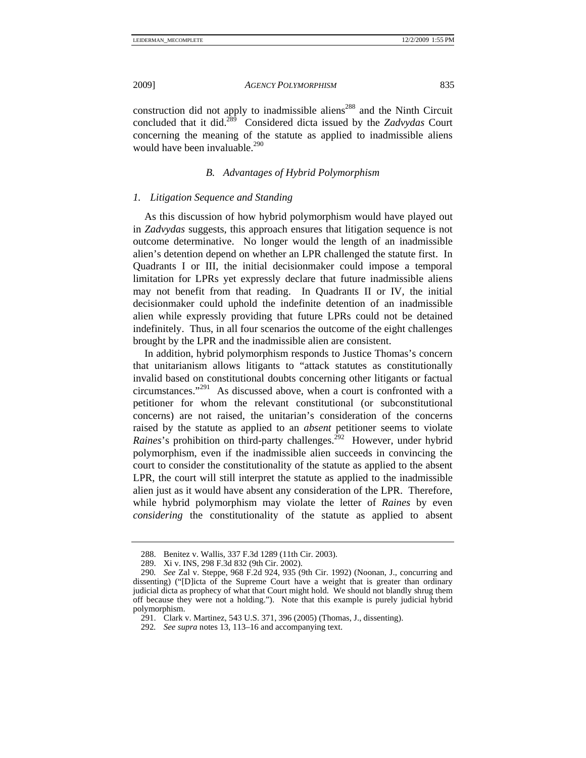construction did not apply to inadmissible aliens<sup>288</sup> and the Ninth Circuit concluded that it did.289 Considered dicta issued by the *Zadvydas* Court concerning the meaning of the statute as applied to inadmissible aliens would have been invaluable.<sup>290</sup>

# *B. Advantages of Hybrid Polymorphism*

# *1. Litigation Sequence and Standing*

As this discussion of how hybrid polymorphism would have played out in *Zadvydas* suggests, this approach ensures that litigation sequence is not outcome determinative. No longer would the length of an inadmissible alien's detention depend on whether an LPR challenged the statute first. In Quadrants I or III, the initial decisionmaker could impose a temporal limitation for LPRs yet expressly declare that future inadmissible aliens may not benefit from that reading. In Quadrants II or IV, the initial decisionmaker could uphold the indefinite detention of an inadmissible alien while expressly providing that future LPRs could not be detained indefinitely. Thus, in all four scenarios the outcome of the eight challenges brought by the LPR and the inadmissible alien are consistent.

In addition, hybrid polymorphism responds to Justice Thomas's concern that unitarianism allows litigants to "attack statutes as constitutionally invalid based on constitutional doubts concerning other litigants or factual circumstances."291 As discussed above, when a court is confronted with a petitioner for whom the relevant constitutional (or subconstitutional concerns) are not raised, the unitarian's consideration of the concerns raised by the statute as applied to an *absent* petitioner seems to violate *Raines*'s prohibition on third-party challenges.<sup>292</sup> However, under hybrid polymorphism, even if the inadmissible alien succeeds in convincing the court to consider the constitutionality of the statute as applied to the absent LPR, the court will still interpret the statute as applied to the inadmissible alien just as it would have absent any consideration of the LPR. Therefore, while hybrid polymorphism may violate the letter of *Raines* by even *considering* the constitutionality of the statute as applied to absent

 <sup>288.</sup> Benitez v. Wallis, 337 F.3d 1289 (11th Cir. 2003).

 <sup>289.</sup> Xi v. INS, 298 F.3d 832 (9th Cir. 2002).

<sup>290</sup>*. See* Zal v. Steppe, 968 F.2d 924, 935 (9th Cir. 1992) (Noonan, J., concurring and dissenting) ("[D]icta of the Supreme Court have a weight that is greater than ordinary judicial dicta as prophecy of what that Court might hold. We should not blandly shrug them off because they were not a holding."). Note that this example is purely judicial hybrid polymorphism.

 <sup>291.</sup> Clark v. Martinez, 543 U.S. 371, 396 (2005) (Thomas, J., dissenting).

<sup>292</sup>*. See supra* notes 13, 113–16 and accompanying text.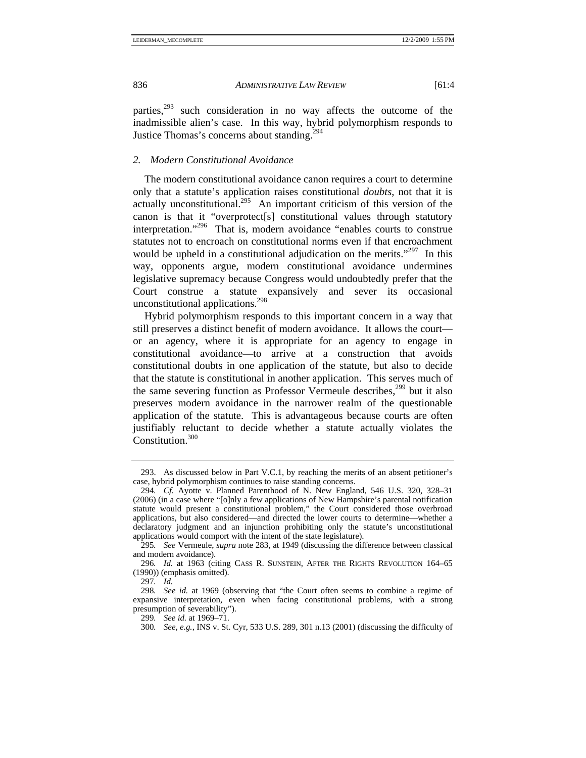parties, $293$  such consideration in no way affects the outcome of the inadmissible alien's case. In this way, hybrid polymorphism responds to Justice Thomas's concerns about standing.<sup>294</sup>

## *2. Modern Constitutional Avoidance*

The modern constitutional avoidance canon requires a court to determine only that a statute's application raises constitutional *doubts*, not that it is actually unconstitutional.<sup>295</sup> An important criticism of this version of the canon is that it "overprotect [s] constitutional values through statutory interpretation."<sup>296</sup> That is, modern avoidance "enables courts to construe" statutes not to encroach on constitutional norms even if that encroachment would be upheld in a constitutional adjudication on the merits."<sup>297</sup> In this way, opponents argue, modern constitutional avoidance undermines legislative supremacy because Congress would undoubtedly prefer that the Court construe a statute expansively and sever its occasional unconstitutional applications.<sup>298</sup>

Hybrid polymorphism responds to this important concern in a way that still preserves a distinct benefit of modern avoidance. It allows the court or an agency, where it is appropriate for an agency to engage in constitutional avoidance—to arrive at a construction that avoids constitutional doubts in one application of the statute, but also to decide that the statute is constitutional in another application. This serves much of the same severing function as Professor Vermeule describes,<sup>299</sup> but it also preserves modern avoidance in the narrower realm of the questionable application of the statute. This is advantageous because courts are often justifiably reluctant to decide whether a statute actually violates the Constitution.<sup>300</sup>

 <sup>293.</sup> As discussed below in Part V.C.1, by reaching the merits of an absent petitioner's case, hybrid polymorphism continues to raise standing concerns.

<sup>294</sup>*. Cf.* Ayotte v. Planned Parenthood of N. New England, 546 U.S. 320, 328–31 (2006) (in a case where "[o]nly a few applications of New Hampshire's parental notification statute would present a constitutional problem," the Court considered those overbroad applications, but also considered—and directed the lower courts to determine—whether a declaratory judgment and an injunction prohibiting only the statute's unconstitutional applications would comport with the intent of the state legislature).

<sup>295</sup>*. See* Vermeule, *supra* note 283, at 1949 (discussing the difference between classical and modern avoidance).

<sup>296</sup>*. Id.* at 1963 (citing CASS R. SUNSTEIN, AFTER THE RIGHTS REVOLUTION 164–65 (1990)) (emphasis omitted).

<sup>297</sup>*. Id.*

<sup>298</sup>*. See id.* at 1969 (observing that "the Court often seems to combine a regime of expansive interpretation, even when facing constitutional problems, with a strong presumption of severability").

<sup>299</sup>*. See id.* at 1969–71.

<sup>300</sup>*. See, e.g.*, INS v. St. Cyr, 533 U.S. 289, 301 n.13 (2001) (discussing the difficulty of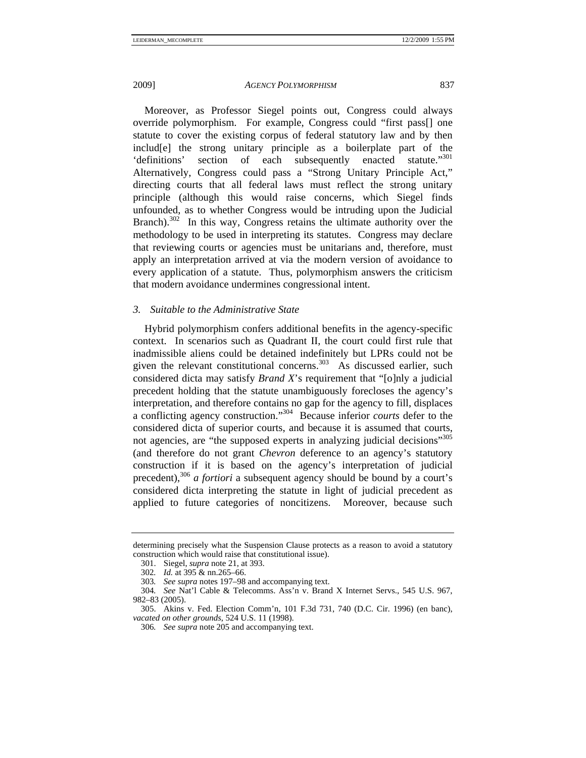Moreover, as Professor Siegel points out, Congress could always override polymorphism. For example, Congress could "first pass[] one statute to cover the existing corpus of federal statutory law and by then includ[e] the strong unitary principle as a boilerplate part of the 'definitions' section of each subsequently enacted statute."<sup>301</sup> 'definitions' section of each subsequently enacted Alternatively, Congress could pass a "Strong Unitary Principle Act," directing courts that all federal laws must reflect the strong unitary principle (although this would raise concerns, which Siegel finds unfounded, as to whether Congress would be intruding upon the Judicial Branch).<sup>302</sup> In this way, Congress retains the ultimate authority over the methodology to be used in interpreting its statutes. Congress may declare that reviewing courts or agencies must be unitarians and, therefore, must apply an interpretation arrived at via the modern version of avoidance to every application of a statute. Thus, polymorphism answers the criticism that modern avoidance undermines congressional intent.

# *3. Suitable to the Administrative State*

Hybrid polymorphism confers additional benefits in the agency-specific context. In scenarios such as Quadrant II, the court could first rule that inadmissible aliens could be detained indefinitely but LPRs could not be given the relevant constitutional concerns. $303$  As discussed earlier, such considered dicta may satisfy *Brand X*'s requirement that "[o]nly a judicial precedent holding that the statute unambiguously forecloses the agency's interpretation, and therefore contains no gap for the agency to fill, displaces a conflicting agency construction."304 Because inferior *courts* defer to the considered dicta of superior courts, and because it is assumed that courts, not agencies, are "the supposed experts in analyzing judicial decisions"<sup>305</sup> (and therefore do not grant *Chevron* deference to an agency's statutory construction if it is based on the agency's interpretation of judicial precedent),<sup>306</sup> *a fortiori* a subsequent agency should be bound by a court's considered dicta interpreting the statute in light of judicial precedent as applied to future categories of noncitizens. Moreover, because such

determining precisely what the Suspension Clause protects as a reason to avoid a statutory construction which would raise that constitutional issue).

 <sup>301.</sup> Siegel, *supra* note 21, at 393.

<sup>302</sup>*. Id.* at 395 & nn.265–66.

<sup>303</sup>*. See supra* notes 197–98 and accompanying text.

<sup>304</sup>*. See* Nat'l Cable & Telecomms. Ass'n v. Brand X Internet Servs., 545 U.S. 967, 982–83 (2005).

 <sup>305.</sup> Akins v. Fed. Election Comm'n, 101 F.3d 731, 740 (D.C. Cir. 1996) (en banc), *vacated on other grounds*, 524 U.S. 11 (1998).

<sup>306</sup>*. See supra* note 205 and accompanying text.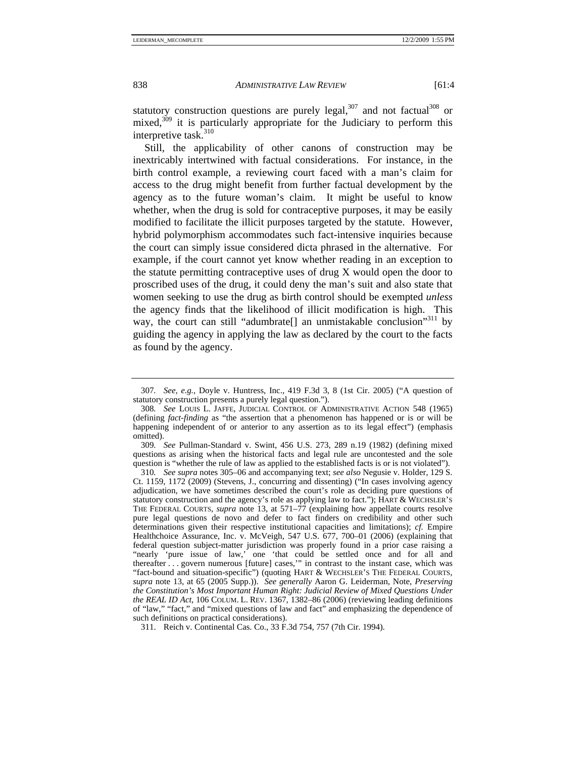statutory construction questions are purely legal, $307$  and not factual  $308$  or mixed, $309$  it is particularly appropriate for the Judiciary to perform this interpretive task.<sup>310</sup>

Still, the applicability of other canons of construction may be inextricably intertwined with factual considerations. For instance, in the birth control example, a reviewing court faced with a man's claim for access to the drug might benefit from further factual development by the agency as to the future woman's claim. It might be useful to know whether, when the drug is sold for contraceptive purposes, it may be easily modified to facilitate the illicit purposes targeted by the statute. However, hybrid polymorphism accommodates such fact-intensive inquiries because the court can simply issue considered dicta phrased in the alternative. For example, if the court cannot yet know whether reading in an exception to the statute permitting contraceptive uses of drug X would open the door to proscribed uses of the drug, it could deny the man's suit and also state that women seeking to use the drug as birth control should be exempted *unless*  the agency finds that the likelihood of illicit modification is high. This way, the court can still "adumbrate[] an unmistakable conclusion"<sup>311</sup> by guiding the agency in applying the law as declared by the court to the facts as found by the agency.

309*. See* Pullman-Standard v. Swint, 456 U.S. 273, 289 n.19 (1982) (defining mixed questions as arising when the historical facts and legal rule are uncontested and the sole question is "whether the rule of law as applied to the established facts is or is not violated").

<sup>307</sup>*. See, e.g.*, Doyle v. Huntress, Inc., 419 F.3d 3, 8 (1st Cir. 2005) ("A question of statutory construction presents a purely legal question.").

<sup>308</sup>*. See* LOUIS L. JAFFE, JUDICIAL CONTROL OF ADMINISTRATIVE ACTION 548 (1965) (defining *fact-finding* as "the assertion that a phenomenon has happened or is or will be happening independent of or anterior to any assertion as to its legal effect") (emphasis omitted).

<sup>310</sup>*. See supra* notes 305–06 and accompanying text; *see also* Negusie v. Holder, 129 S. Ct. 1159, 1172 (2009) (Stevens, J., concurring and dissenting) ("In cases involving agency adjudication, we have sometimes described the court's role as deciding pure questions of statutory construction and the agency's role as applying law to fact."); HART & WECHSLER'S THE FEDERAL COURTS, *supra* note 13, at 571–77 (explaining how appellate courts resolve pure legal questions de novo and defer to fact finders on credibility and other such determinations given their respective institutional capacities and limitations); *cf.* Empire Healthchoice Assurance, Inc. v. McVeigh, 547 U.S. 677, 700–01 (2006) (explaining that federal question subject-matter jurisdiction was properly found in a prior case raising a "nearly 'pure issue of law,' one 'that could be settled once and for all and thereafter . . . govern numerous [future] cases,'" in contrast to the instant case, which was "fact-bound and situation-specific") (quoting HART & WECHSLER'S THE FEDERAL COURTS, *supra* note 13, at 65 (2005 Supp.)). *See generally* Aaron G. Leiderman, Note, *Preserving the Constitution's Most Important Human Right: Judicial Review of Mixed Questions Under the REAL ID Act*, 106 COLUM. L. REV. 1367, 1382–86 (2006) (reviewing leading definitions of "law," "fact," and "mixed questions of law and fact" and emphasizing the dependence of such definitions on practical considerations).

 <sup>311.</sup> Reich v. Continental Cas. Co., 33 F.3d 754, 757 (7th Cir. 1994).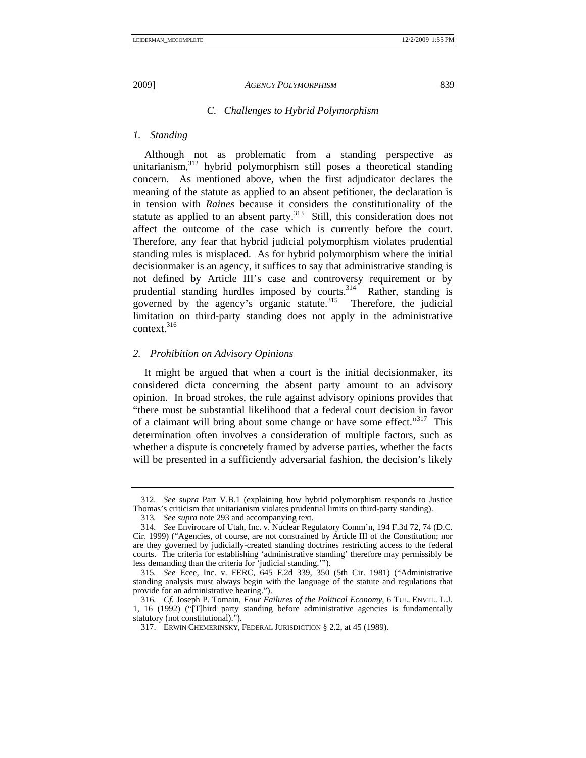# *C. Challenges to Hybrid Polymorphism*

#### *1. Standing*

Although not as problematic from a standing perspective as unitarianism,<sup>312</sup> hybrid polymorphism still poses a theoretical standing concern. As mentioned above, when the first adjudicator declares the meaning of the statute as applied to an absent petitioner, the declaration is in tension with *Raines* because it considers the constitutionality of the statute as applied to an absent party. $313$  Still, this consideration does not affect the outcome of the case which is currently before the court. Therefore, any fear that hybrid judicial polymorphism violates prudential standing rules is misplaced. As for hybrid polymorphism where the initial decisionmaker is an agency, it suffices to say that administrative standing is not defined by Article III's case and controversy requirement or by prudential standing hurdles imposed by courts.<sup>314</sup> Rather, standing is governed by the agency's organic statute. $315$  Therefore, the judicial limitation on third-party standing does not apply in the administrative context<sup>316</sup>

## *2. Prohibition on Advisory Opinions*

It might be argued that when a court is the initial decisionmaker, its considered dicta concerning the absent party amount to an advisory opinion. In broad strokes, the rule against advisory opinions provides that "there must be substantial likelihood that a federal court decision in favor of a claimant will bring about some change or have some effect."<sup>317</sup> This determination often involves a consideration of multiple factors, such as whether a dispute is concretely framed by adverse parties, whether the facts will be presented in a sufficiently adversarial fashion, the decision's likely

<sup>312</sup>*. See supra* Part V.B.1 (explaining how hybrid polymorphism responds to Justice Thomas's criticism that unitarianism violates prudential limits on third-party standing).

<sup>313</sup>*. See supra* note 293 and accompanying text.

<sup>314</sup>*. See* Envirocare of Utah, Inc. v. Nuclear Regulatory Comm'n, 194 F.3d 72, 74 (D.C. Cir. 1999) ("Agencies, of course, are not constrained by Article III of the Constitution; nor are they governed by judicially-created standing doctrines restricting access to the federal courts. The criteria for establishing 'administrative standing' therefore may permissibly be less demanding than the criteria for 'judicial standing.'").

<sup>315</sup>*. See* Ecee, Inc. v. FERC, 645 F.2d 339, 350 (5th Cir. 1981) ("Administrative standing analysis must always begin with the language of the statute and regulations that provide for an administrative hearing.").

<sup>316</sup>*. Cf.* Joseph P. Tomain, *Four Failures of the Political Economy*, 6 TUL. ENVTL. L.J. 1, 16 (1992) ("[T]hird party standing before administrative agencies is fundamentally statutory (not constitutional).").

 <sup>317.</sup> ERWIN CHEMERINSKY, FEDERAL JURISDICTION § 2.2, at 45 (1989).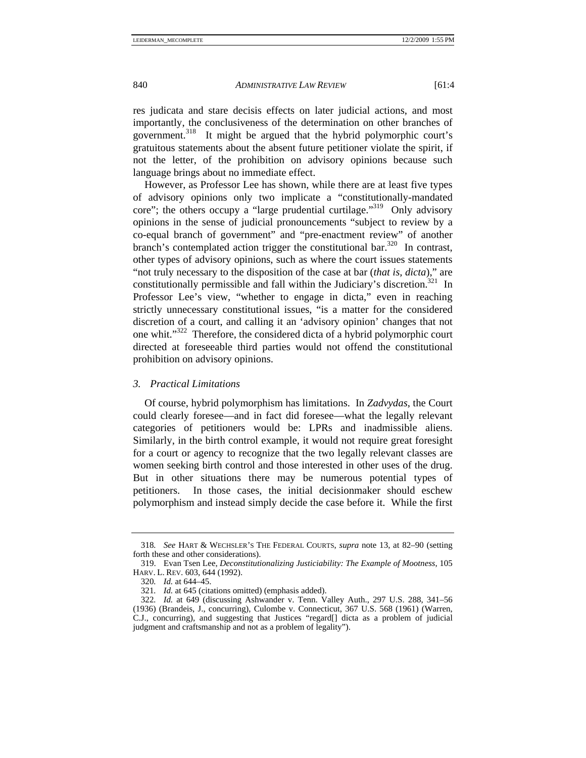res judicata and stare decisis effects on later judicial actions, and most importantly, the conclusiveness of the determination on other branches of government.<sup>318</sup> It might be argued that the hybrid polymorphic court's gratuitous statements about the absent future petitioner violate the spirit, if not the letter, of the prohibition on advisory opinions because such language brings about no immediate effect.

However, as Professor Lee has shown, while there are at least five types of advisory opinions only two implicate a "constitutionally-mandated core"; the others occupy a "large prudential curtilage."<sup>319</sup> Only advisory opinions in the sense of judicial pronouncements "subject to review by a co-equal branch of government" and "pre-enactment review" of another branch's contemplated action trigger the constitutional bar.<sup>320</sup> In contrast, other types of advisory opinions, such as where the court issues statements "not truly necessary to the disposition of the case at bar (*that is, dicta*)," are constitutionally permissible and fall within the Judiciary's discretion.<sup>321</sup> In Professor Lee's view, "whether to engage in dicta," even in reaching strictly unnecessary constitutional issues, "is a matter for the considered discretion of a court, and calling it an 'advisory opinion' changes that not one whit."322 Therefore, the considered dicta of a hybrid polymorphic court directed at foreseeable third parties would not offend the constitutional prohibition on advisory opinions.

## *3. Practical Limitations*

Of course, hybrid polymorphism has limitations. In *Zadvydas*, the Court could clearly foresee—and in fact did foresee—what the legally relevant categories of petitioners would be: LPRs and inadmissible aliens. Similarly, in the birth control example, it would not require great foresight for a court or agency to recognize that the two legally relevant classes are women seeking birth control and those interested in other uses of the drug. But in other situations there may be numerous potential types of petitioners. In those cases, the initial decisionmaker should eschew polymorphism and instead simply decide the case before it. While the first

<sup>318</sup>*. See* HART & WECHSLER'S THE FEDERAL COURTS, *supra* note 13, at 82–90 (setting forth these and other considerations).

 <sup>319.</sup> Evan Tsen Lee, *Deconstitutionalizing Justiciability: The Example of Mootness*, 105 HARV. L. REV. 603, 644 (1992).

<sup>320</sup>*. Id.* at 644–45.

<sup>321</sup>*. Id.* at 645 (citations omitted) (emphasis added).

<sup>322</sup>*. Id.* at 649 (discussing Ashwander v. Tenn. Valley Auth., 297 U.S. 288, 341–56 (1936) (Brandeis, J., concurring), Culombe v. Connecticut, 367 U.S. 568 (1961) (Warren, C.J., concurring), and suggesting that Justices "regard[] dicta as a problem of judicial judgment and craftsmanship and not as a problem of legality").